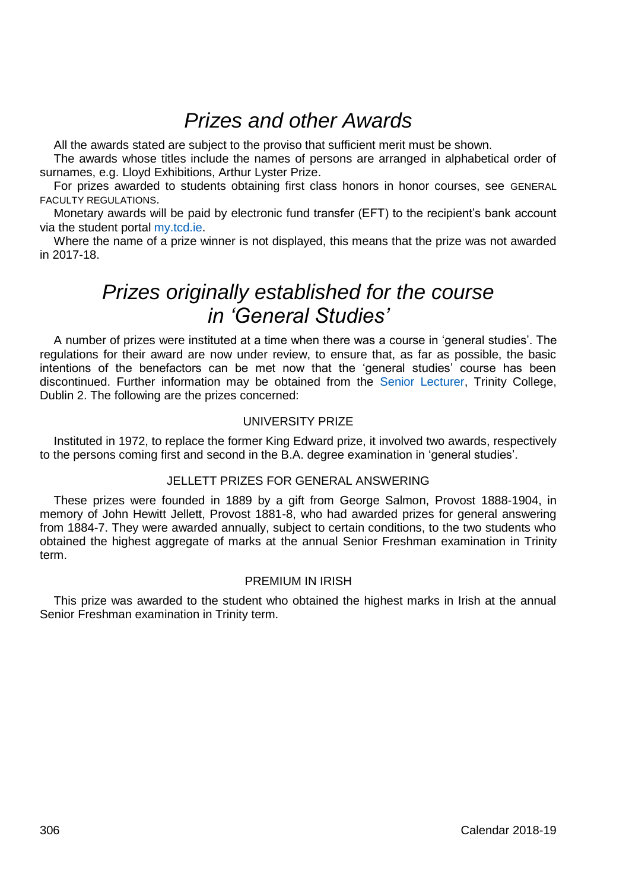# *Prizes and other Awards*

All the awards stated are subject to the proviso that sufficient merit must be shown.

The awards whose titles include the names of persons are arranged in alphabetical order of surnames, e.g. Lloyd Exhibitions, Arthur Lyster Prize.

For prizes awarded to students obtaining first class honors in honor courses, see GENERAL FACULTY REGULATIONS.

Monetary awards will be paid by electronic fund transfer (EFT) to the recipient's bank account via the student porta[l my.tcd.ie.](https://my.tcd.ie/urd/sits.urd/run/siw_lgn)

Where the name of a prize winner is not displayed, this means that the prize was not awarded in 2017-18.

# *Prizes originally established for the course in 'General Studies'*

A number of prizes were instituted at a time when there was a course in 'general studies'. The regulations for their award are now under review, to ensure that, as far as possible, the basic intentions of the benefactors can be met now that the 'general studies' course has been discontinued. Further information may be obtained from the [Senior Lecturer,](http://www.tcd.ie/undergraduate-studies/contact/) Trinity College, Dublin 2. The following are the prizes concerned:

## UNIVERSITY PRIZE

Instituted in 1972, to replace the former King Edward prize, it involved two awards, respectively to the persons coming first and second in the B.A. degree examination in 'general studies'.

## JELLETT PRIZES FOR GENERAL ANSWERING

These prizes were founded in 1889 by a gift from George Salmon, Provost 1888-1904, in memory of John Hewitt Jellett, Provost 1881-8, who had awarded prizes for general answering from 1884-7. They were awarded annually, subject to certain conditions, to the two students who obtained the highest aggregate of marks at the annual Senior Freshman examination in Trinity term.

### PREMIUM IN IRISH

This prize was awarded to the student who obtained the highest marks in Irish at the annual Senior Freshman examination in Trinity term.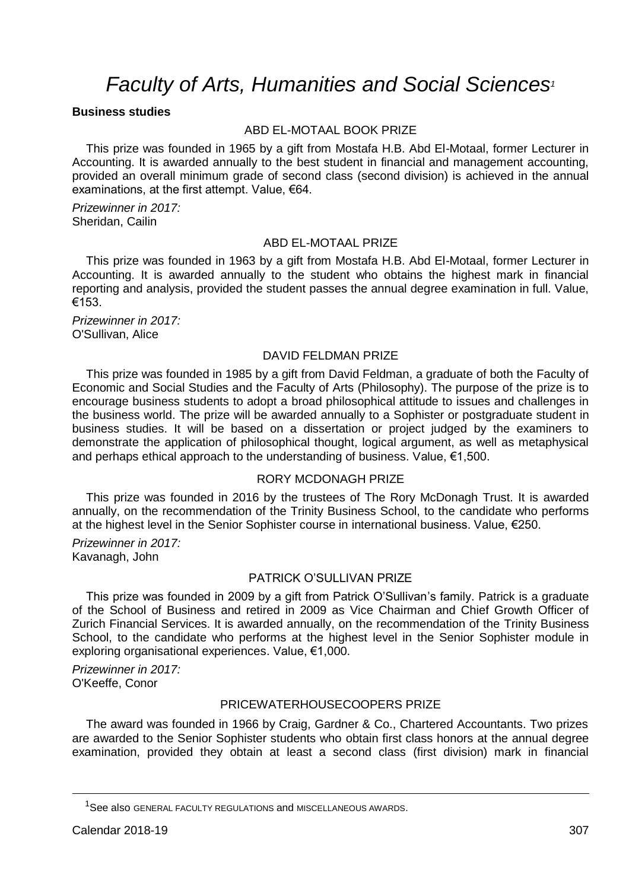# *Faculty of Arts, Humanities and Social Sciences<sup>1</sup>*

## **Business studies**

## ABD EL-MOTAAL BOOK PRIZE

This prize was founded in 1965 by a gift from Mostafa H.B. Abd El-Motaal, former Lecturer in Accounting. It is awarded annually to the best student in financial and management accounting, provided an overall minimum grade of second class (second division) is achieved in the annual examinations, at the first attempt. Value, €64.

*Prizewinner in 2017:* Sheridan, Cailin

#### ABD EL-MOTAAL PRIZE

This prize was founded in 1963 by a gift from Mostafa H.B. Abd El-Motaal, former Lecturer in Accounting. It is awarded annually to the student who obtains the highest mark in financial reporting and analysis, provided the student passes the annual degree examination in full. Value, €153.

*Prizewinner in 2017:* O'Sullivan, Alice

#### DAVID FELDMAN PRIZE

This prize was founded in 1985 by a gift from David Feldman, a graduate of both the Faculty of Economic and Social Studies and the Faculty of Arts (Philosophy). The purpose of the prize is to encourage business students to adopt a broad philosophical attitude to issues and challenges in the business world. The prize will be awarded annually to a Sophister or postgraduate student in business studies. It will be based on a dissertation or project judged by the examiners to demonstrate the application of philosophical thought, logical argument, as well as metaphysical and perhaps ethical approach to the understanding of business. Value, €1,500.

## RORY MCDONAGH PRIZE

This prize was founded in 2016 by the trustees of The Rory McDonagh Trust. It is awarded annually, on the recommendation of the Trinity Business School, to the candidate who performs at the highest level in the Senior Sophister course in international business. Value, €250.

*Prizewinner in 2017:* Kavanagh, John

## PATRICK O'SULLIVAN PRIZE

This prize was founded in 2009 by a gift from Patrick O'Sullivan's family. Patrick is a graduate of the School of Business and retired in 2009 as Vice Chairman and Chief Growth Officer of Zurich Financial Services. It is awarded annually, on the recommendation of the Trinity Business School, to the candidate who performs at the highest level in the Senior Sophister module in exploring organisational experiences. Value, €1,000.

*Prizewinner in 2017:* O'Keeffe, Conor

## PRICEWATERHOUSECOOPERS PRIZE

The award was founded in 1966 by Craig, Gardner & Co., Chartered Accountants. Two prizes are awarded to the Senior Sophister students who obtain first class honors at the annual degree examination, provided they obtain at least a second class (first division) mark in financial

<u>.</u>

<sup>&</sup>lt;sup>1</sup>See also GENERAL FACULTY REGULATIONS and MISCELLANEOUS AWARDS.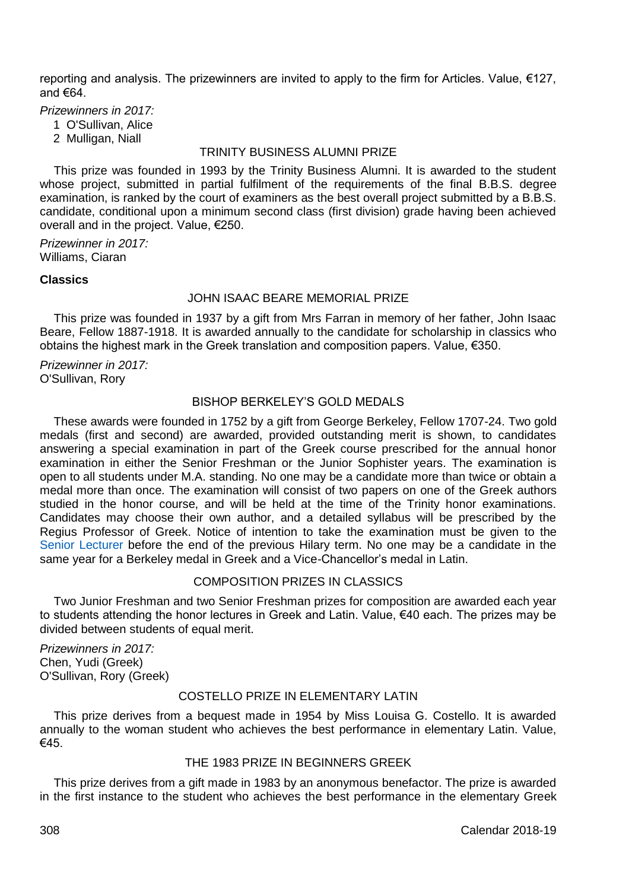reporting and analysis. The prizewinners are invited to apply to the firm for Articles. Value, €127, and €64.

*Prizewinners in 2017:*

- 1 O'Sullivan, Alice
- 2 Mulligan, Niall

#### TRINITY BUSINESS ALUMNI PRIZE

This prize was founded in 1993 by the Trinity Business Alumni. It is awarded to the student whose project, submitted in partial fulfilment of the requirements of the final B.B.S. degree examination, is ranked by the court of examiners as the best overall project submitted by a B.B.S. candidate, conditional upon a minimum second class (first division) grade having been achieved overall and in the project. Value, €250.

*Prizewinner in 2017:* Williams, Ciaran

## **Classics**

### JOHN ISAAC BEARE MEMORIAL PRIZE

This prize was founded in 1937 by a gift from Mrs Farran in memory of her father, John Isaac Beare, Fellow 1887-1918. It is awarded annually to the candidate for scholarship in classics who obtains the highest mark in the Greek translation and composition papers. Value, €350.

*Prizewinner in 2017:* O'Sullivan, Rory

## BISHOP BERKELEY'S GOLD MEDALS

These awards were founded in 1752 by a gift from George Berkeley, Fellow 1707-24. Two gold medals (first and second) are awarded, provided outstanding merit is shown, to candidates answering a special examination in part of the Greek course prescribed for the annual honor examination in either the Senior Freshman or the Junior Sophister years. The examination is open to all students under M.A. standing. No one may be a candidate more than twice or obtain a medal more than once. The examination will consist of two papers on one of the Greek authors studied in the honor course, and will be held at the time of the Trinity honor examinations. Candidates may choose their own author, and a detailed syllabus will be prescribed by the Regius Professor of Greek. Notice of intention to take the examination must be given to the [Senior Lecturer](http://www.tcd.ie/undergraduate-studies/contact/) before the end of the previous Hilary term. No one may be a candidate in the same year for a Berkeley medal in Greek and a Vice-Chancellor's medal in Latin.

## COMPOSITION PRIZES IN CLASSICS

Two Junior Freshman and two Senior Freshman prizes for composition are awarded each year to students attending the honor lectures in Greek and Latin. Value, €40 each. The prizes may be divided between students of equal merit.

*Prizewinners in 2017:* Chen, Yudi (Greek) O'Sullivan, Rory (Greek)

## COSTELLO PRIZE IN ELEMENTARY LATIN

This prize derives from a bequest made in 1954 by Miss Louisa G. Costello. It is awarded annually to the woman student who achieves the best performance in elementary Latin. Value, €45.

# THE 1983 PRIZE IN BEGINNERS GREEK

This prize derives from a gift made in 1983 by an anonymous benefactor. The prize is awarded in the first instance to the student who achieves the best performance in the elementary Greek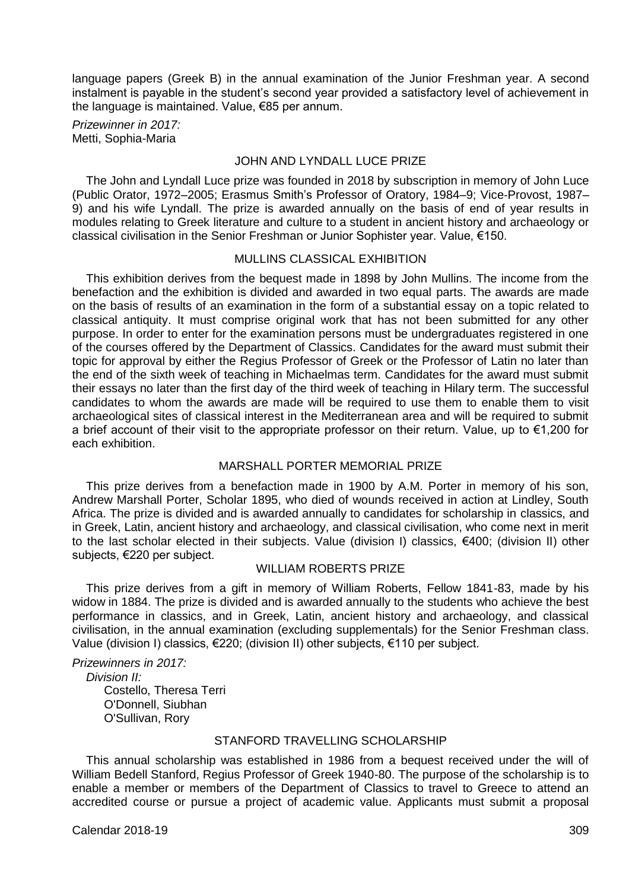language papers (Greek B) in the annual examination of the Junior Freshman year. A second instalment is payable in the student's second year provided a satisfactory level of achievement in the language is maintained. Value, €85 per annum.

*Prizewinner in 2017:* Metti, Sophia-Maria

## JOHN AND LYNDALL LUCE PRIZE

The John and Lyndall Luce prize was founded in 2018 by subscription in memory of John Luce (Public Orator, 1972–2005; Erasmus Smith's Professor of Oratory, 1984–9; Vice‐Provost, 1987– 9) and his wife Lyndall. The prize is awarded annually on the basis of end of year results in modules relating to Greek literature and culture to a student in ancient history and archaeology or classical civilisation in the Senior Freshman or Junior Sophister year. Value, €150.

## MULLINS CLASSICAL EXHIBITION

This exhibition derives from the bequest made in 1898 by John Mullins. The income from the benefaction and the exhibition is divided and awarded in two equal parts. The awards are made on the basis of results of an examination in the form of a substantial essay on a topic related to classical antiquity. It must comprise original work that has not been submitted for any other purpose. In order to enter for the examination persons must be undergraduates registered in one of the courses offered by the Department of Classics. Candidates for the award must submit their topic for approval by either the Regius Professor of Greek or the Professor of Latin no later than the end of the sixth week of teaching in Michaelmas term. Candidates for the award must submit their essays no later than the first day of the third week of teaching in Hilary term. The successful candidates to whom the awards are made will be required to use them to enable them to visit archaeological sites of classical interest in the Mediterranean area and will be required to submit a brief account of their visit to the appropriate professor on their return. Value, up to €1,200 for each exhibition.

## MARSHALL PORTER MEMORIAL PRIZE

This prize derives from a benefaction made in 1900 by A.M. Porter in memory of his son, Andrew Marshall Porter, Scholar 1895, who died of wounds received in action at Lindley, South Africa. The prize is divided and is awarded annually to candidates for scholarship in classics, and in Greek, Latin, ancient history and archaeology, and classical civilisation, who come next in merit to the last scholar elected in their subjects. Value (division I) classics, €400; (division II) other subjects, €220 per subject.

#### WILLIAM ROBERTS PRIZE

This prize derives from a gift in memory of William Roberts, Fellow 1841-83, made by his widow in 1884. The prize is divided and is awarded annually to the students who achieve the best performance in classics, and in Greek, Latin, ancient history and archaeology, and classical civilisation, in the annual examination (excluding supplementals) for the Senior Freshman class. Value (division I) classics, €220; (division II) other subjects, €110 per subject.

*Prizewinners in 2017:*

*Division II:* Costello, Theresa Terri O'Donnell, Siubhan O'Sullivan, Rory

# STANFORD TRAVELLING SCHOLARSHIP

This annual scholarship was established in 1986 from a bequest received under the will of William Bedell Stanford, Regius Professor of Greek 1940-80. The purpose of the scholarship is to enable a member or members of the Department of Classics to travel to Greece to attend an accredited course or pursue a project of academic value. Applicants must submit a proposal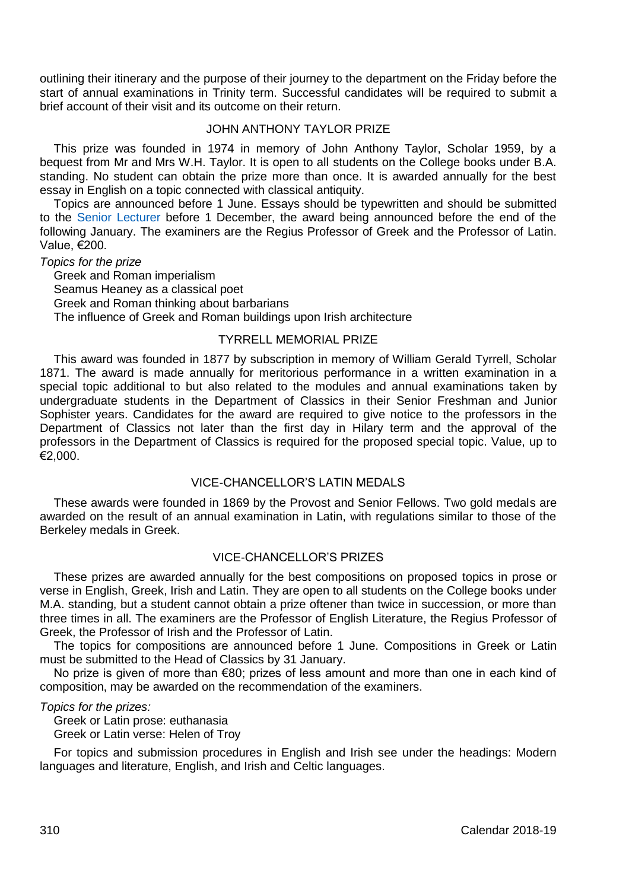outlining their itinerary and the purpose of their journey to the department on the Friday before the start of annual examinations in Trinity term. Successful candidates will be required to submit a brief account of their visit and its outcome on their return.

## JOHN ANTHONY TAYLOR PRIZE

This prize was founded in 1974 in memory of John Anthony Taylor, Scholar 1959, by a bequest from Mr and Mrs W.H. Taylor. It is open to all students on the College books under B.A. standing. No student can obtain the prize more than once. It is awarded annually for the best essay in English on a topic connected with classical antiquity.

Topics are announced before 1 June. Essays should be typewritten and should be submitted to the [Senior Lecturer](http://www.tcd.ie/undergraduate-studies/contact/) before 1 December, the award being announced before the end of the following January. The examiners are the Regius Professor of Greek and the Professor of Latin. Value, €200.

*Topics for the prize*

Greek and Roman imperialism Seamus Heaney as a classical poet Greek and Roman thinking about barbarians The influence of Greek and Roman buildings upon Irish architecture

#### TYRRELL MEMORIAL PRIZE

This award was founded in 1877 by subscription in memory of William Gerald Tyrrell, Scholar 1871. The award is made annually for meritorious performance in a written examination in a special topic additional to but also related to the modules and annual examinations taken by undergraduate students in the Department of Classics in their Senior Freshman and Junior Sophister years. Candidates for the award are required to give notice to the professors in the Department of Classics not later than the first day in Hilary term and the approval of the professors in the Department of Classics is required for the proposed special topic. Value, up to  $E$ 2,000.

# VICE-CHANCELLOR'S LATIN MEDALS

These awards were founded in 1869 by the Provost and Senior Fellows. Two gold medals are awarded on the result of an annual examination in Latin, with regulations similar to those of the Berkeley medals in Greek.

## VICE-CHANCELLOR'S PRIZES

These prizes are awarded annually for the best compositions on proposed topics in prose or verse in English, Greek, Irish and Latin. They are open to all students on the College books under M.A. standing, but a student cannot obtain a prize oftener than twice in succession, or more than three times in all. The examiners are the Professor of English Literature, the Regius Professor of Greek, the Professor of Irish and the Professor of Latin.

The topics for compositions are announced before 1 June. Compositions in Greek or Latin must be submitted to the Head of Classics by 31 January.

No prize is given of more than €80; prizes of less amount and more than one in each kind of composition, may be awarded on the recommendation of the examiners.

*Topics for the prizes:*

Greek or Latin prose: euthanasia

Greek or Latin verse: Helen of Troy

For topics and submission procedures in English and Irish see under the headings: Modern languages and literature, English, and Irish and Celtic languages.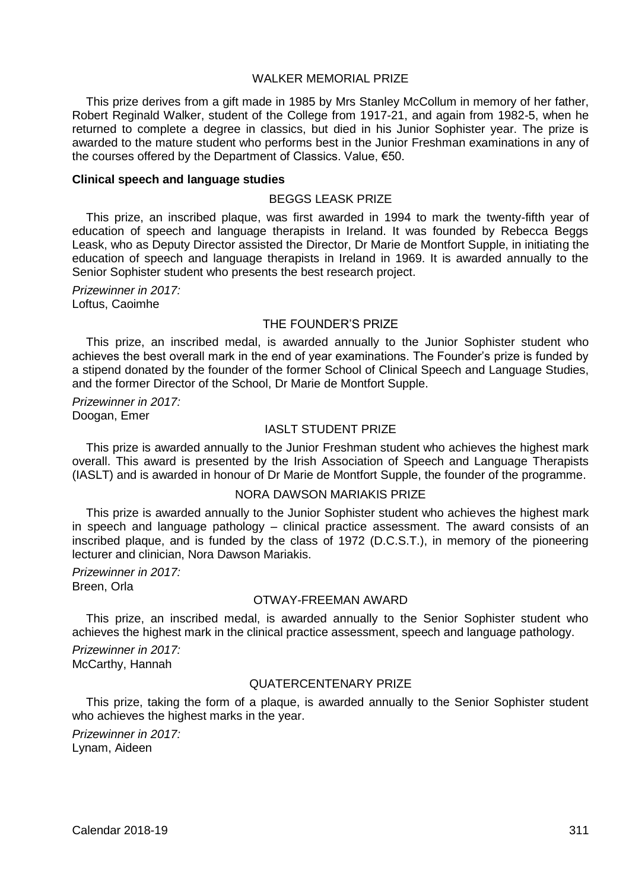# WAI KER MEMORIAL PRIZE

This prize derives from a gift made in 1985 by Mrs Stanley McCollum in memory of her father, Robert Reginald Walker, student of the College from 1917-21, and again from 1982-5, when he returned to complete a degree in classics, but died in his Junior Sophister year. The prize is awarded to the mature student who performs best in the Junior Freshman examinations in any of the courses offered by the Department of Classics. Value, €50.

#### **Clinical speech and language studies**

#### BEGGS LEASK PRIZE

This prize, an inscribed plaque, was first awarded in 1994 to mark the twenty-fifth year of education of speech and language therapists in Ireland. It was founded by Rebecca Beggs Leask, who as Deputy Director assisted the Director, Dr Marie de Montfort Supple, in initiating the education of speech and language therapists in Ireland in 1969. It is awarded annually to the Senior Sophister student who presents the best research project.

*Prizewinner in 2017:* Loftus, Caoimhe

#### THE FOUNDER'S PRIZE

This prize, an inscribed medal, is awarded annually to the Junior Sophister student who achieves the best overall mark in the end of year examinations. The Founder's prize is funded by a stipend donated by the founder of the former School of Clinical Speech and Language Studies, and the former Director of the School, Dr Marie de Montfort Supple.

*Prizewinner in 2017:* Doogan, Emer

## IASLT STUDENT PRIZE

This prize is awarded annually to the Junior Freshman student who achieves the highest mark overall. This award is presented by the Irish Association of Speech and Language Therapists (IASLT) and is awarded in honour of Dr Marie de Montfort Supple, the founder of the programme.

#### NORA DAWSON MARIAKIS PRIZE

This prize is awarded annually to the Junior Sophister student who achieves the highest mark in speech and language pathology – clinical practice assessment. The award consists of an inscribed plaque, and is funded by the class of 1972 (D.C.S.T.), in memory of the pioneering lecturer and clinician, Nora Dawson Mariakis.

*Prizewinner in 2017:* Breen, Orla

#### OTWAY-FREEMAN AWARD

This prize, an inscribed medal, is awarded annually to the Senior Sophister student who achieves the highest mark in the clinical practice assessment, speech and language pathology.

*Prizewinner in 2017:* McCarthy, Hannah

#### QUATERCENTENARY PRIZE

This prize, taking the form of a plaque, is awarded annually to the Senior Sophister student who achieves the highest marks in the year.

*Prizewinner in 2017:* Lynam, Aideen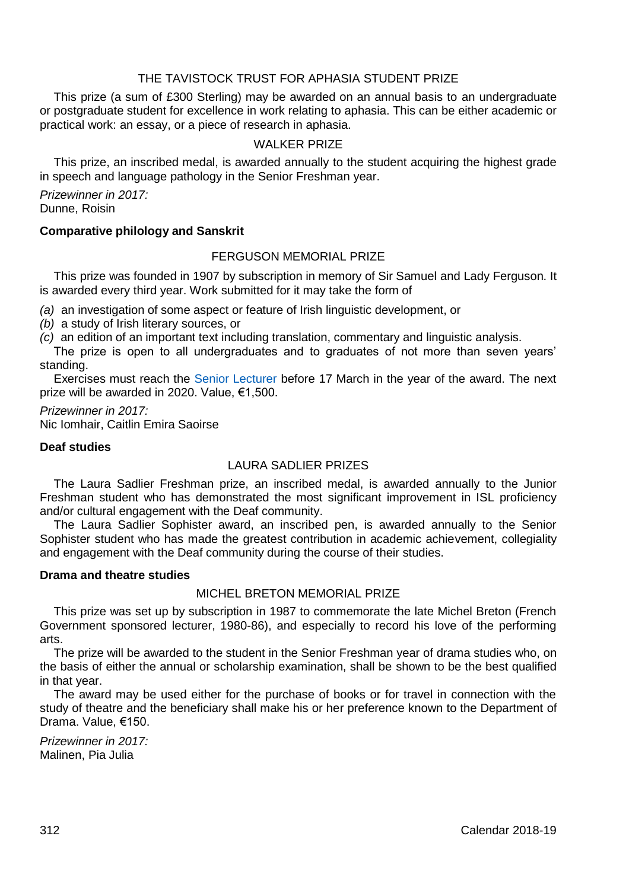# THE TAVISTOCK TRUST FOR APHASIA STUDENT PRIZE

This prize (a sum of £300 Sterling) may be awarded on an annual basis to an undergraduate or postgraduate student for excellence in work relating to aphasia. This can be either academic or practical work: an essay, or a piece of research in aphasia.

## WALKER PRIZE

This prize, an inscribed medal, is awarded annually to the student acquiring the highest grade in speech and language pathology in the Senior Freshman year.

*Prizewinner in 2017:* Dunne, Roisin

## **Comparative philology and Sanskrit**

## FERGUSON MEMORIAL PRIZE

This prize was founded in 1907 by subscription in memory of Sir Samuel and Lady Ferguson. It is awarded every third year. Work submitted for it may take the form of

*(a)* an investigation of some aspect or feature of Irish linguistic development, or

*(b)* a study of Irish literary sources, or

*(c)* an edition of an important text including translation, commentary and linguistic analysis.

The prize is open to all undergraduates and to graduates of not more than seven years' standing.

Exercises must reach the [Senior Lecturer](http://www.tcd.ie/undergraduate-studies/contact/) before 17 March in the year of the award. The next prize will be awarded in 2020. Value, €1,500.

*Prizewinner in 2017:* Nic Iomhair, Caitlin Emira Saoirse

#### **Deaf studies**

# LAURA SADLIER PRIZES

The Laura Sadlier Freshman prize, an inscribed medal, is awarded annually to the Junior Freshman student who has demonstrated the most significant improvement in ISL proficiency and/or cultural engagement with the Deaf community.

The Laura Sadlier Sophister award, an inscribed pen, is awarded annually to the Senior Sophister student who has made the greatest contribution in academic achievement, collegiality and engagement with the Deaf community during the course of their studies.

#### **Drama and theatre studies**

## MICHEL BRETON MEMORIAL PRIZE

This prize was set up by subscription in 1987 to commemorate the late Michel Breton (French Government sponsored lecturer, 1980-86), and especially to record his love of the performing arts.

The prize will be awarded to the student in the Senior Freshman year of drama studies who, on the basis of either the annual or scholarship examination, shall be shown to be the best qualified in that year.

The award may be used either for the purchase of books or for travel in connection with the study of theatre and the beneficiary shall make his or her preference known to the Department of Drama. Value, €150.

*Prizewinner in 2017:* Malinen, Pia Julia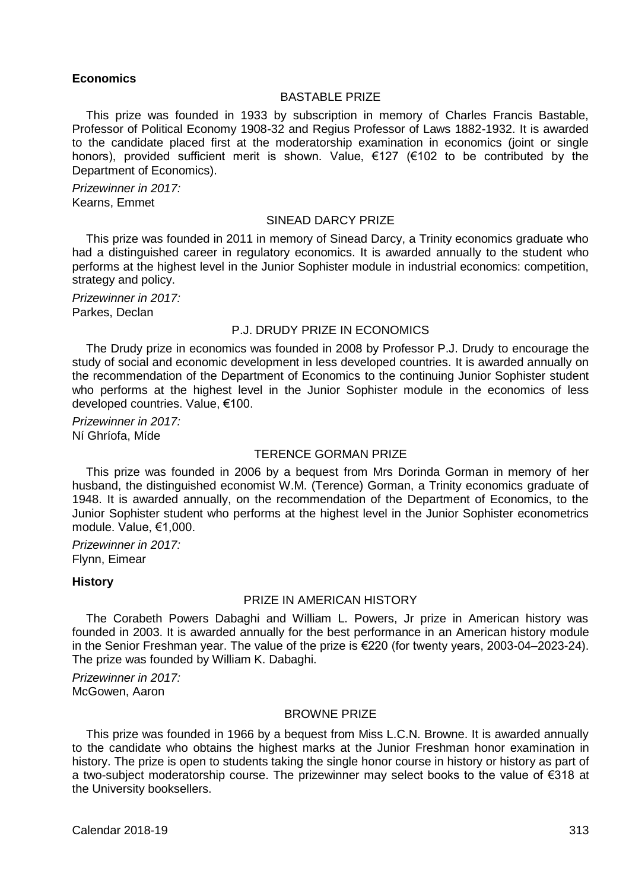#### **Economics**

#### BASTABLE PRIZE

This prize was founded in 1933 by subscription in memory of Charles Francis Bastable, Professor of Political Economy 1908-32 and Regius Professor of Laws 1882-1932. It is awarded to the candidate placed first at the moderatorship examination in economics (joint or single honors), provided sufficient merit is shown. Value, €127 (€102 to be contributed by the Department of Economics).

*Prizewinner in 2017:* Kearns, Emmet

## SINEAD DARCY PRIZE

This prize was founded in 2011 in memory of Sinead Darcy, a Trinity economics graduate who had a distinguished career in regulatory economics. It is awarded annually to the student who performs at the highest level in the Junior Sophister module in industrial economics: competition, strategy and policy.

*Prizewinner in 2017:* Parkes, Declan

#### P.J. DRUDY PRIZE IN ECONOMICS

The Drudy prize in economics was founded in 2008 by Professor P.J. Drudy to encourage the study of social and economic development in less developed countries. It is awarded annually on the recommendation of the Department of Economics to the continuing Junior Sophister student who performs at the highest level in the Junior Sophister module in the economics of less developed countries. Value, €100.

*Prizewinner in 2017:* Ní Ghríofa, Míde

## TERENCE GORMAN PRIZE

This prize was founded in 2006 by a bequest from Mrs Dorinda Gorman in memory of her husband, the distinguished economist W.M. (Terence) Gorman, a Trinity economics graduate of 1948. It is awarded annually, on the recommendation of the Department of Economics, to the Junior Sophister student who performs at the highest level in the Junior Sophister econometrics module. Value, €1,000.

*Prizewinner in 2017:* Flynn, Eimear

#### **History**

#### PRIZE IN AMERICAN HISTORY

The Corabeth Powers Dabaghi and William L. Powers, Jr prize in American history was founded in 2003. It is awarded annually for the best performance in an American history module in the Senior Freshman year. The value of the prize is €220 (for twenty years, 2003-04–2023-24). The prize was founded by William K. Dabaghi.

*Prizewinner in 2017:* McGowen, Aaron

### BROWNE PRIZE

This prize was founded in 1966 by a bequest from Miss L.C.N. Browne. It is awarded annually to the candidate who obtains the highest marks at the Junior Freshman honor examination in history. The prize is open to students taking the single honor course in history or history as part of a two-subject moderatorship course. The prizewinner may select books to the value of €318 at the University booksellers.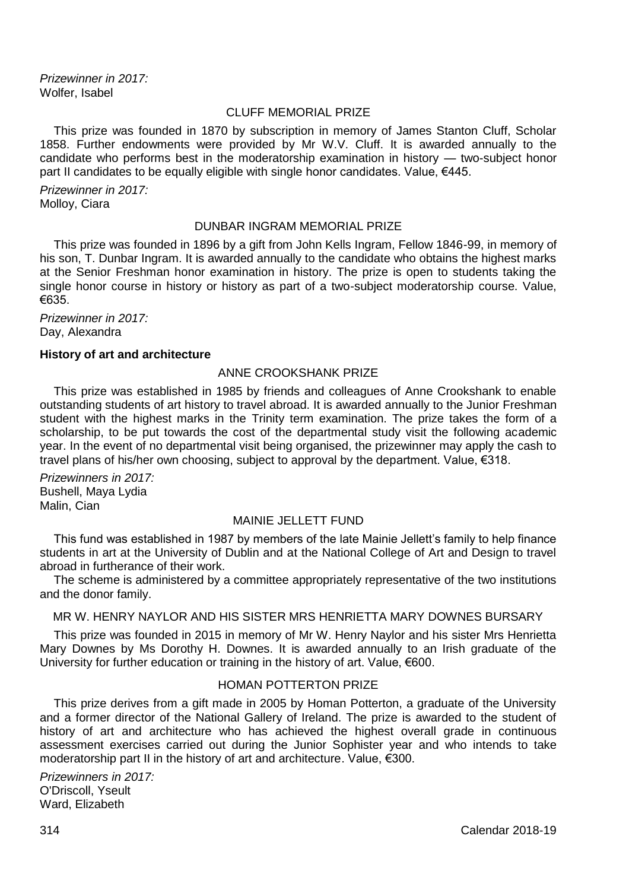*Prizewinner in 2017:* Wolfer, Isabel

## CLUFF MEMORIAL PRIZE

This prize was founded in 1870 by subscription in memory of James Stanton Cluff, Scholar 1858. Further endowments were provided by Mr W.V. Cluff. It is awarded annually to the candidate who performs best in the moderatorship examination in history — two-subject honor part II candidates to be equally eligible with single honor candidates. Value, €445.

*Prizewinner in 2017:* Molloy, Ciara

## DUNBAR INGRAM MEMORIAL PRIZE

This prize was founded in 1896 by a gift from John Kells Ingram, Fellow 1846-99, in memory of his son, T. Dunbar Ingram. It is awarded annually to the candidate who obtains the highest marks at the Senior Freshman honor examination in history. The prize is open to students taking the single honor course in history or history as part of a two-subject moderatorship course. Value, €635.

*Prizewinner in 2017:* Day, Alexandra

#### **History of art and architecture**

## ANNE CROOKSHANK PRIZE

This prize was established in 1985 by friends and colleagues of Anne Crookshank to enable outstanding students of art history to travel abroad. It is awarded annually to the Junior Freshman student with the highest marks in the Trinity term examination. The prize takes the form of a scholarship, to be put towards the cost of the departmental study visit the following academic year. In the event of no departmental visit being organised, the prizewinner may apply the cash to travel plans of his/her own choosing, subject to approval by the department. Value, €318.

*Prizewinners in 2017:* Bushell, Maya Lydia Malin, Cian

## MAINIE JELLETT FUND

This fund was established in 1987 by members of the late Mainie Jellett's family to help finance students in art at the University of Dublin and at the National College of Art and Design to travel abroad in furtherance of their work.

The scheme is administered by a committee appropriately representative of the two institutions and the donor family.

## MR W. HENRY NAYLOR AND HIS SISTER MRS HENRIETTA MARY DOWNES BURSARY

This prize was founded in 2015 in memory of Mr W. Henry Naylor and his sister Mrs Henrietta Mary Downes by Ms Dorothy H. Downes. It is awarded annually to an Irish graduate of the University for further education or training in the history of art. Value, €600.

## HOMAN POTTERTON PRIZE

This prize derives from a gift made in 2005 by Homan Potterton, a graduate of the University and a former director of the National Gallery of Ireland. The prize is awarded to the student of history of art and architecture who has achieved the highest overall grade in continuous assessment exercises carried out during the Junior Sophister year and who intends to take moderatorship part II in the history of art and architecture. Value, €300.

*Prizewinners in 2017:* O'Driscoll, Yseult Ward, Elizabeth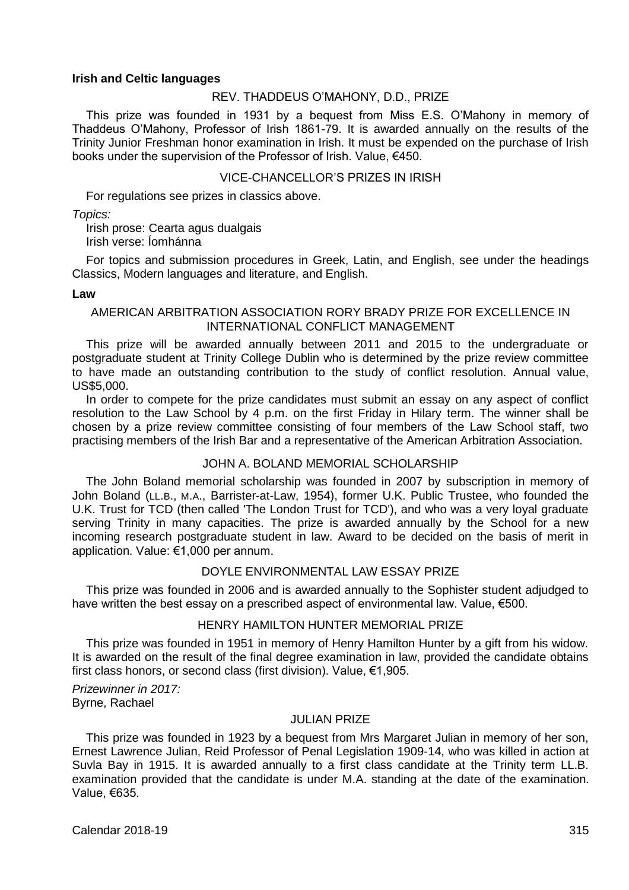#### **Irish and Celtic languages**

#### REV. THADDEUS O'MAHONY, D.D., PRIZE

This prize was founded in 1931 by a bequest from Miss E.S. O'Mahony in memory of Thaddeus O'Mahony, Professor of Irish 1861-79. It is awarded annually on the results of the Trinity Junior Freshman honor examination in Irish. It must be expended on the purchase of Irish books under the supervision of the Professor of Irish. Value, €450.

#### VICE-CHANCELLOR'S PRIZES IN IRISH

For regulations see prizes in classics above.

*Topics:*

Irish prose: Cearta agus dualgais Irish verse: Íomhánna

For topics and submission procedures in Greek, Latin, and English, see under the headings Classics, Modern languages and literature, and English.

#### **Law**

## AMERICAN ARBITRATION ASSOCIATION RORY BRADY PRIZE FOR EXCELLENCE IN INTERNATIONAL CONFLICT MANAGEMENT

This prize will be awarded annually between 2011 and 2015 to the undergraduate or postgraduate student at Trinity College Dublin who is determined by the prize review committee to have made an outstanding contribution to the study of conflict resolution. Annual value, US\$5,000.

In order to compete for the prize candidates must submit an essay on any aspect of conflict resolution to the Law School by 4 p.m. on the first Friday in Hilary term. The winner shall be chosen by a prize review committee consisting of four members of the Law School staff, two practising members of the Irish Bar and a representative of the American Arbitration Association.

#### JOHN A. BOLAND MEMORIAL SCHOLARSHIP

The John Boland memorial scholarship was founded in 2007 by subscription in memory of John Boland (LL.B., M.A., Barrister-at-Law, 1954), former U.K. Public Trustee, who founded the U.K. Trust for TCD (then called 'The London Trust for TCD'), and who was a very loyal graduate serving Trinity in many capacities. The prize is awarded annually by the School for a new incoming research postgraduate student in law. Award to be decided on the basis of merit in application. Value: €1,000 per annum.

# DOYLE ENVIRONMENTAL LAW ESSAY PRIZE

This prize was founded in 2006 and is awarded annually to the Sophister student adjudged to have written the best essay on a prescribed aspect of environmental law. Value, €500.

## HENRY HAMILTON HUNTER MEMORIAL PRIZE

This prize was founded in 1951 in memory of Henry Hamilton Hunter by a gift from his widow. It is awarded on the result of the final degree examination in law, provided the candidate obtains first class honors, or second class (first division). Value, €1,905.

*Prizewinner in 2017:* Byrne, Rachael

## JULIAN PRIZE

This prize was founded in 1923 by a bequest from Mrs Margaret Julian in memory of her son, Ernest Lawrence Julian, Reid Professor of Penal Legislation 1909-14, who was killed in action at Suvla Bay in 1915. It is awarded annually to a first class candidate at the Trinity term LL.B. examination provided that the candidate is under M.A. standing at the date of the examination. Value, €635.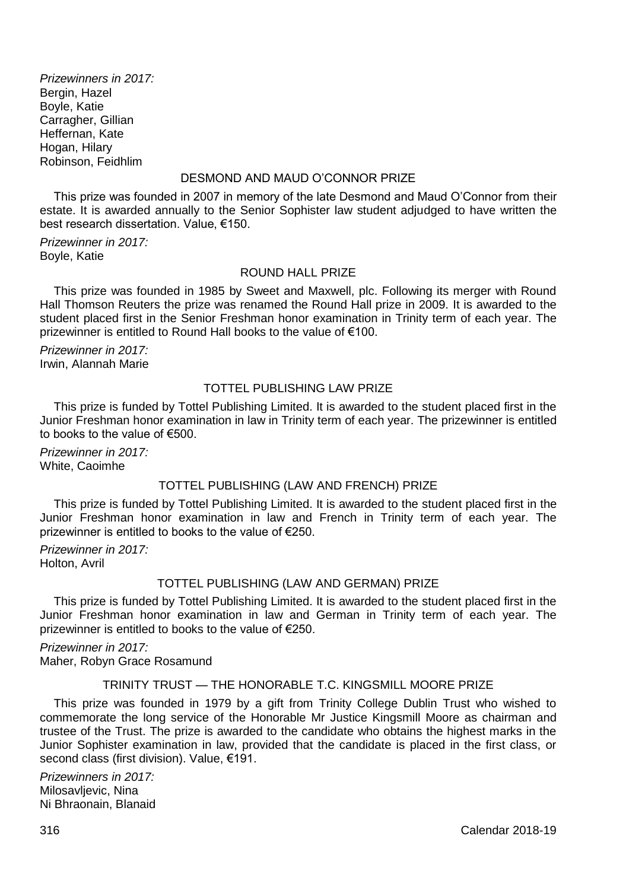*Prizewinners in 2017:* Bergin, Hazel Boyle, Katie Carragher, Gillian Heffernan, Kate Hogan, Hilary Robinson, Feidhlim

# DESMOND AND MAUD O'CONNOR PRIZE

This prize was founded in 2007 in memory of the late Desmond and Maud O'Connor from their estate. It is awarded annually to the Senior Sophister law student adjudged to have written the best research dissertation. Value, €150.

*Prizewinner in 2017:* Boyle, Katie

## ROUND HALL PRIZE

This prize was founded in 1985 by Sweet and Maxwell, plc. Following its merger with Round Hall Thomson Reuters the prize was renamed the Round Hall prize in 2009. It is awarded to the student placed first in the Senior Freshman honor examination in Trinity term of each year. The prizewinner is entitled to Round Hall books to the value of €100.

*Prizewinner in 2017:* Irwin, Alannah Marie

# TOTTEL PUBLISHING LAW PRIZE

This prize is funded by Tottel Publishing Limited. It is awarded to the student placed first in the Junior Freshman honor examination in law in Trinity term of each year. The prizewinner is entitled to books to the value of €500.

*Prizewinner in 2017:* White, Caoimhe

## TOTTEL PUBLISHING (LAW AND FRENCH) PRIZE

This prize is funded by Tottel Publishing Limited. It is awarded to the student placed first in the Junior Freshman honor examination in law and French in Trinity term of each year. The prizewinner is entitled to books to the value of €250.

*Prizewinner in 2017:* Holton, Avril

## TOTTEL PUBLISHING (LAW AND GERMAN) PRIZE

This prize is funded by Tottel Publishing Limited. It is awarded to the student placed first in the Junior Freshman honor examination in law and German in Trinity term of each year. The prizewinner is entitled to books to the value of €250.

*Prizewinner in 2017:* Maher, Robyn Grace Rosamund

## TRINITY TRUST — THE HONORABLE T.C. KINGSMILL MOORE PRIZE

This prize was founded in 1979 by a gift from Trinity College Dublin Trust who wished to commemorate the long service of the Honorable Mr Justice Kingsmill Moore as chairman and trustee of the Trust. The prize is awarded to the candidate who obtains the highest marks in the Junior Sophister examination in law, provided that the candidate is placed in the first class, or second class (first division). Value, €191.

*Prizewinners in 2017:* Milosavlievic, Nina Ni Bhraonain, Blanaid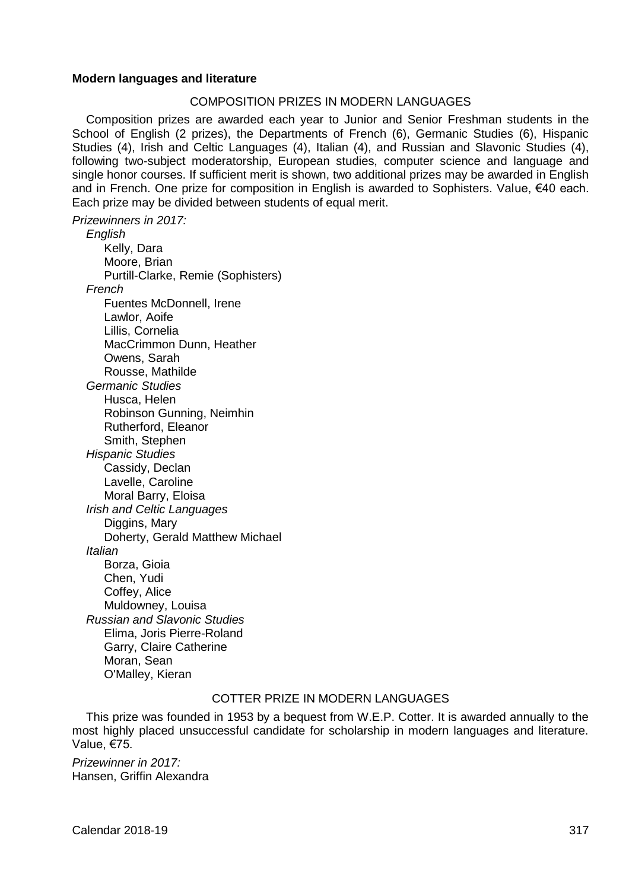## **Modern languages and literature**

#### COMPOSITION PRIZES IN MODERN LANGUAGES

Composition prizes are awarded each year to Junior and Senior Freshman students in the School of English (2 prizes), the Departments of French (6), Germanic Studies (6), Hispanic Studies (4), Irish and Celtic Languages (4), Italian (4), and Russian and Slavonic Studies (4), following two-subject moderatorship, European studies, computer science and language and single honor courses. If sufficient merit is shown, two additional prizes may be awarded in English and in French. One prize for composition in English is awarded to Sophisters. Value, €40 each. Each prize may be divided between students of equal merit.

*Prizewinners in 2017:*

*English* Kelly, Dara Moore, Brian Purtill-Clarke, Remie (Sophisters) *French* Fuentes McDonnell, Irene Lawlor, Aoife Lillis, Cornelia MacCrimmon Dunn, Heather Owens, Sarah Rousse, Mathilde *Germanic Studies* Husca, Helen Robinson Gunning, Neimhin Rutherford, Eleanor Smith, Stephen *Hispanic Studies* Cassidy, Declan Lavelle, Caroline Moral Barry, Eloisa *Irish and Celtic Languages* Diggins, Mary Doherty, Gerald Matthew Michael *Italian* Borza, Gioia Chen, Yudi Coffey, Alice Muldowney, Louisa *Russian and Slavonic Studies* Elima, Joris Pierre-Roland Garry, Claire Catherine Moran, Sean O'Malley, Kieran

# COTTER PRIZE IN MODERN LANGUAGES

This prize was founded in 1953 by a bequest from W.E.P. Cotter. It is awarded annually to the most highly placed unsuccessful candidate for scholarship in modern languages and literature. Value, €75.

*Prizewinner in 2017:* Hansen, Griffin Alexandra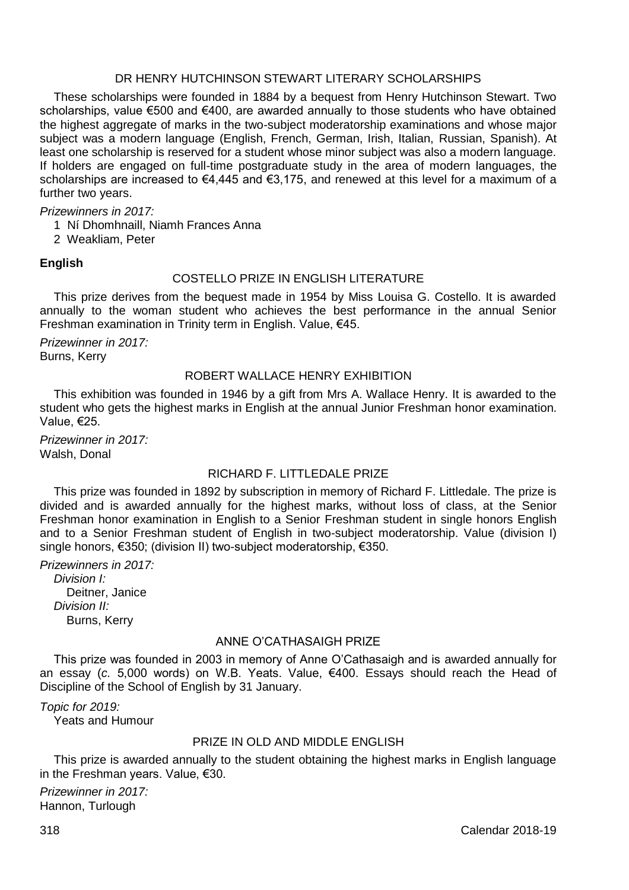## DR HENRY HUTCHINSON STEWART LITERARY SCHOLARSHIPS

These scholarships were founded in 1884 by a bequest from Henry Hutchinson Stewart. Two scholarships, value €500 and €400, are awarded annually to those students who have obtained the highest aggregate of marks in the two-subject moderatorship examinations and whose major subject was a modern language (English, French, German, Irish, Italian, Russian, Spanish). At least one scholarship is reserved for a student whose minor subject was also a modern language. If holders are engaged on full-time postgraduate study in the area of modern languages, the scholarships are increased to €4,445 and €3,175, and renewed at this level for a maximum of a further two years.

*Prizewinners in 2017:*

1 Ní Dhomhnaill, Niamh Frances Anna

2 Weakliam, Peter

**English**

## COSTELLO PRIZE IN ENGLISH LITERATURE

This prize derives from the bequest made in 1954 by Miss Louisa G. Costello. It is awarded annually to the woman student who achieves the best performance in the annual Senior Freshman examination in Trinity term in English. Value, €45.

*Prizewinner in 2017:* Burns, Kerry

### ROBERT WALLACE HENRY EXHIBITION

This exhibition was founded in 1946 by a gift from Mrs A. Wallace Henry. It is awarded to the student who gets the highest marks in English at the annual Junior Freshman honor examination. Value, €25.

*Prizewinner in 2017:* Walsh, Donal

## RICHARD F. LITTLEDALE PRIZE

This prize was founded in 1892 by subscription in memory of Richard F. Littledale. The prize is divided and is awarded annually for the highest marks, without loss of class, at the Senior Freshman honor examination in English to a Senior Freshman student in single honors English and to a Senior Freshman student of English in two-subject moderatorship. Value (division I) single honors, €350; (division II) two-subject moderatorship, €350.

*Prizewinners in 2017:*

*Division I:* Deitner, Janice *Division II:* Burns, Kerry

#### ANNE O'CATHASAIGH PRIZE

This prize was founded in 2003 in memory of Anne O'Cathasaigh and is awarded annually for an essay (*c.* 5,000 words) on W.B. Yeats. Value, €400. Essays should reach the Head of Discipline of the School of English by 31 January.

*Topic for 2019:* Yeats and Humour

## PRIZE IN OLD AND MIDDLE ENGLISH

This prize is awarded annually to the student obtaining the highest marks in English language in the Freshman years. Value, €30.

*Prizewinner in 2017:* Hannon, Turlough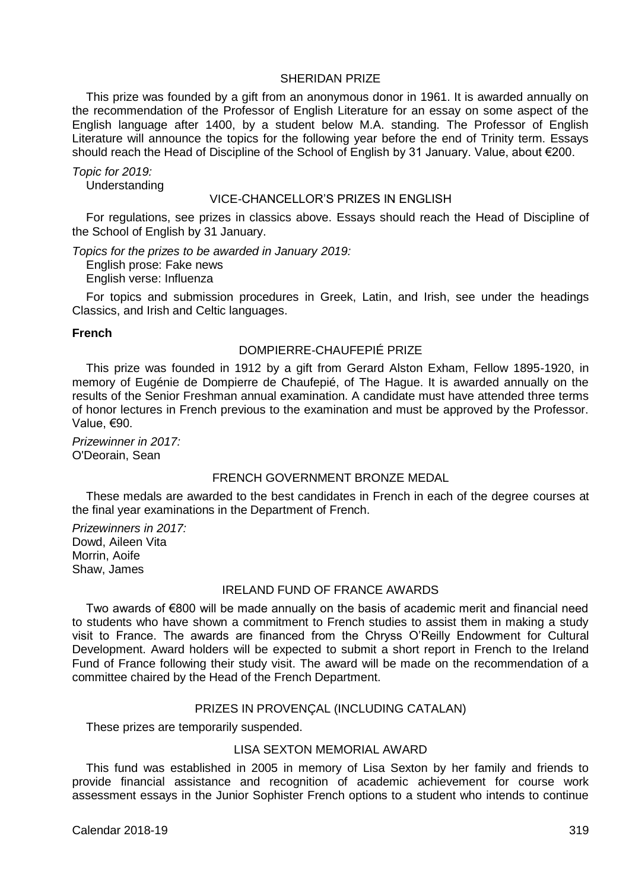#### SHERIDAN PRIZE

This prize was founded by a gift from an anonymous donor in 1961. It is awarded annually on the recommendation of the Professor of English Literature for an essay on some aspect of the English language after 1400, by a student below M.A. standing. The Professor of English Literature will announce the topics for the following year before the end of Trinity term. Essays should reach the Head of Discipline of the School of English by 31 January. Value, about €200.

*Topic for 2019:* Understanding

#### VICE-CHANCELLOR'S PRIZES IN ENGLISH

For regulations, see prizes in classics above. Essays should reach the Head of Discipline of the School of English by 31 January.

*Topics for the prizes to be awarded in January 2019:*

English prose: Fake news English verse: Influenza

For topics and submission procedures in Greek, Latin, and Irish, see under the headings Classics, and Irish and Celtic languages.

#### **French**

# DOMPIERRE-CHAUFEPIÉ PRIZE

This prize was founded in 1912 by a gift from Gerard Alston Exham, Fellow 1895-1920, in memory of Eugénie de Dompierre de Chaufepié, of The Hague. It is awarded annually on the results of the Senior Freshman annual examination. A candidate must have attended three terms of honor lectures in French previous to the examination and must be approved by the Professor. Value, €90.

*Prizewinner in 2017:* O'Deorain, Sean

# FRENCH GOVERNMENT BRONZE MEDAL

These medals are awarded to the best candidates in French in each of the degree courses at the final year examinations in the Department of French.

*Prizewinners in 2017:* Dowd, Aileen Vita Morrin, Aoife Shaw, James

#### IRELAND FUND OF FRANCE AWARDS

Two awards of €800 will be made annually on the basis of academic merit and financial need to students who have shown a commitment to French studies to assist them in making a study visit to France. The awards are financed from the Chryss O'Reilly Endowment for Cultural Development. Award holders will be expected to submit a short report in French to the Ireland Fund of France following their study visit. The award will be made on the recommendation of a committee chaired by the Head of the French Department.

#### PRIZES IN PROVENÇAL (INCLUDING CATALAN)

These prizes are temporarily suspended.

#### LISA SEXTON MEMORIAL AWARD

This fund was established in 2005 in memory of Lisa Sexton by her family and friends to provide financial assistance and recognition of academic achievement for course work assessment essays in the Junior Sophister French options to a student who intends to continue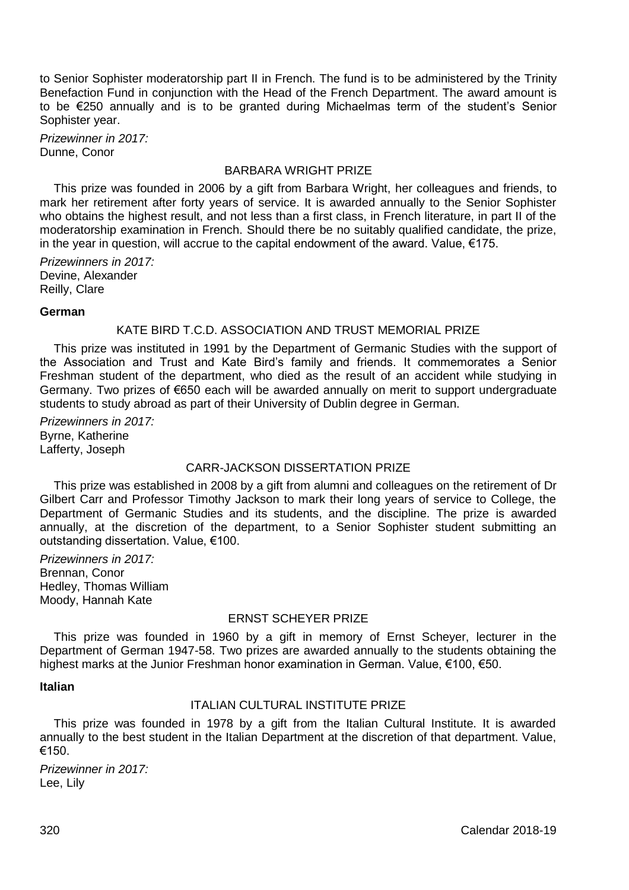to Senior Sophister moderatorship part II in French. The fund is to be administered by the Trinity Benefaction Fund in conjunction with the Head of the French Department. The award amount is to be €250 annually and is to be granted during Michaelmas term of the student's Senior Sophister year.

*Prizewinner in 2017:* Dunne, Conor

# BARBARA WRIGHT PRIZE

This prize was founded in 2006 by a gift from Barbara Wright, her colleagues and friends, to mark her retirement after forty years of service. It is awarded annually to the Senior Sophister who obtains the highest result, and not less than a first class, in French literature, in part II of the moderatorship examination in French. Should there be no suitably qualified candidate, the prize, in the year in question, will accrue to the capital endowment of the award. Value, €175.

*Prizewinners in 2017:* Devine, Alexander Reilly, Clare

#### **German**

#### KATE BIRD T.C.D. ASSOCIATION AND TRUST MEMORIAL PRIZE

This prize was instituted in 1991 by the Department of Germanic Studies with the support of the Association and Trust and Kate Bird's family and friends. It commemorates a Senior Freshman student of the department, who died as the result of an accident while studying in Germany. Two prizes of €650 each will be awarded annually on merit to support undergraduate students to study abroad as part of their University of Dublin degree in German.

*Prizewinners in 2017:* Byrne, Katherine Lafferty, Joseph

#### CARR-JACKSON DISSERTATION PRIZE

This prize was established in 2008 by a gift from alumni and colleagues on the retirement of Dr Gilbert Carr and Professor Timothy Jackson to mark their long years of service to College, the Department of Germanic Studies and its students, and the discipline. The prize is awarded annually, at the discretion of the department, to a Senior Sophister student submitting an outstanding dissertation. Value, €100.

*Prizewinners in 2017:* Brennan, Conor Hedley, Thomas William Moody, Hannah Kate

## ERNST SCHEYER PRIZE

This prize was founded in 1960 by a gift in memory of Ernst Scheyer, lecturer in the Department of German 1947-58. Two prizes are awarded annually to the students obtaining the highest marks at the Junior Freshman honor examination in German. Value, €100, €50.

#### **Italian**

# ITALIAN CULTURAL INSTITUTE PRIZE

This prize was founded in 1978 by a gift from the Italian Cultural Institute. It is awarded annually to the best student in the Italian Department at the discretion of that department. Value, €150.

*Prizewinner in 2017:* Lee, Lily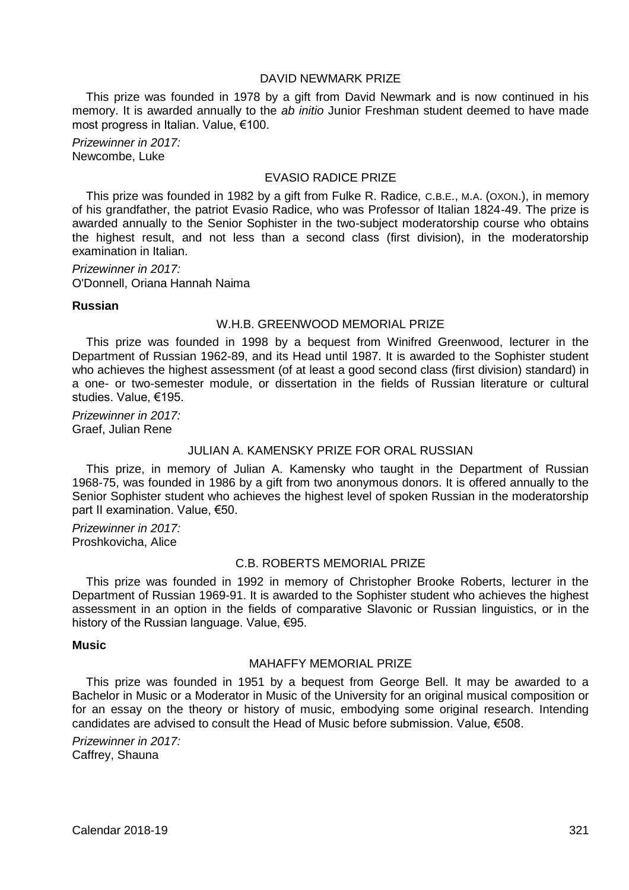### DAVID NEWMARK PRIZE

This prize was founded in 1978 by a gift from David Newmark and is now continued in his memory. It is awarded annually to the *ab initio* Junior Freshman student deemed to have made most progress in Italian. Value, €100.

*Prizewinner in 2017:* Newcombe, Luke

# EVASIO RADICE PRIZE

This prize was founded in 1982 by a gift from Fulke R. Radice, C.B.E., M.A. (OXON.), in memory of his grandfather, the patriot Evasio Radice, who was Professor of Italian 1824-49. The prize is awarded annually to the Senior Sophister in the two-subject moderatorship course who obtains the highest result, and not less than a second class (first division), in the moderatorship examination in Italian.

*Prizewinner in 2017:* O'Donnell, Oriana Hannah Naima

#### **Russian**

## W.H.B. GREENWOOD MEMORIAL PRIZE

This prize was founded in 1998 by a bequest from Winifred Greenwood, lecturer in the Department of Russian 1962-89, and its Head until 1987. It is awarded to the Sophister student who achieves the highest assessment (of at least a good second class (first division) standard) in a one- or two-semester module, or dissertation in the fields of Russian literature or cultural studies. Value, €195.

*Prizewinner in 2017:* Graef, Julian Rene

#### JULIAN A. KAMENSKY PRIZE FOR ORAL RUSSIAN

This prize, in memory of Julian A. Kamensky who taught in the Department of Russian 1968-75, was founded in 1986 by a gift from two anonymous donors. It is offered annually to the Senior Sophister student who achieves the highest level of spoken Russian in the moderatorship part II examination. Value, €50.

*Prizewinner in 2017:* Proshkovicha, Alice

# C.B. ROBERTS MEMORIAL PRIZE

This prize was founded in 1992 in memory of Christopher Brooke Roberts, lecturer in the Department of Russian 1969-91. It is awarded to the Sophister student who achieves the highest assessment in an option in the fields of comparative Slavonic or Russian linguistics, or in the history of the Russian language. Value, €95.

#### **Music**

## MAHAFFY MEMORIAL PRIZE

This prize was founded in 1951 by a bequest from George Bell. It may be awarded to a Bachelor in Music or a Moderator in Music of the University for an original musical composition or for an essay on the theory or history of music, embodying some original research. Intending candidates are advised to consult the Head of Music before submission. Value, €508.

*Prizewinner in 2017:* Caffrey, Shauna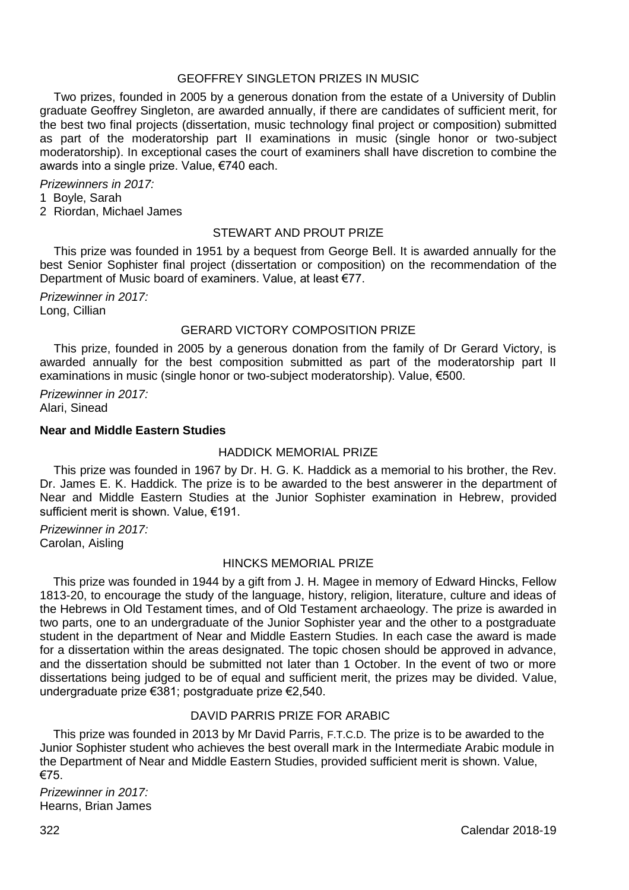### GEOFFREY SINGLETON PRIZES IN MUSIC

Two prizes, founded in 2005 by a generous donation from the estate of a University of Dublin graduate Geoffrey Singleton, are awarded annually, if there are candidates of sufficient merit, for the best two final projects (dissertation, music technology final project or composition) submitted as part of the moderatorship part II examinations in music (single honor or two-subject moderatorship). In exceptional cases the court of examiners shall have discretion to combine the awards into a single prize. Value, €740 each.

*Prizewinners in 2017:*

1 Boyle, Sarah

2 Riordan, Michael James

#### STEWART AND PROUT PRIZE

This prize was founded in 1951 by a bequest from George Bell. It is awarded annually for the best Senior Sophister final project (dissertation or composition) on the recommendation of the Department of Music board of examiners. Value, at least €77.

*Prizewinner in 2017:* Long, Cillian

## GERARD VICTORY COMPOSITION PRIZE

This prize, founded in 2005 by a generous donation from the family of Dr Gerard Victory, is awarded annually for the best composition submitted as part of the moderatorship part II examinations in music (single honor or two-subject moderatorship). Value, €500.

*Prizewinner in 2017:* Alari, Sinead

#### **Near and Middle Eastern Studies**

#### HADDICK MEMORIAL PRIZE

 This prize was founded in 1967 by Dr. H. G. K. Haddick as a memorial to his brother, the Rev. Dr. James E. K. Haddick. The prize is to be awarded to the best answerer in the department of Near and Middle Eastern Studies at the Junior Sophister examination in Hebrew, provided sufficient merit is shown. Value, €191.

*Prizewinner in 2017:* Carolan, Aisling

# HINCKS MEMORIAL PRIZE

 This prize was founded in 1944 by a gift from J. H. Magee in memory of Edward Hincks, Fellow 1813-20, to encourage the study of the language, history, religion, literature, culture and ideas of the Hebrews in Old Testament times, and of Old Testament archaeology. The prize is awarded in two parts, one to an undergraduate of the Junior Sophister year and the other to a postgraduate student in the department of Near and Middle Eastern Studies. In each case the award is made for a dissertation within the areas designated. The topic chosen should be approved in advance, and the dissertation should be submitted not later than 1 October. In the event of two or more dissertations being judged to be of equal and sufficient merit, the prizes may be divided. Value, undergraduate prize €381; postgraduate prize €2,540.

#### DAVID PARRIS PRIZE FOR ARABIC

 This prize was founded in 2013 by Mr David Parris, F.T.C.D. The prize is to be awarded to the Junior Sophister student who achieves the best overall mark in the Intermediate Arabic module in the Department of Near and Middle Eastern Studies, provided sufficient merit is shown. Value, €75.

*Prizewinner in 2017:* Hearns, Brian James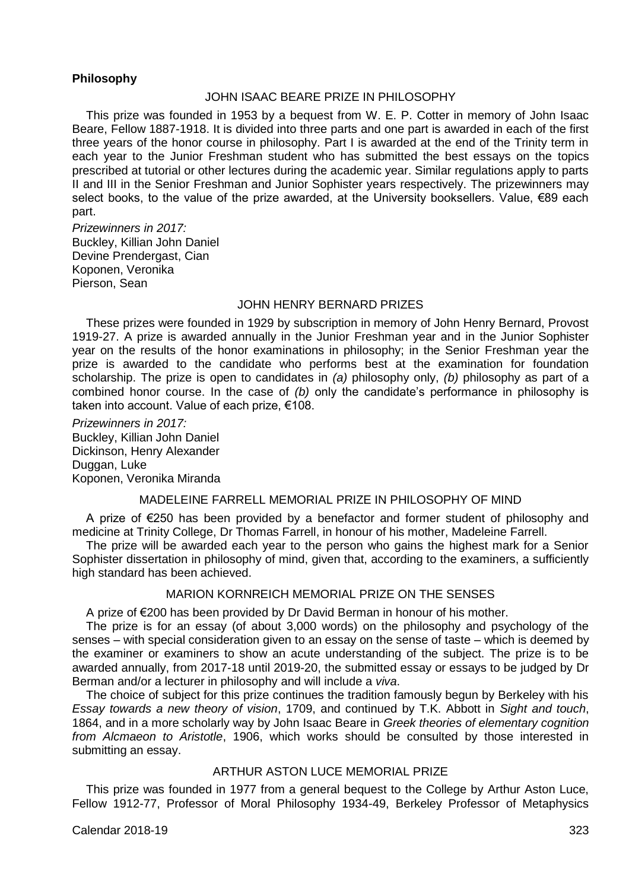## **Philosophy**

# JOHN ISAAC BEARE PRIZE IN PHILOSOPHY

This prize was founded in 1953 by a bequest from W. E. P. Cotter in memory of John Isaac Beare, Fellow 1887-1918. It is divided into three parts and one part is awarded in each of the first three years of the honor course in philosophy. Part I is awarded at the end of the Trinity term in each year to the Junior Freshman student who has submitted the best essays on the topics prescribed at tutorial or other lectures during the academic year. Similar regulations apply to parts II and III in the Senior Freshman and Junior Sophister years respectively. The prizewinners may select books, to the value of the prize awarded, at the University booksellers. Value, €89 each part.

*Prizewinners in 2017:* Buckley, Killian John Daniel Devine Prendergast, Cian Koponen, Veronika Pierson, Sean

#### JOHN HENRY BERNARD PRIZES

These prizes were founded in 1929 by subscription in memory of John Henry Bernard, Provost 1919-27. A prize is awarded annually in the Junior Freshman year and in the Junior Sophister year on the results of the honor examinations in philosophy; in the Senior Freshman year the prize is awarded to the candidate who performs best at the examination for foundation scholarship. The prize is open to candidates in *(a)* philosophy only, *(b)* philosophy as part of a combined honor course. In the case of *(b)* only the candidate's performance in philosophy is taken into account. Value of each prize, €108.

*Prizewinners in 2017:* Buckley, Killian John Daniel Dickinson, Henry Alexander Duggan, Luke Koponen, Veronika Miranda

#### MADELEINE FARRELL MEMORIAL PRIZE IN PHILOSOPHY OF MIND

A prize of €250 has been provided by a benefactor and former student of philosophy and medicine at Trinity College, Dr Thomas Farrell, in honour of his mother, Madeleine Farrell.

The prize will be awarded each year to the person who gains the highest mark for a Senior Sophister dissertation in philosophy of mind, given that, according to the examiners, a sufficiently high standard has been achieved.

### MARION KORNREICH MEMORIAL PRIZE ON THE SENSES

A prize of €200 has been provided by Dr David Berman in honour of his mother.

The prize is for an essay (of about 3,000 words) on the philosophy and psychology of the senses – with special consideration given to an essay on the sense of taste – which is deemed by the examiner or examiners to show an acute understanding of the subject. The prize is to be awarded annually, from 2017-18 until 2019-20, the submitted essay or essays to be judged by Dr Berman and/or a lecturer in philosophy and will include a *viva*.

The choice of subject for this prize continues the tradition famously begun by Berkeley with his *Essay towards a new theory of vision*, 1709, and continued by T.K. Abbott in *Sight and touch*, 1864, and in a more scholarly way by John Isaac Beare in *Greek theories of elementary cognition from Alcmaeon to Aristotle*, 1906, which works should be consulted by those interested in submitting an essay.

# ARTHUR ASTON LUCE MEMORIAL PRIZE

This prize was founded in 1977 from a general bequest to the College by Arthur Aston Luce, Fellow 1912-77, Professor of Moral Philosophy 1934-49, Berkeley Professor of Metaphysics

Calendar 2018-19 323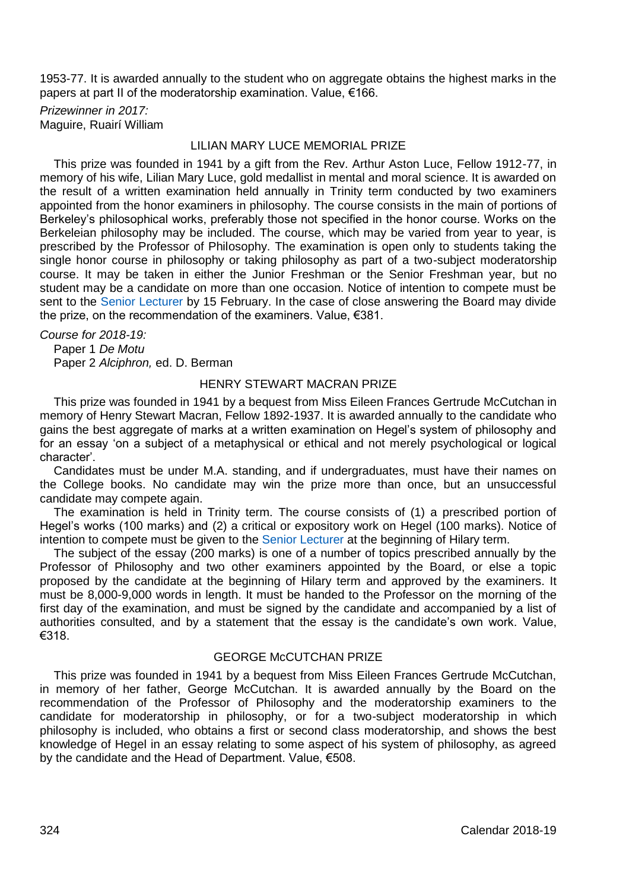1953-77. It is awarded annually to the student who on aggregate obtains the highest marks in the papers at part II of the moderatorship examination. Value, €166.

*Prizewinner in 2017:* Maguire, Ruairí William

## LILIAN MARY LUCE MEMORIAL PRIZE

This prize was founded in 1941 by a gift from the Rev. Arthur Aston Luce, Fellow 1912-77, in memory of his wife, Lilian Mary Luce, gold medallist in mental and moral science. It is awarded on the result of a written examination held annually in Trinity term conducted by two examiners appointed from the honor examiners in philosophy. The course consists in the main of portions of Berkeley's philosophical works, preferably those not specified in the honor course. Works on the Berkeleian philosophy may be included. The course, which may be varied from year to year, is prescribed by the Professor of Philosophy. The examination is open only to students taking the single honor course in philosophy or taking philosophy as part of a two-subject moderatorship course. It may be taken in either the Junior Freshman or the Senior Freshman year, but no student may be a candidate on more than one occasion. Notice of intention to compete must be sent to the [Senior Lecturer](http://www.tcd.ie/undergraduate-studies/contact/) by 15 February. In the case of close answering the Board may divide the prize, on the recommendation of the examiners. Value, €381.

*Course for 2018-19:* Paper 1 *De Motu* Paper 2 *Alciphron,* ed. D. Berman

#### HENRY STEWART MACRAN PRIZE

This prize was founded in 1941 by a bequest from Miss Eileen Frances Gertrude McCutchan in memory of Henry Stewart Macran, Fellow 1892-1937. It is awarded annually to the candidate who gains the best aggregate of marks at a written examination on Hegel's system of philosophy and for an essay 'on a subject of a metaphysical or ethical and not merely psychological or logical character'.

Candidates must be under M.A. standing, and if undergraduates, must have their names on the College books. No candidate may win the prize more than once, but an unsuccessful candidate may compete again.

The examination is held in Trinity term. The course consists of (1) a prescribed portion of Hegel's works (100 marks) and (2) a critical or expository work on Hegel (100 marks). Notice of intention to compete must be given to th[e Senior Lecturer](http://www.tcd.ie/undergraduate-studies/contact/) at the beginning of Hilary term.

The subject of the essay (200 marks) is one of a number of topics prescribed annually by the Professor of Philosophy and two other examiners appointed by the Board, or else a topic proposed by the candidate at the beginning of Hilary term and approved by the examiners. It must be 8,000-9,000 words in length. It must be handed to the Professor on the morning of the first day of the examination, and must be signed by the candidate and accompanied by a list of authorities consulted, and by a statement that the essay is the candidate's own work. Value, €318.

# GEORGE McCUTCHAN PRIZE

This prize was founded in 1941 by a bequest from Miss Eileen Frances Gertrude McCutchan, in memory of her father, George McCutchan. It is awarded annually by the Board on the recommendation of the Professor of Philosophy and the moderatorship examiners to the candidate for moderatorship in philosophy, or for a two-subject moderatorship in which philosophy is included, who obtains a first or second class moderatorship, and shows the best knowledge of Hegel in an essay relating to some aspect of his system of philosophy, as agreed by the candidate and the Head of Department. Value, €508.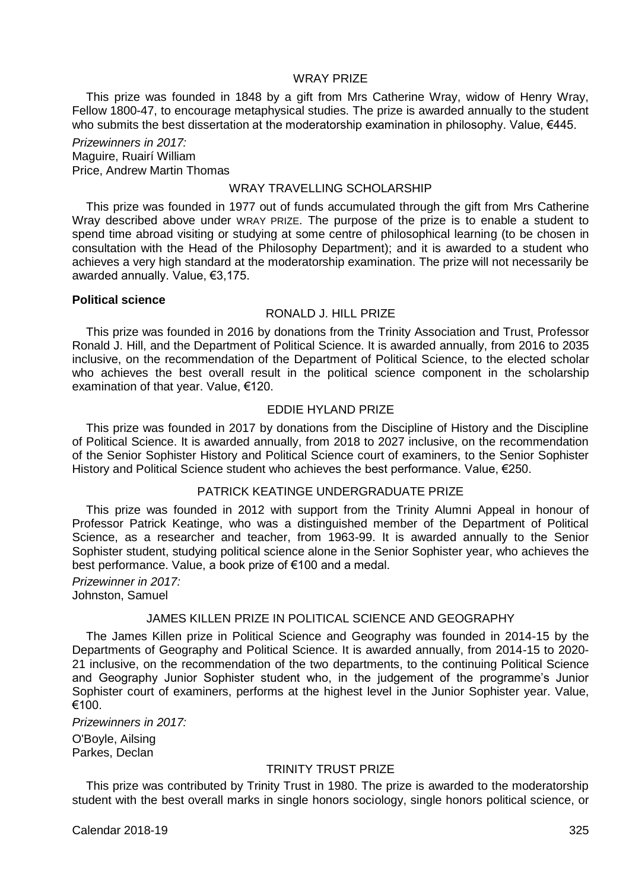# WRAY PRIZE

This prize was founded in 1848 by a gift from Mrs Catherine Wray, widow of Henry Wray, Fellow 1800-47, to encourage metaphysical studies. The prize is awarded annually to the student who submits the best dissertation at the moderatorship examination in philosophy. Value, €445.

*Prizewinners in 2017:* Maguire, Ruairí William Price, Andrew Martin Thomas

#### WRAY TRAVELLING SCHOLARSHIP

This prize was founded in 1977 out of funds accumulated through the gift from Mrs Catherine Wray described above under WRAY PRIZE. The purpose of the prize is to enable a student to spend time abroad visiting or studying at some centre of philosophical learning (to be chosen in consultation with the Head of the Philosophy Department); and it is awarded to a student who achieves a very high standard at the moderatorship examination. The prize will not necessarily be awarded annually. Value, €3,175.

#### **Political science**

# RONALD J. HILL PRIZE

This prize was founded in 2016 by donations from the Trinity Association and Trust, Professor Ronald J. Hill, and the Department of Political Science. It is awarded annually, from 2016 to 2035 inclusive, on the recommendation of the Department of Political Science, to the elected scholar who achieves the best overall result in the political science component in the scholarship examination of that year. Value, €120.

## EDDIE HYLAND PRIZE

This prize was founded in 2017 by donations from the Discipline of History and the Discipline of Political Science. It is awarded annually, from 2018 to 2027 inclusive, on the recommendation of the Senior Sophister History and Political Science court of examiners, to the Senior Sophister History and Political Science student who achieves the best performance. Value, €250.

## PATRICK KEATINGE UNDERGRADUATE PRIZE

This prize was founded in 2012 with support from the Trinity Alumni Appeal in honour of Professor Patrick Keatinge, who was a distinguished member of the Department of Political Science, as a researcher and teacher, from 1963-99. It is awarded annually to the Senior Sophister student, studying political science alone in the Senior Sophister year, who achieves the best performance. Value, a book prize of €100 and a medal.

*Prizewinner in 2017:* Johnston, Samuel

## JAMES KILLEN PRIZE IN POLITICAL SCIENCE AND GEOGRAPHY

The James Killen prize in Political Science and Geography was founded in 2014-15 by the Departments of Geography and Political Science. It is awarded annually, from 2014-15 to 2020- 21 inclusive, on the recommendation of the two departments, to the continuing Political Science and Geography Junior Sophister student who, in the judgement of the programme's Junior Sophister court of examiners, performs at the highest level in the Junior Sophister year. Value, €100.

*Prizewinners in 2017:*

O'Boyle, Ailsing Parkes, Declan

#### TRINITY TRUST PRIZE

This prize was contributed by Trinity Trust in 1980. The prize is awarded to the moderatorship student with the best overall marks in single honors sociology, single honors political science, or

Calendar 2018-19 325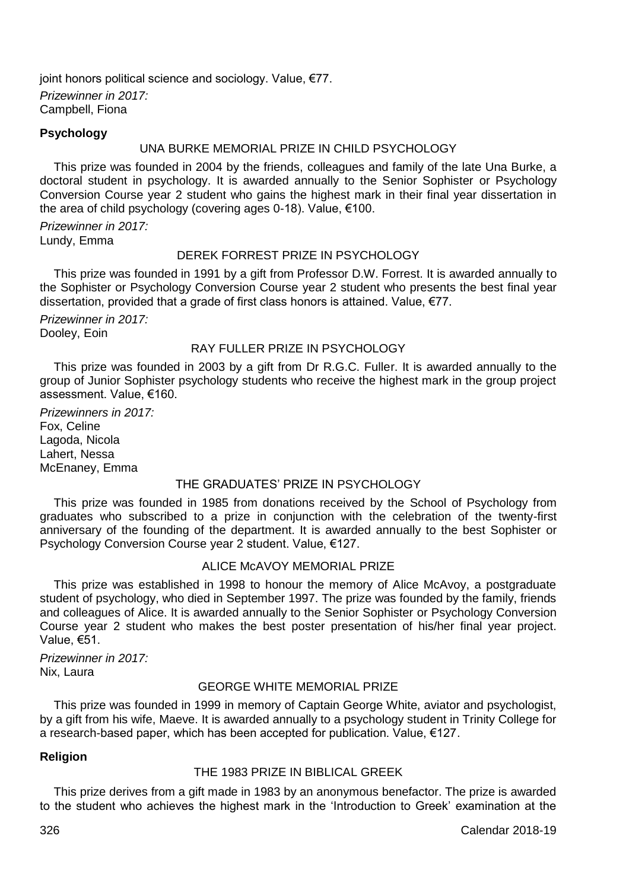joint honors political science and sociology. Value, €77. *Prizewinner in 2017:* Campbell, Fiona

## **Psychology**

## UNA BURKE MEMORIAL PRIZE IN CHILD PSYCHOLOGY

This prize was founded in 2004 by the friends, colleagues and family of the late Una Burke, a doctoral student in psychology. It is awarded annually to the Senior Sophister or Psychology Conversion Course year 2 student who gains the highest mark in their final year dissertation in the area of child psychology (covering ages 0-18). Value, €100.

*Prizewinner in 2017:* Lundy, Emma

# DEREK FORREST PRIZE IN PSYCHOLOGY

This prize was founded in 1991 by a gift from Professor D.W. Forrest. It is awarded annually to the Sophister or Psychology Conversion Course year 2 student who presents the best final year dissertation, provided that a grade of first class honors is attained. Value, €77.

*Prizewinner in 2017:* Dooley, Eoin

## RAY FULLER PRIZE IN PSYCHOLOGY

This prize was founded in 2003 by a gift from Dr R.G.C. Fuller. It is awarded annually to the group of Junior Sophister psychology students who receive the highest mark in the group project assessment. Value, €160.

*Prizewinners in 2017:* Fox, Celine Lagoda, Nicola Lahert, Nessa McEnaney, Emma

## THE GRADUATES' PRIZE IN PSYCHOLOGY

This prize was founded in 1985 from donations received by the School of Psychology from graduates who subscribed to a prize in conjunction with the celebration of the twenty-first anniversary of the founding of the department. It is awarded annually to the best Sophister or Psychology Conversion Course year 2 student. Value, €127.

## ALICE McAVOY MEMORIAL PRIZE

This prize was established in 1998 to honour the memory of Alice McAvoy, a postgraduate student of psychology, who died in September 1997. The prize was founded by the family, friends and colleagues of Alice. It is awarded annually to the Senior Sophister or Psychology Conversion Course year 2 student who makes the best poster presentation of his/her final year project. Value, €51.

*Prizewinner in 2017:* Nix, Laura

# GEORGE WHITE MEMORIAL PRIZE

This prize was founded in 1999 in memory of Captain George White, aviator and psychologist, by a gift from his wife, Maeve. It is awarded annually to a psychology student in Trinity College for a research-based paper, which has been accepted for publication. Value, €127.

# **Religion**

## THE 1983 PRIZE IN BIBLICAL GREEK

This prize derives from a gift made in 1983 by an anonymous benefactor. The prize is awarded to the student who achieves the highest mark in the 'Introduction to Greek' examination at the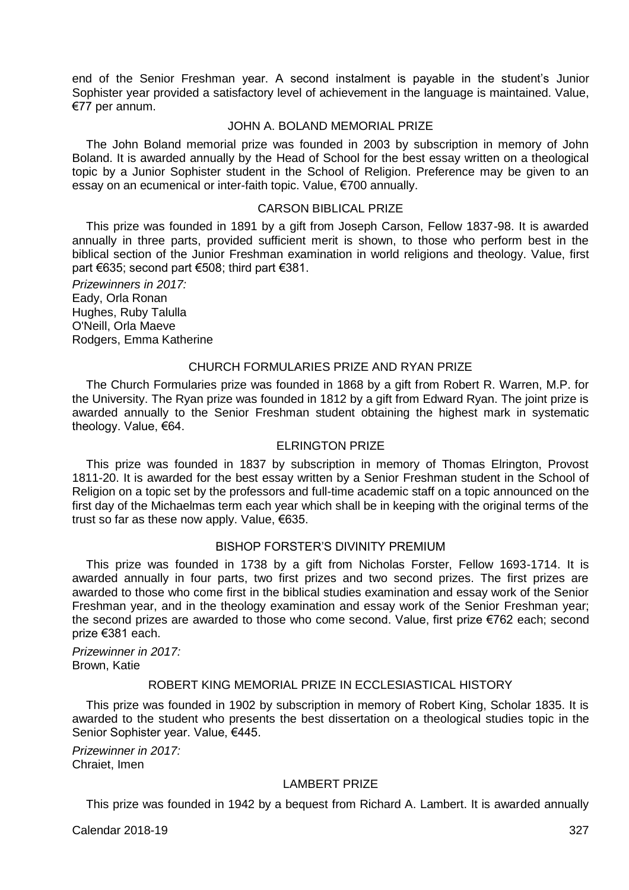end of the Senior Freshman year. A second instalment is payable in the student's Junior Sophister year provided a satisfactory level of achievement in the language is maintained. Value, €77 per annum.

#### JOHN A. BOLAND MEMORIAL PRIZE

The John Boland memorial prize was founded in 2003 by subscription in memory of John Boland. It is awarded annually by the Head of School for the best essay written on a theological topic by a Junior Sophister student in the School of Religion. Preference may be given to an essay on an ecumenical or inter-faith topic. Value, €700 annually.

#### CARSON BIBLICAL PRIZE

This prize was founded in 1891 by a gift from Joseph Carson, Fellow 1837-98. It is awarded annually in three parts, provided sufficient merit is shown, to those who perform best in the biblical section of the Junior Freshman examination in world religions and theology. Value, first part €635; second part €508; third part €381.

*Prizewinners in 2017:* Eady, Orla Ronan Hughes, Ruby Talulla O'Neill, Orla Maeve Rodgers, Emma Katherine

## CHURCH FORMULARIES PRIZE AND RYAN PRIZE

The Church Formularies prize was founded in 1868 by a gift from Robert R. Warren, M.P. for the University. The Ryan prize was founded in 1812 by a gift from Edward Ryan. The joint prize is awarded annually to the Senior Freshman student obtaining the highest mark in systematic theology. Value, €64.

#### ELRINGTON PRIZE

This prize was founded in 1837 by subscription in memory of Thomas Elrington, Provost 1811-20. It is awarded for the best essay written by a Senior Freshman student in the School of Religion on a topic set by the professors and full-time academic staff on a topic announced on the first day of the Michaelmas term each year which shall be in keeping with the original terms of the trust so far as these now apply. Value. €635.

## BISHOP FORSTER'S DIVINITY PREMIUM

This prize was founded in 1738 by a gift from Nicholas Forster, Fellow 1693-1714. It is awarded annually in four parts, two first prizes and two second prizes. The first prizes are awarded to those who come first in the biblical studies examination and essay work of the Senior Freshman year, and in the theology examination and essay work of the Senior Freshman year; the second prizes are awarded to those who come second. Value, first prize €762 each; second prize €381 each.

*Prizewinner in 2017:* Brown, Katie

#### ROBERT KING MEMORIAL PRIZE IN ECCLESIASTICAL HISTORY

This prize was founded in 1902 by subscription in memory of Robert King, Scholar 1835. It is awarded to the student who presents the best dissertation on a theological studies topic in the Senior Sophister year. Value, €445.

*Prizewinner in 2017:* Chraiet, Imen

## LAMBERT PRIZE

This prize was founded in 1942 by a bequest from Richard A. Lambert. It is awarded annually

Calendar 2018-19 327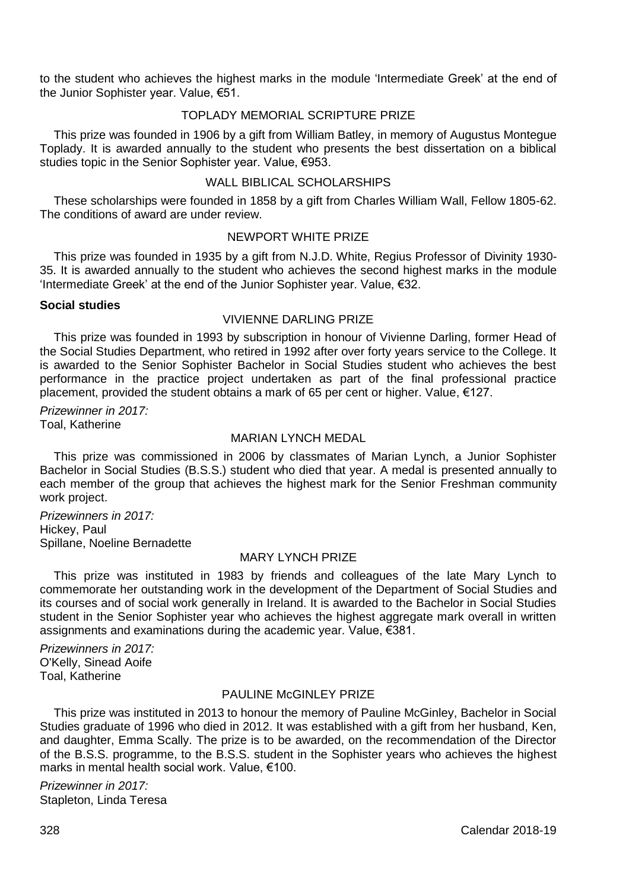to the student who achieves the highest marks in the module 'Intermediate Greek' at the end of the Junior Sophister year. Value, €51.

# TOPLADY MEMORIAL SCRIPTURE PRIZE

This prize was founded in 1906 by a gift from William Batley, in memory of Augustus Montegue Toplady. It is awarded annually to the student who presents the best dissertation on a biblical studies topic in the Senior Sophister year. Value, €953.

## WALL BIBLICAL SCHOLARSHIPS

These scholarships were founded in 1858 by a gift from Charles William Wall, Fellow 1805-62. The conditions of award are under review.

## NEWPORT WHITE PRIZE

This prize was founded in 1935 by a gift from N.J.D. White, Regius Professor of Divinity 1930- 35. It is awarded annually to the student who achieves the second highest marks in the module 'Intermediate Greek' at the end of the Junior Sophister year. Value, €32.

#### **Social studies**

# VIVIENNE DARLING PRIZE

This prize was founded in 1993 by subscription in honour of Vivienne Darling, former Head of the Social Studies Department, who retired in 1992 after over forty years service to the College. It is awarded to the Senior Sophister Bachelor in Social Studies student who achieves the best performance in the practice project undertaken as part of the final professional practice placement, provided the student obtains a mark of 65 per cent or higher. Value, €127.

*Prizewinner in 2017:* Toal, Katherine

## MARIAN LYNCH MEDAL

This prize was commissioned in 2006 by classmates of Marian Lynch, a Junior Sophister Bachelor in Social Studies (B.S.S.) student who died that year. A medal is presented annually to each member of the group that achieves the highest mark for the Senior Freshman community work project.

*Prizewinners in 2017:* Hickey, Paul Spillane, Noeline Bernadette

## MARY LYNCH PRIZE

This prize was instituted in 1983 by friends and colleagues of the late Mary Lynch to commemorate her outstanding work in the development of the Department of Social Studies and its courses and of social work generally in Ireland. It is awarded to the Bachelor in Social Studies student in the Senior Sophister year who achieves the highest aggregate mark overall in written assignments and examinations during the academic year. Value, €381.

*Prizewinners in 2017:* O'Kelly, Sinead Aoife Toal, Katherine

## PAULINE McGINLEY PRIZE

This prize was instituted in 2013 to honour the memory of Pauline McGinley, Bachelor in Social Studies graduate of 1996 who died in 2012. It was established with a gift from her husband, Ken, and daughter, Emma Scally. The prize is to be awarded, on the recommendation of the Director of the B.S.S. programme, to the B.S.S. student in the Sophister years who achieves the highest marks in mental health social work. Value, €100.

*Prizewinner in 2017:* Stapleton, Linda Teresa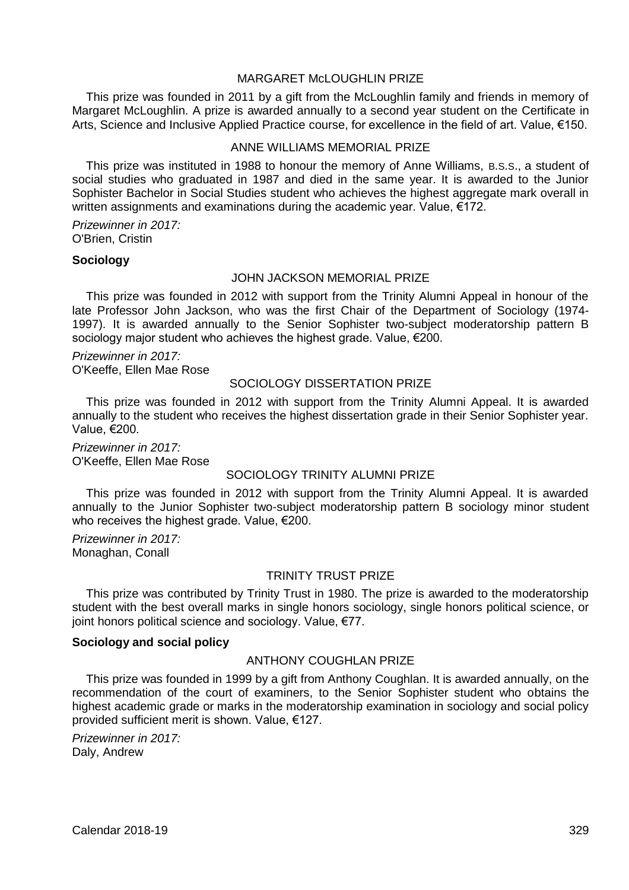## MARGARET McLOUGHLIN PRIZE

This prize was founded in 2011 by a gift from the McLoughlin family and friends in memory of Margaret McLoughlin. A prize is awarded annually to a second year student on the Certificate in Arts, Science and Inclusive Applied Practice course, for excellence in the field of art. Value, €150.

## ANNE WILLIAMS MEMORIAL PRIZE

This prize was instituted in 1988 to honour the memory of Anne Williams, B.S.S., a student of social studies who graduated in 1987 and died in the same year. It is awarded to the Junior Sophister Bachelor in Social Studies student who achieves the highest aggregate mark overall in written assignments and examinations during the academic year. Value, €172.

*Prizewinner in 2017:* O'Brien, Cristin

#### **Sociology**

## JOHN JACKSON MEMORIAL PRIZE

This prize was founded in 2012 with support from the Trinity Alumni Appeal in honour of the late Professor John Jackson, who was the first Chair of the Department of Sociology (1974- 1997). It is awarded annually to the Senior Sophister two-subject moderatorship pattern B sociology major student who achieves the highest grade. Value, €200.

*Prizewinner in 2017:* O'Keeffe, Ellen Mae Rose

#### SOCIOLOGY DISSERTATION PRIZE

This prize was founded in 2012 with support from the Trinity Alumni Appeal. It is awarded annually to the student who receives the highest dissertation grade in their Senior Sophister year. Value, €200.

*Prizewinner in 2017:* O'Keeffe, Ellen Mae Rose

## SOCIOLOGY TRINITY ALUMNI PRIZE

This prize was founded in 2012 with support from the Trinity Alumni Appeal. It is awarded annually to the Junior Sophister two-subject moderatorship pattern B sociology minor student who receives the highest grade. Value, €200.

*Prizewinner in 2017:* Monaghan, Conall

#### TRINITY TRUST PRIZE

This prize was contributed by Trinity Trust in 1980. The prize is awarded to the moderatorship student with the best overall marks in single honors sociology, single honors political science, or joint honors political science and sociology. Value, €77.

#### **Sociology and social policy**

# ANTHONY COUGHLAN PRIZE

This prize was founded in 1999 by a gift from Anthony Coughlan. It is awarded annually, on the recommendation of the court of examiners, to the Senior Sophister student who obtains the highest academic grade or marks in the moderatorship examination in sociology and social policy provided sufficient merit is shown. Value, €127.

*Prizewinner in 2017:* Daly, Andrew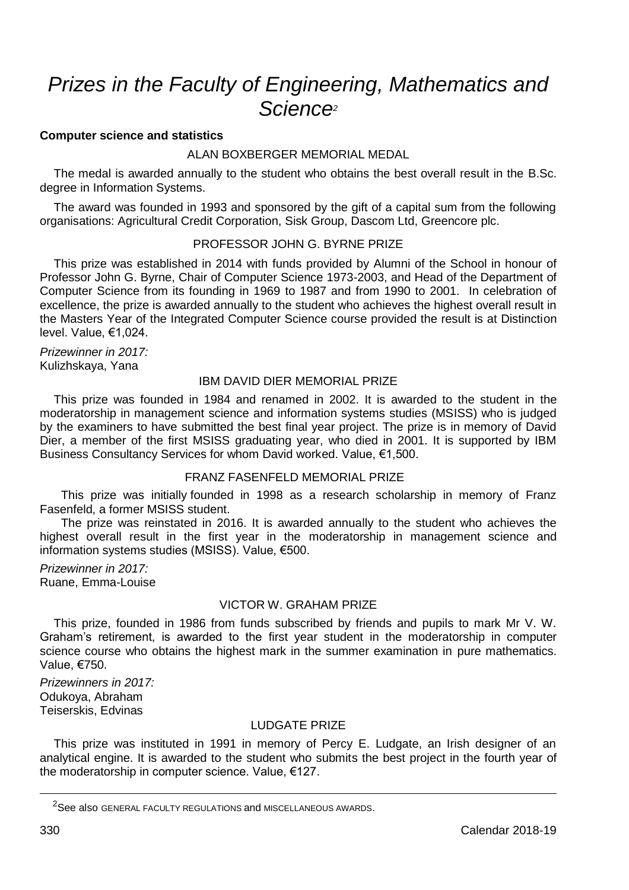# *Prizes in the Faculty of Engineering, Mathematics and Science<sup>2</sup>*

#### **Computer science and statistics**

## ALAN BOXBERGER MEMORIAL MEDAL

The medal is awarded annually to the student who obtains the best overall result in the B.Sc. degree in Information Systems.

The award was founded in 1993 and sponsored by the gift of a capital sum from the following organisations: Agricultural Credit Corporation, Sisk Group, Dascom Ltd, Greencore plc.

#### PROFESSOR JOHN G. BYRNE PRIZE

This prize was established in 2014 with funds provided by Alumni of the School in honour of Professor John G. Byrne, Chair of Computer Science 1973-2003, and Head of the Department of Computer Science from its founding in 1969 to 1987 and from 1990 to 2001. In celebration of excellence, the prize is awarded annually to the student who achieves the highest overall result in the Masters Year of the Integrated Computer Science course provided the result is at Distinction level. Value, €1,024.

*Prizewinner in 2017:* Kulizhskaya, Yana

## IBM DAVID DIER MEMORIAL PRIZE

This prize was founded in 1984 and renamed in 2002. It is awarded to the student in the moderatorship in management science and information systems studies (MSISS) who is judged by the examiners to have submitted the best final year project. The prize is in memory of David Dier, a member of the first MSISS graduating year, who died in 2001. It is supported by IBM Business Consultancy Services for whom David worked. Value, €1,500.

#### FRANZ FASENFELD MEMORIAL PRIZE

This prize was initially founded in 1998 as a research scholarship in memory of Franz Fasenfeld, a former MSISS student.

The prize was reinstated in 2016. It is awarded annually to the student who achieves the highest overall result in the first year in the moderatorship in management science and information systems studies (MSISS). Value, €500.

*Prizewinner in 2017:* Ruane, Emma-Louise

## VICTOR W. GRAHAM PRIZE

This prize, founded in 1986 from funds subscribed by friends and pupils to mark Mr V. W. Graham's retirement, is awarded to the first year student in the moderatorship in computer science course who obtains the highest mark in the summer examination in pure mathematics. Value, €750.

*Prizewinners in 2017:* Odukoya, Abraham Teiserskis, Edvinas

## LUDGATE PRIZE

This prize was instituted in 1991 in memory of Percy E. Ludgate, an Irish designer of an analytical engine. It is awarded to the student who submits the best project in the fourth year of the moderatorship in computer science. Value, €127.

<u>.</u>

<sup>2</sup>See also GENERAL FACULTY REGULATIONS and MISCELLANEOUS AWARDS.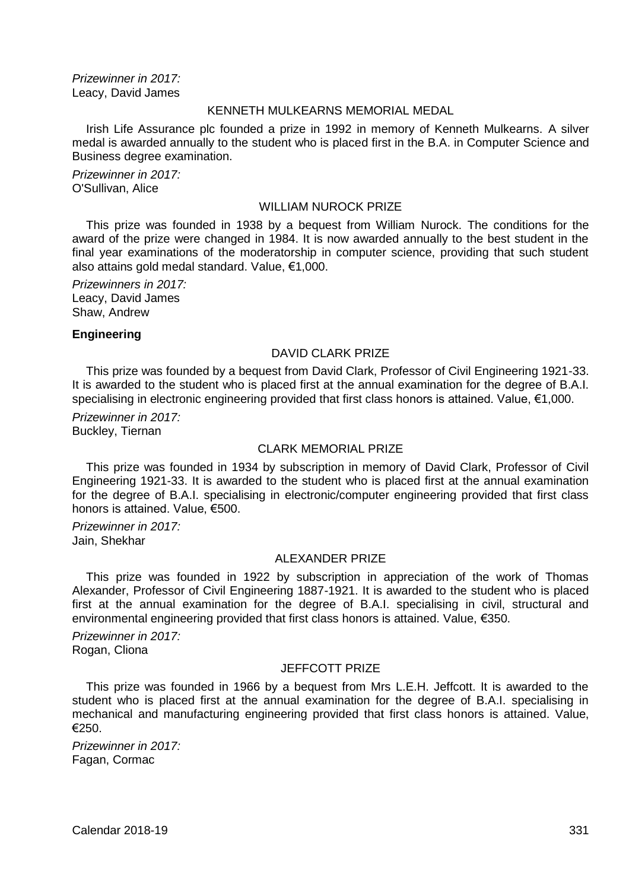*Prizewinner in 2017:* Leacy, David James

## KENNETH MULKEARNS MEMORIAL MEDAL

Irish Life Assurance plc founded a prize in 1992 in memory of Kenneth Mulkearns. A silver medal is awarded annually to the student who is placed first in the B.A. in Computer Science and Business degree examination.

*Prizewinner in 2017:* O'Sullivan, Alice

#### WILLIAM NUROCK PRIZE

This prize was founded in 1938 by a bequest from William Nurock. The conditions for the award of the prize were changed in 1984. It is now awarded annually to the best student in the final year examinations of the moderatorship in computer science, providing that such student also attains gold medal standard. Value, €1,000.

*Prizewinners in 2017:* Leacy, David James Shaw, Andrew

#### **Engineering**

## DAVID CLARK PRIZE

This prize was founded by a bequest from David Clark, Professor of Civil Engineering 1921-33. It is awarded to the student who is placed first at the annual examination for the degree of B.A.I. specialising in electronic engineering provided that first class honors is attained. Value, €1,000.

*Prizewinner in 2017:* Buckley, Tiernan

#### CLARK MEMORIAL PRIZE

This prize was founded in 1934 by subscription in memory of David Clark, Professor of Civil Engineering 1921-33. It is awarded to the student who is placed first at the annual examination for the degree of B.A.I. specialising in electronic/computer engineering provided that first class honors is attained. Value, €500.

*Prizewinner in 2017:* Jain, Shekhar

## ALEXANDER PRIZE

This prize was founded in 1922 by subscription in appreciation of the work of Thomas Alexander, Professor of Civil Engineering 1887-1921. It is awarded to the student who is placed first at the annual examination for the degree of B.A.I. specialising in civil, structural and environmental engineering provided that first class honors is attained. Value, €350.

*Prizewinner in 2017:* Rogan, Cliona

#### JEFFCOTT PRIZE

This prize was founded in 1966 by a bequest from Mrs L.E.H. Jeffcott. It is awarded to the student who is placed first at the annual examination for the degree of B.A.I. specialising in mechanical and manufacturing engineering provided that first class honors is attained. Value, €250.

*Prizewinner in 2017:* Fagan, Cormac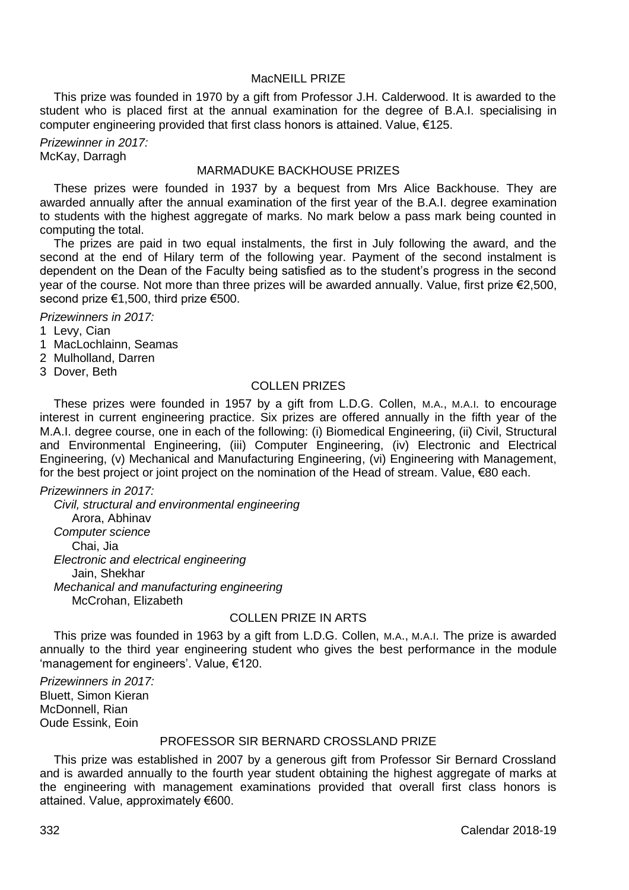## MacNEILL PRIZE

This prize was founded in 1970 by a gift from Professor J.H. Calderwood. It is awarded to the student who is placed first at the annual examination for the degree of B.A.I. specialising in computer engineering provided that first class honors is attained. Value, €125.

*Prizewinner in 2017:* McKay, Darragh

# MARMADUKE BACKHOUSE PRIZES

These prizes were founded in 1937 by a bequest from Mrs Alice Backhouse. They are awarded annually after the annual examination of the first year of the B.A.I. degree examination to students with the highest aggregate of marks. No mark below a pass mark being counted in computing the total.

The prizes are paid in two equal instalments, the first in July following the award, and the second at the end of Hilary term of the following year. Payment of the second instalment is dependent on the Dean of the Faculty being satisfied as to the student's progress in the second year of the course. Not more than three prizes will be awarded annually. Value, first prize €2,500, second prize €1,500, third prize €500.

*Prizewinners in 2017:*

- 1 Levy, Cian
- 1 MacLochlainn, Seamas
- 2 Mulholland, Darren
- 3 Dover, Beth

#### COLLEN PRIZES

These prizes were founded in 1957 by a gift from L.D.G. Collen, M.A., M.A.I. to encourage interest in current engineering practice. Six prizes are offered annually in the fifth year of the M.A.I. degree course, one in each of the following: (i) Biomedical Engineering, (ii) Civil, Structural and Environmental Engineering, (iii) Computer Engineering, (iv) Electronic and Electrical Engineering, (v) Mechanical and Manufacturing Engineering, (vi) Engineering with Management, for the best project or joint project on the nomination of the Head of stream. Value, €80 each.

#### *Prizewinners in 2017:*

*Civil, structural and environmental engineering* Arora, Abhinav *Computer science* Chai, Jia *Electronic and electrical engineering* Jain, Shekhar *Mechanical and manufacturing engineering* McCrohan, Elizabeth

## COLLEN PRIZE IN ARTS

This prize was founded in 1963 by a gift from L.D.G. Collen, M.A., M.A.I. The prize is awarded annually to the third year engineering student who gives the best performance in the module 'management for engineers'. Value, €120.

*Prizewinners in 2017:* Bluett, Simon Kieran McDonnell, Rian Oude Essink, Eoin

## PROFESSOR SIR BERNARD CROSSLAND PRIZE

This prize was established in 2007 by a generous gift from Professor Sir Bernard Crossland and is awarded annually to the fourth year student obtaining the highest aggregate of marks at the engineering with management examinations provided that overall first class honors is attained. Value, approximately €600.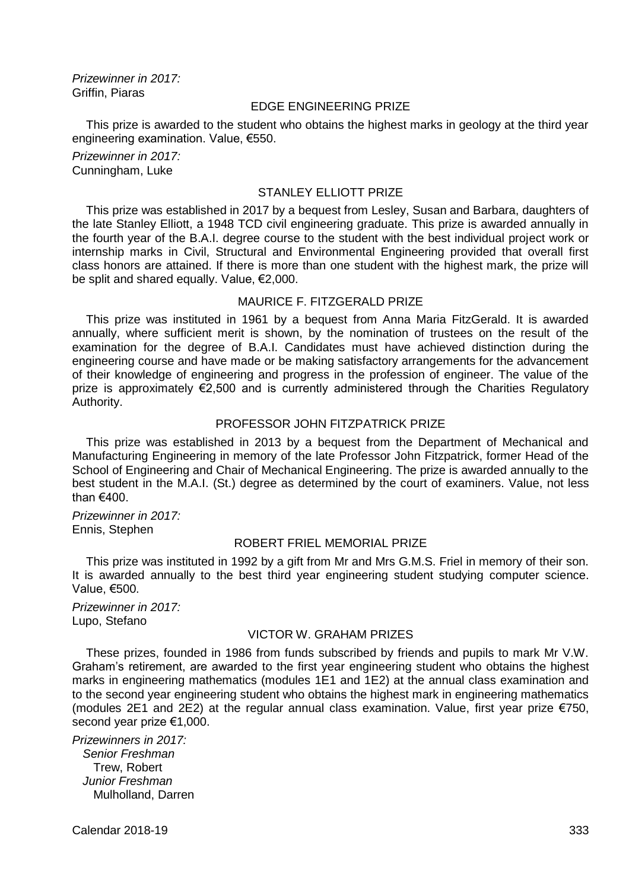*Prizewinner in 2017:* Griffin, Piaras

# EDGE ENGINEERING PRIZE

This prize is awarded to the student who obtains the highest marks in geology at the third year engineering examination. Value, €550.

*Prizewinner in 2017:* Cunningham, Luke

#### STANLEY ELLIOTT PRIZE

This prize was established in 2017 by a bequest from Lesley, Susan and Barbara, daughters of the late Stanley Elliott, a 1948 TCD civil engineering graduate. This prize is awarded annually in the fourth year of the B.A.I. degree course to the student with the best individual project work or internship marks in Civil, Structural and Environmental Engineering provided that overall first class honors are attained. If there is more than one student with the highest mark, the prize will be split and shared equally. Value, €2,000.

## MAURICE F. FITZGERALD PRIZE

This prize was instituted in 1961 by a bequest from Anna Maria FitzGerald. It is awarded annually, where sufficient merit is shown, by the nomination of trustees on the result of the examination for the degree of B.A.I. Candidates must have achieved distinction during the engineering course and have made or be making satisfactory arrangements for the advancement of their knowledge of engineering and progress in the profession of engineer. The value of the prize is approximately €2,500 and is currently administered through the Charities Regulatory Authority.

#### PROFESSOR JOHN FITZPATRICK PRIZE

This prize was established in 2013 by a bequest from the Department of Mechanical and Manufacturing Engineering in memory of the late Professor John Fitzpatrick, former Head of the School of Engineering and Chair of Mechanical Engineering. The prize is awarded annually to the best student in the M.A.I. (St.) degree as determined by the court of examiners. Value, not less than €400.

*Prizewinner in 2017:* Ennis, Stephen

#### ROBERT FRIEL MEMORIAL PRIZE

This prize was instituted in 1992 by a gift from Mr and Mrs G.M.S. Friel in memory of their son. It is awarded annually to the best third year engineering student studying computer science. Value, €500.

*Prizewinner in 2017:* Lupo, Stefano

## VICTOR W. GRAHAM PRIZES

These prizes, founded in 1986 from funds subscribed by friends and pupils to mark Mr V.W. Graham's retirement, are awarded to the first year engineering student who obtains the highest marks in engineering mathematics (modules 1E1 and 1E2) at the annual class examination and to the second year engineering student who obtains the highest mark in engineering mathematics (modules 2E1 and 2E2) at the regular annual class examination. Value, first year prize  $\epsilon$ 750, second year prize €1,000.

*Prizewinners in 2017: Senior Freshman* Trew, Robert *Junior Freshman* Mulholland, Darren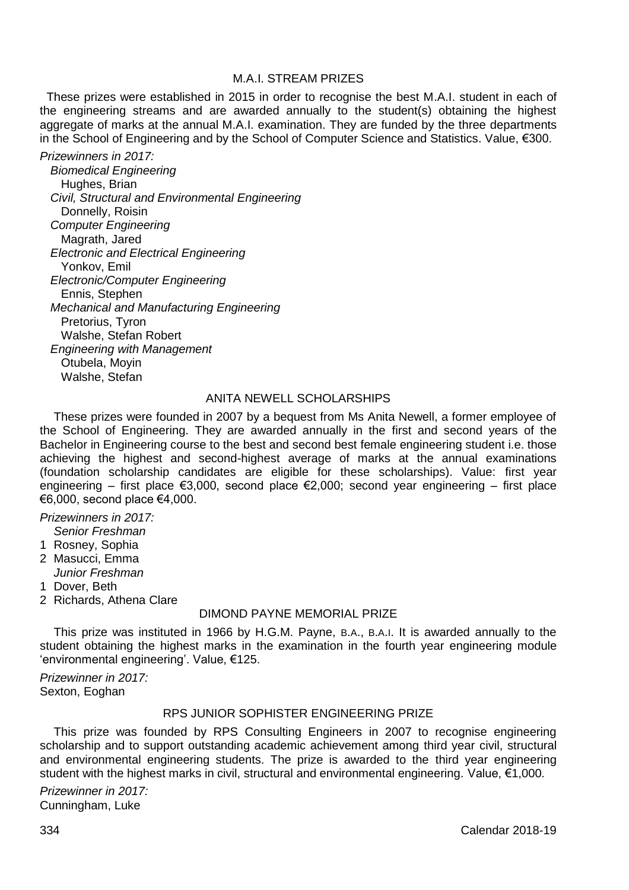# M.A.I. STREAM PRIZES

 These prizes were established in 2015 in order to recognise the best M.A.I. student in each of the engineering streams and are awarded annually to the student(s) obtaining the highest aggregate of marks at the annual M.A.I. examination. They are funded by the three departments in the School of Engineering and by the School of Computer Science and Statistics. Value, €300.

*Prizewinners in 2017: Biomedical Engineering* Hughes, Brian *Civil, Structural and Environmental Engineering*

Donnelly, Roisin *Computer Engineering* Magrath, Jared *Electronic and Electrical Engineering* Yonkov, Emil *Electronic/Computer Engineering* Ennis, Stephen *Mechanical and Manufacturing Engineering* Pretorius, Tyron Walshe, Stefan Robert *Engineering with Management* Otubela, Moyin Walshe, Stefan

#### ANITA NEWELL SCHOLARSHIPS

These prizes were founded in 2007 by a bequest from Ms Anita Newell, a former employee of the School of Engineering. They are awarded annually in the first and second years of the Bachelor in Engineering course to the best and second best female engineering student i.e. those achieving the highest and second-highest average of marks at the annual examinations (foundation scholarship candidates are eligible for these scholarships). Value: first year engineering – first place €3,000, second place €2,000; second year engineering – first place  $€6,000$ , second place  $€4,000$ .

*Prizewinners in 2017:*

- *Senior Freshman*
- 1 Rosney, Sophia
- 2 Masucci, Emma *Junior Freshman*
- 
- 1 Dover, Beth
- 2 Richards, Athena Clare

# DIMOND PAYNE MEMORIAL PRIZE

This prize was instituted in 1966 by H.G.M. Payne, B.A., B.A.I. It is awarded annually to the student obtaining the highest marks in the examination in the fourth year engineering module 'environmental engineering'. Value, €125.

*Prizewinner in 2017:* Sexton, Eoghan

## RPS JUNIOR SOPHISTER ENGINEERING PRIZE

This prize was founded by RPS Consulting Engineers in 2007 to recognise engineering scholarship and to support outstanding academic achievement among third year civil, structural and environmental engineering students. The prize is awarded to the third year engineering student with the highest marks in civil, structural and environmental engineering. Value, €1,000.

*Prizewinner in 2017:* Cunningham, Luke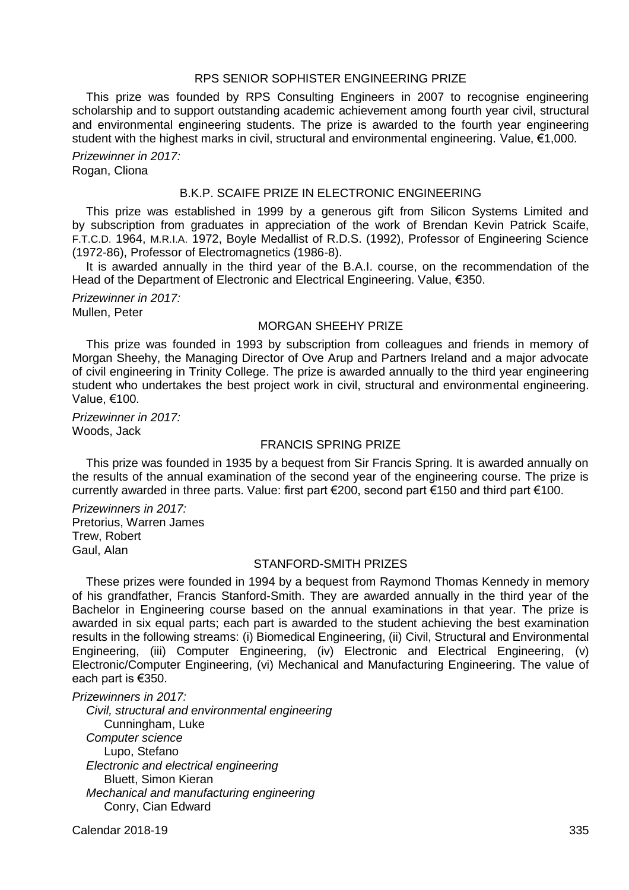# RPS SENIOR SOPHISTER ENGINEERING PRIZE

This prize was founded by RPS Consulting Engineers in 2007 to recognise engineering scholarship and to support outstanding academic achievement among fourth year civil, structural and environmental engineering students. The prize is awarded to the fourth year engineering student with the highest marks in civil, structural and environmental engineering. Value, €1,000.

*Prizewinner in 2017:* Rogan, Cliona

#### B.K.P. SCAIFE PRIZE IN ELECTRONIC ENGINEERING

This prize was established in 1999 by a generous gift from Silicon Systems Limited and by subscription from graduates in appreciation of the work of Brendan Kevin Patrick Scaife, F.T.C.D. 1964, M.R.I.A. 1972, Boyle Medallist of R.D.S. (1992), Professor of Engineering Science (1972-86), Professor of Electromagnetics (1986-8).

It is awarded annually in the third year of the B.A.I. course, on the recommendation of the Head of the Department of Electronic and Electrical Engineering. Value, €350.

*Prizewinner in 2017:* Mullen, Peter

## MORGAN SHEEHY PRIZE

This prize was founded in 1993 by subscription from colleagues and friends in memory of Morgan Sheehy, the Managing Director of Ove Arup and Partners Ireland and a major advocate of civil engineering in Trinity College. The prize is awarded annually to the third year engineering student who undertakes the best project work in civil, structural and environmental engineering. Value, €100.

*Prizewinner in 2017:* Woods, Jack

## FRANCIS SPRING PRIZE

This prize was founded in 1935 by a bequest from Sir Francis Spring. It is awarded annually on the results of the annual examination of the second year of the engineering course. The prize is currently awarded in three parts. Value: first part  $\epsilon$ 200, second part  $\epsilon$ 150 and third part  $\epsilon$ 100.

*Prizewinners in 2017:* Pretorius, Warren James Trew, Robert Gaul, Alan

## STANFORD-SMITH PRIZES

These prizes were founded in 1994 by a bequest from Raymond Thomas Kennedy in memory of his grandfather, Francis Stanford-Smith. They are awarded annually in the third year of the Bachelor in Engineering course based on the annual examinations in that year. The prize is awarded in six equal parts; each part is awarded to the student achieving the best examination results in the following streams: (i) Biomedical Engineering, (ii) Civil, Structural and Environmental Engineering, (iii) Computer Engineering, (iv) Electronic and Electrical Engineering, (v) Electronic/Computer Engineering, (vi) Mechanical and Manufacturing Engineering. The value of each part is €350.

*Prizewinners in 2017:*

*Civil, structural and environmental engineering* Cunningham, Luke *Computer science* Lupo, Stefano *Electronic and electrical engineering* Bluett, Simon Kieran *Mechanical and manufacturing engineering* Conry, Cian Edward

Calendar 2018-19 335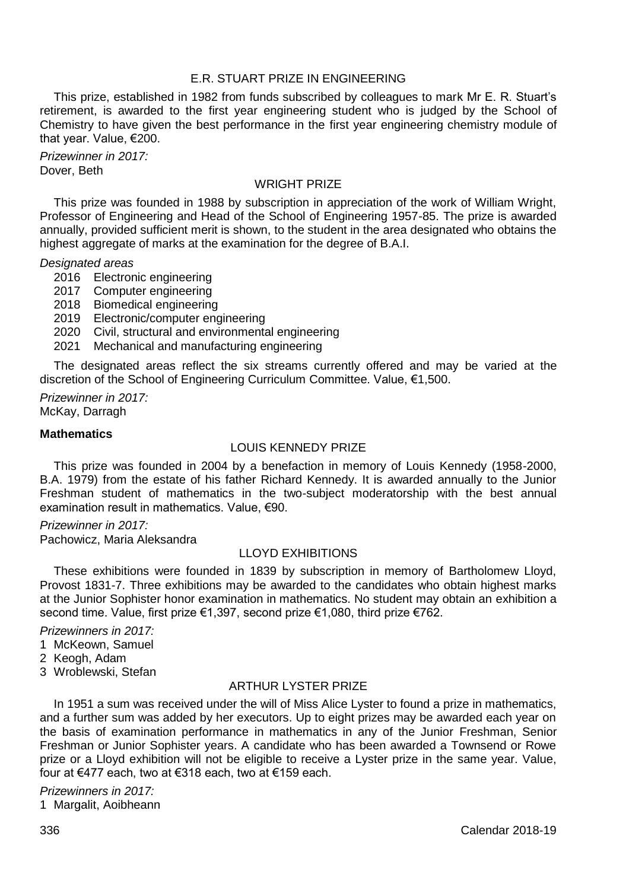## E.R. STUART PRIZE IN ENGINEERING

This prize, established in 1982 from funds subscribed by colleagues to mark Mr E. R. Stuart's retirement, is awarded to the first year engineering student who is judged by the School of Chemistry to have given the best performance in the first year engineering chemistry module of that year. Value, €200.

*Prizewinner in 2017:* Dover, Beth

## WRIGHT PRIZE

This prize was founded in 1988 by subscription in appreciation of the work of William Wright, Professor of Engineering and Head of the School of Engineering 1957-85. The prize is awarded annually, provided sufficient merit is shown, to the student in the area designated who obtains the highest aggregate of marks at the examination for the degree of B.A.I.

*Designated areas*

- 2016 Electronic engineering
- 2017 Computer engineering
- 2018 Biomedical engineering
- 2019 Electronic/computer engineering
- 2020 Civil, structural and environmental engineering
- 2021 Mechanical and manufacturing engineering

The designated areas reflect the six streams currently offered and may be varied at the discretion of the School of Engineering Curriculum Committee. Value, €1,500.

*Prizewinner in 2017:* McKay, Darragh

#### **Mathematics**

#### LOUIS KENNEDY PRIZE

This prize was founded in 2004 by a benefaction in memory of Louis Kennedy (1958-2000, B.A. 1979) from the estate of his father Richard Kennedy. It is awarded annually to the Junior Freshman student of mathematics in the two-subject moderatorship with the best annual examination result in mathematics. Value, €90.

*Prizewinner in 2017:* Pachowicz, Maria Aleksandra

## LLOYD EXHIBITIONS

These exhibitions were founded in 1839 by subscription in memory of Bartholomew Lloyd, Provost 1831-7. Three exhibitions may be awarded to the candidates who obtain highest marks at the Junior Sophister honor examination in mathematics. No student may obtain an exhibition a second time. Value, first prize €1,397, second prize €1,080, third prize €762.

#### *Prizewinners in 2017:*

- 1 McKeown, Samuel
- 2 Keogh, Adam
- 3 Wroblewski, Stefan

#### ARTHUR LYSTER PRIZE

In 1951 a sum was received under the will of Miss Alice Lyster to found a prize in mathematics, and a further sum was added by her executors. Up to eight prizes may be awarded each year on the basis of examination performance in mathematics in any of the Junior Freshman, Senior Freshman or Junior Sophister years. A candidate who has been awarded a Townsend or Rowe prize or a Lloyd exhibition will not be eligible to receive a Lyster prize in the same year. Value, four at €477 each, two at €318 each, two at €159 each.

#### *Prizewinners in 2017:*

1 Margalit, Aoibheann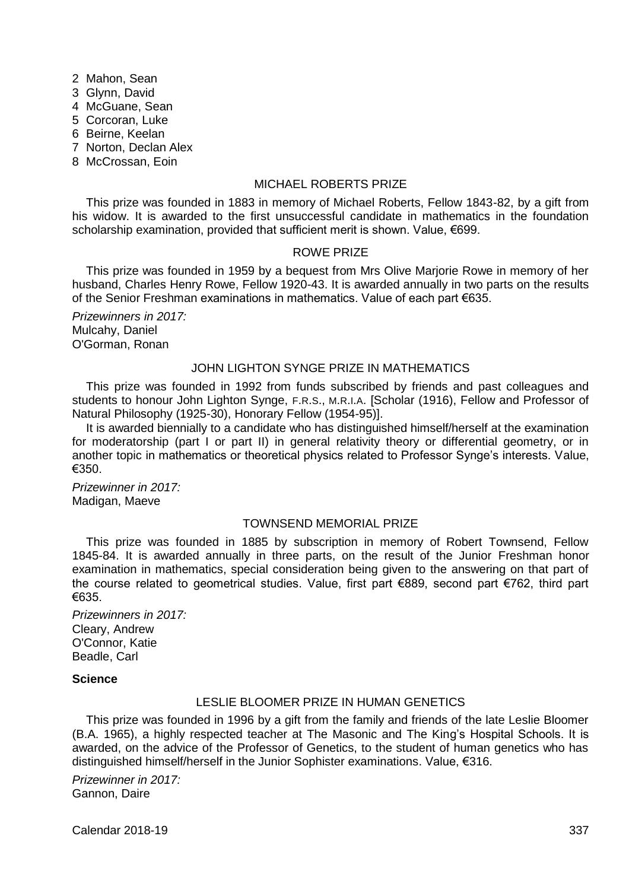- 2 Mahon, Sean
- 3 Glynn, David
- 4 McGuane, Sean
- 5 Corcoran, Luke
- 6 Beirne, Keelan
- 7 Norton, Declan Alex
- 8 McCrossan, Eoin

## MICHAEL ROBERTS PRIZE

This prize was founded in 1883 in memory of Michael Roberts, Fellow 1843-82, by a gift from his widow. It is awarded to the first unsuccessful candidate in mathematics in the foundation scholarship examination, provided that sufficient merit is shown. Value, €699.

## ROWE PRIZE

This prize was founded in 1959 by a bequest from Mrs Olive Marjorie Rowe in memory of her husband, Charles Henry Rowe, Fellow 1920-43. It is awarded annually in two parts on the results of the Senior Freshman examinations in mathematics. Value of each part €635.

*Prizewinners in 2017:* Mulcahy, Daniel O'Gorman, Ronan

# JOHN LIGHTON SYNGE PRIZE IN MATHEMATICS

This prize was founded in 1992 from funds subscribed by friends and past colleagues and students to honour John Lighton Synge, F.R.S., M.R.I.A. [Scholar (1916), Fellow and Professor of Natural Philosophy (1925-30), Honorary Fellow (1954-95)].

It is awarded biennially to a candidate who has distinguished himself/herself at the examination for moderatorship (part I or part II) in general relativity theory or differential geometry, or in another topic in mathematics or theoretical physics related to Professor Synge's interests. Value, €350.

*Prizewinner in 2017:* Madigan, Maeve

## TOWNSEND MEMORIAL PRIZE

This prize was founded in 1885 by subscription in memory of Robert Townsend, Fellow 1845-84. It is awarded annually in three parts, on the result of the Junior Freshman honor examination in mathematics, special consideration being given to the answering on that part of the course related to geometrical studies. Value, first part €889, second part €762, third part €635.

*Prizewinners in 2017:* Cleary, Andrew O'Connor, Katie Beadle, Carl

#### **Science**

## LESLIE BLOOMER PRIZE IN HUMAN GENETICS

This prize was founded in 1996 by a gift from the family and friends of the late Leslie Bloomer (B.A. 1965), a highly respected teacher at The Masonic and The King's Hospital Schools. It is awarded, on the advice of the Professor of Genetics, to the student of human genetics who has distinguished himself/herself in the Junior Sophister examinations. Value, €316.

*Prizewinner in 2017:* Gannon, Daire

Calendar 2018-19 337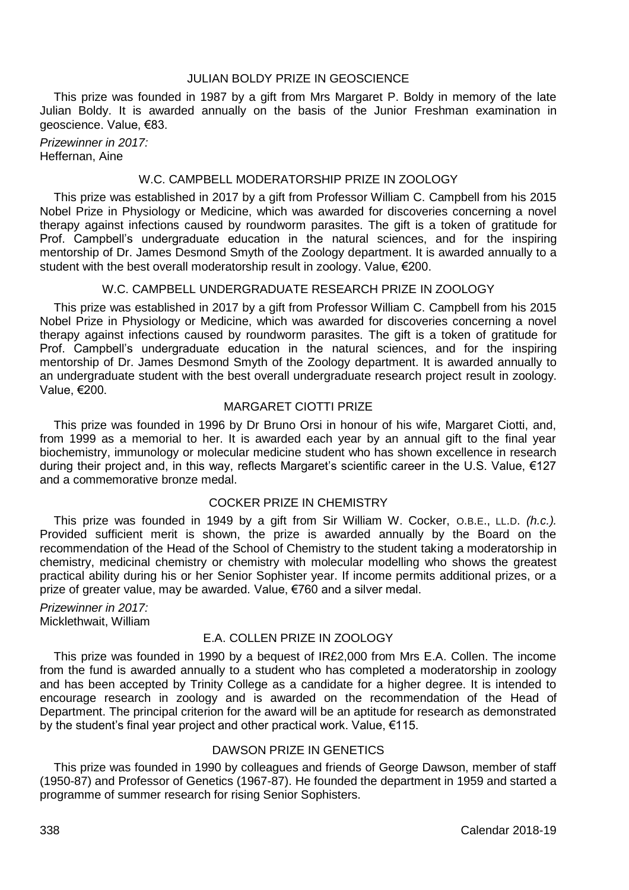# JULIAN BOLDY PRIZE IN GEOSCIENCE

This prize was founded in 1987 by a gift from Mrs Margaret P. Boldy in memory of the late Julian Boldy. It is awarded annually on the basis of the Junior Freshman examination in geoscience. Value, €83.

*Prizewinner in 2017:* Heffernan, Aine

# W.C. CAMPBELL MODERATORSHIP PRIZE IN ZOOLOGY

This prize was established in 2017 by a gift from Professor William C. Campbell from his 2015 Nobel Prize in Physiology or Medicine, which was awarded for discoveries concerning a novel therapy against infections caused by roundworm parasites. The gift is a token of gratitude for Prof. Campbell's undergraduate education in the natural sciences, and for the inspiring mentorship of Dr. James Desmond Smyth of the Zoology department. It is awarded annually to a student with the best overall moderatorship result in zoology. Value, €200.

## W.C. CAMPBELL UNDERGRADUATE RESEARCH PRIZE IN ZOOLOGY

This prize was established in 2017 by a gift from Professor William C. Campbell from his 2015 Nobel Prize in Physiology or Medicine, which was awarded for discoveries concerning a novel therapy against infections caused by roundworm parasites. The gift is a token of gratitude for Prof. Campbell's undergraduate education in the natural sciences, and for the inspiring mentorship of Dr. James Desmond Smyth of the Zoology department. It is awarded annually to an undergraduate student with the best overall undergraduate research project result in zoology. Value, €200.

## MARGARET CIOTTI PRIZE

This prize was founded in 1996 by Dr Bruno Orsi in honour of his wife, Margaret Ciotti, and, from 1999 as a memorial to her. It is awarded each year by an annual gift to the final year biochemistry, immunology or molecular medicine student who has shown excellence in research during their project and, in this way, reflects Margaret's scientific career in the U.S. Value, €127 and a commemorative bronze medal.

## COCKER PRIZE IN CHEMISTRY

This prize was founded in 1949 by a gift from Sir William W. Cocker, O.B.E., LL.D. *(h.c.).* Provided sufficient merit is shown, the prize is awarded annually by the Board on the recommendation of the Head of the School of Chemistry to the student taking a moderatorship in chemistry, medicinal chemistry or chemistry with molecular modelling who shows the greatest practical ability during his or her Senior Sophister year. If income permits additional prizes, or a prize of greater value, may be awarded. Value, €760 and a silver medal.

*Prizewinner in 2017:* Micklethwait, William

## E.A. COLLEN PRIZE IN ZOOLOGY

This prize was founded in 1990 by a bequest of IR£2,000 from Mrs E.A. Collen. The income from the fund is awarded annually to a student who has completed a moderatorship in zoology and has been accepted by Trinity College as a candidate for a higher degree. It is intended to encourage research in zoology and is awarded on the recommendation of the Head of Department. The principal criterion for the award will be an aptitude for research as demonstrated by the student's final year project and other practical work. Value, €115.

# DAWSON PRIZE IN GENETICS

This prize was founded in 1990 by colleagues and friends of George Dawson, member of staff (1950-87) and Professor of Genetics (1967-87). He founded the department in 1959 and started a programme of summer research for rising Senior Sophisters.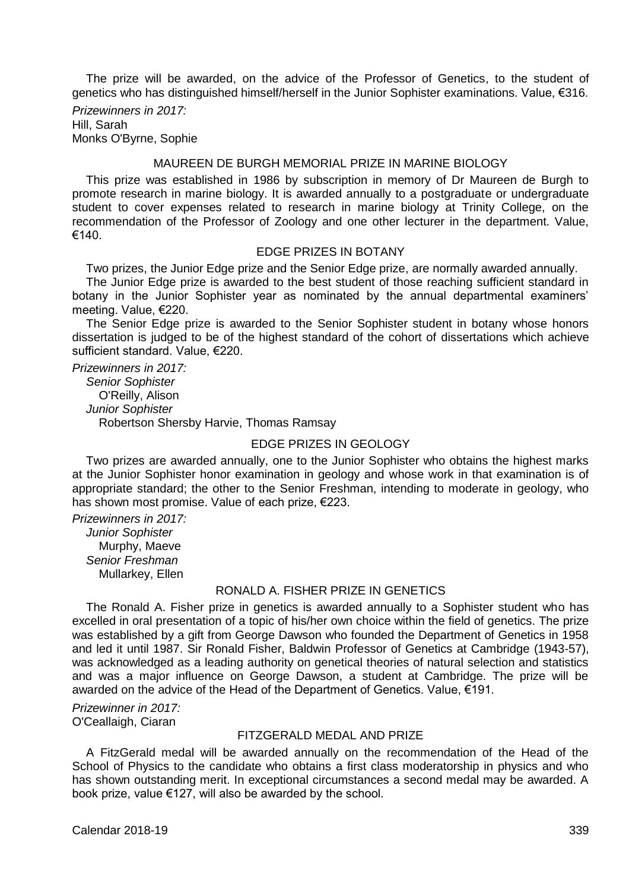The prize will be awarded, on the advice of the Professor of Genetics, to the student of genetics who has distinguished himself/herself in the Junior Sophister examinations. Value, €316.

*Prizewinners in 2017:* Hill, Sarah Monks O'Byrne, Sophie

#### MAUREEN DE BURGH MEMORIAL PRIZE IN MARINE BIOLOGY

This prize was established in 1986 by subscription in memory of Dr Maureen de Burgh to promote research in marine biology. It is awarded annually to a postgraduate or undergraduate student to cover expenses related to research in marine biology at Trinity College, on the recommendation of the Professor of Zoology and one other lecturer in the department. Value, €140.

#### EDGE PRIZES IN BOTANY

Two prizes, the Junior Edge prize and the Senior Edge prize, are normally awarded annually.

The Junior Edge prize is awarded to the best student of those reaching sufficient standard in botany in the Junior Sophister year as nominated by the annual departmental examiners' meeting. Value, €220.

The Senior Edge prize is awarded to the Senior Sophister student in botany whose honors dissertation is judged to be of the highest standard of the cohort of dissertations which achieve sufficient standard. Value, €220.

*Prizewinners in 2017: Senior Sophister* O'Reilly, Alison *Junior Sophister* Robertson Shersby Harvie, Thomas Ramsay

#### EDGE PRIZES IN GEOLOGY

Two prizes are awarded annually, one to the Junior Sophister who obtains the highest marks at the Junior Sophister honor examination in geology and whose work in that examination is of appropriate standard; the other to the Senior Freshman, intending to moderate in geology, who has shown most promise. Value of each prize, €223.

*Prizewinners in 2017: Junior Sophister* Murphy, Maeve *Senior Freshman* Mullarkey, Ellen

#### RONALD A. FISHER PRIZE IN GENETICS

The Ronald A. Fisher prize in genetics is awarded annually to a Sophister student who has excelled in oral presentation of a topic of his/her own choice within the field of genetics. The prize was established by a gift from George Dawson who founded the Department of Genetics in 1958 and led it until 1987. Sir Ronald Fisher, Baldwin Professor of Genetics at Cambridge (1943-57), was acknowledged as a leading authority on genetical theories of natural selection and statistics and was a major influence on George Dawson, a student at Cambridge. The prize will be awarded on the advice of the Head of the Department of Genetics. Value, €191.

*Prizewinner in 2017:* O'Ceallaigh, Ciaran

## FITZGERALD MEDAL AND PRIZE

A FitzGerald medal will be awarded annually on the recommendation of the Head of the School of Physics to the candidate who obtains a first class moderatorship in physics and who has shown outstanding merit. In exceptional circumstances a second medal may be awarded. A book prize, value €127, will also be awarded by the school.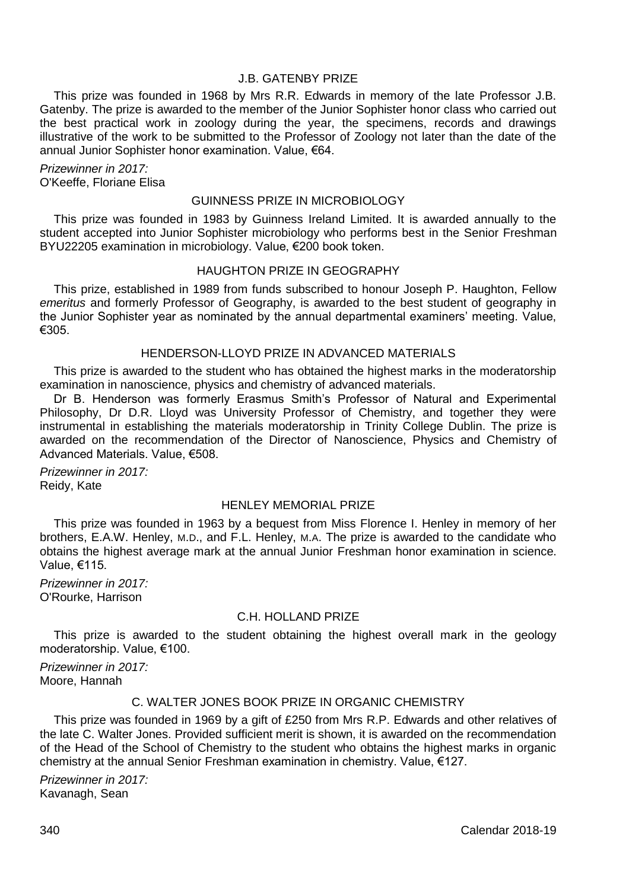## J.B. GATENBY PRIZE

This prize was founded in 1968 by Mrs R.R. Edwards in memory of the late Professor J.B. Gatenby. The prize is awarded to the member of the Junior Sophister honor class who carried out the best practical work in zoology during the year, the specimens, records and drawings illustrative of the work to be submitted to the Professor of Zoology not later than the date of the annual Junior Sophister honor examination. Value, €64.

*Prizewinner in 2017:* O'Keeffe, Floriane Elisa

#### GUINNESS PRIZE IN MICROBIOLOGY

This prize was founded in 1983 by Guinness Ireland Limited. It is awarded annually to the student accepted into Junior Sophister microbiology who performs best in the Senior Freshman BYU22205 examination in microbiology. Value, €200 book token.

#### HAUGHTON PRIZE IN GEOGRAPHY

This prize, established in 1989 from funds subscribed to honour Joseph P. Haughton, Fellow *emeritus* and formerly Professor of Geography, is awarded to the best student of geography in the Junior Sophister year as nominated by the annual departmental examiners' meeting. Value, €305.

#### HENDERSON-LLOYD PRIZE IN ADVANCED MATERIALS

This prize is awarded to the student who has obtained the highest marks in the moderatorship examination in nanoscience, physics and chemistry of advanced materials.

Dr B. Henderson was formerly Erasmus Smith's Professor of Natural and Experimental Philosophy, Dr D.R. Lloyd was University Professor of Chemistry, and together they were instrumental in establishing the materials moderatorship in Trinity College Dublin. The prize is awarded on the recommendation of the Director of Nanoscience, Physics and Chemistry of Advanced Materials. Value, €508.

*Prizewinner in 2017:* Reidy, Kate

# HENLEY MEMORIAL PRIZE

This prize was founded in 1963 by a bequest from Miss Florence I. Henley in memory of her brothers, E.A.W. Henley, M.D., and F.L. Henley, M.A. The prize is awarded to the candidate who obtains the highest average mark at the annual Junior Freshman honor examination in science. Value, €115.

*Prizewinner in 2017:* O'Rourke, Harrison

## C.H. HOLLAND PRIZE

This prize is awarded to the student obtaining the highest overall mark in the geology moderatorship. Value, €100.

*Prizewinner in 2017:* Moore, Hannah

## C. WALTER JONES BOOK PRIZE IN ORGANIC CHEMISTRY

This prize was founded in 1969 by a gift of £250 from Mrs R.P. Edwards and other relatives of the late C. Walter Jones. Provided sufficient merit is shown, it is awarded on the recommendation of the Head of the School of Chemistry to the student who obtains the highest marks in organic chemistry at the annual Senior Freshman examination in chemistry. Value, €127.

*Prizewinner in 2017:* Kavanagh, Sean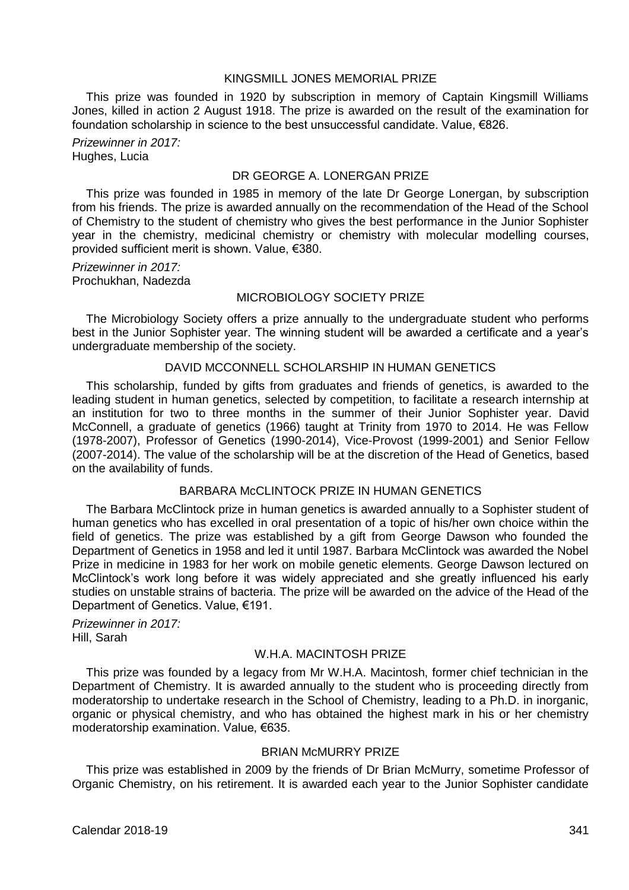#### KINGSMILL JONES MEMORIAL PRIZE

This prize was founded in 1920 by subscription in memory of Captain Kingsmill Williams Jones, killed in action 2 August 1918. The prize is awarded on the result of the examination for foundation scholarship in science to the best unsuccessful candidate. Value, €826.

*Prizewinner in 2017:* Hughes, Lucia

# DR GEORGE A. LONERGAN PRIZE

This prize was founded in 1985 in memory of the late Dr George Lonergan, by subscription from his friends. The prize is awarded annually on the recommendation of the Head of the School of Chemistry to the student of chemistry who gives the best performance in the Junior Sophister year in the chemistry, medicinal chemistry or chemistry with molecular modelling courses, provided sufficient merit is shown. Value, €380.

*Prizewinner in 2017:* Prochukhan, Nadezda

## MICROBIOLOGY SOCIETY PRIZE

The Microbiology Society offers a prize annually to the undergraduate student who performs best in the Junior Sophister year. The winning student will be awarded a certificate and a year's undergraduate membership of the society.

## DAVID MCCONNELL SCHOLARSHIP IN HUMAN GENETICS

This scholarship, funded by gifts from graduates and friends of genetics, is awarded to the leading student in human genetics, selected by competition, to facilitate a research internship at an institution for two to three months in the summer of their Junior Sophister year. David McConnell, a graduate of genetics (1966) taught at Trinity from 1970 to 2014. He was Fellow (1978-2007), Professor of Genetics (1990-2014), Vice-Provost (1999-2001) and Senior Fellow (2007-2014). The value of the scholarship will be at the discretion of the Head of Genetics, based on the availability of funds.

## BARBARA McCLINTOCK PRIZE IN HUMAN GENETICS

The Barbara McClintock prize in human genetics is awarded annually to a Sophister student of human genetics who has excelled in oral presentation of a topic of his/her own choice within the field of genetics. The prize was established by a gift from George Dawson who founded the Department of Genetics in 1958 and led it until 1987. Barbara McClintock was awarded the Nobel Prize in medicine in 1983 for her work on mobile genetic elements. George Dawson lectured on McClintock's work long before it was widely appreciated and she greatly influenced his early studies on unstable strains of bacteria. The prize will be awarded on the advice of the Head of the Department of Genetics. Value, €191.

*Prizewinner in 2017:* Hill, Sarah

## W.H.A. MACINTOSH PRIZE

This prize was founded by a legacy from Mr W.H.A. Macintosh, former chief technician in the Department of Chemistry. It is awarded annually to the student who is proceeding directly from moderatorship to undertake research in the School of Chemistry, leading to a Ph.D. in inorganic, organic or physical chemistry, and who has obtained the highest mark in his or her chemistry moderatorship examination. Value, €635.

#### BRIAN McMURRY PRIZE

This prize was established in 2009 by the friends of Dr Brian McMurry, sometime Professor of Organic Chemistry, on his retirement. It is awarded each year to the Junior Sophister candidate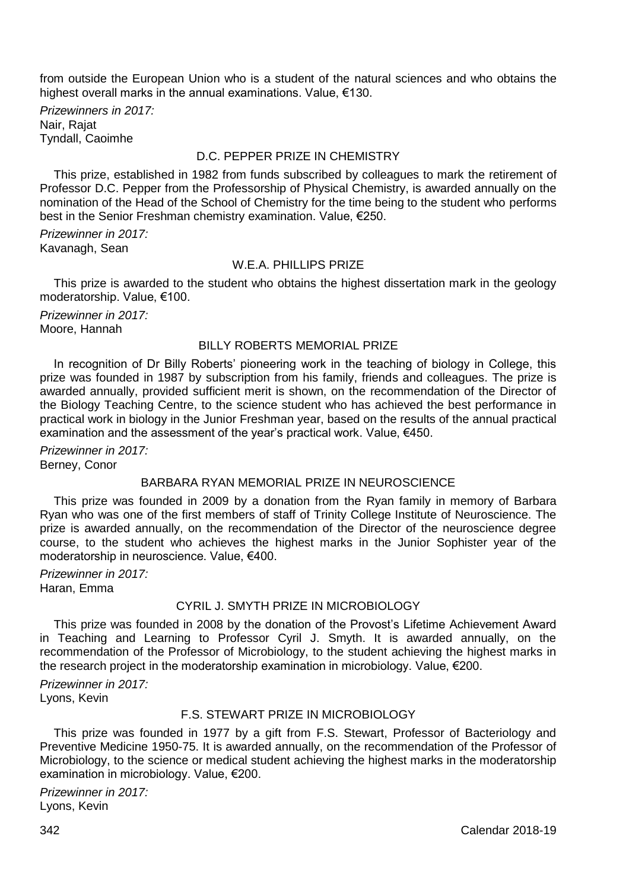from outside the European Union who is a student of the natural sciences and who obtains the highest overall marks in the annual examinations. Value, €130.

*Prizewinners in 2017:* Nair, Rajat Tyndall, Caoimhe

#### D.C. PEPPER PRIZE IN CHEMISTRY

This prize, established in 1982 from funds subscribed by colleagues to mark the retirement of Professor D.C. Pepper from the Professorship of Physical Chemistry, is awarded annually on the nomination of the Head of the School of Chemistry for the time being to the student who performs best in the Senior Freshman chemistry examination. Value, €250.

*Prizewinner in 2017:* Kavanagh, Sean

#### W.F.A. PHILLIPS PRIZE

This prize is awarded to the student who obtains the highest dissertation mark in the geology moderatorship. Value, €100.

*Prizewinner in 2017:* Moore, Hannah

#### BILLY ROBERTS MEMORIAL PRIZE

In recognition of Dr Billy Roberts' pioneering work in the teaching of biology in College, this prize was founded in 1987 by subscription from his family, friends and colleagues. The prize is awarded annually, provided sufficient merit is shown, on the recommendation of the Director of the Biology Teaching Centre, to the science student who has achieved the best performance in practical work in biology in the Junior Freshman year, based on the results of the annual practical examination and the assessment of the year's practical work. Value, €450.

*Prizewinner in 2017:* Berney, Conor

## BARBARA RYAN MEMORIAL PRIZE IN NEUROSCIENCE

This prize was founded in 2009 by a donation from the Ryan family in memory of Barbara Ryan who was one of the first members of staff of Trinity College Institute of Neuroscience. The prize is awarded annually, on the recommendation of the Director of the neuroscience degree course, to the student who achieves the highest marks in the Junior Sophister year of the moderatorship in neuroscience. Value, €400.

*Prizewinner in 2017:* Haran, Emma

# CYRIL J. SMYTH PRIZE IN MICROBIOLOGY

This prize was founded in 2008 by the donation of the Provost's Lifetime Achievement Award in Teaching and Learning to Professor Cyril J. Smyth. It is awarded annually, on the recommendation of the Professor of Microbiology, to the student achieving the highest marks in the research project in the moderatorship examination in microbiology. Value, €200.

*Prizewinner in 2017:* Lyons, Kevin

# F.S. STEWART PRIZE IN MICROBIOLOGY

This prize was founded in 1977 by a gift from F.S. Stewart, Professor of Bacteriology and Preventive Medicine 1950-75. It is awarded annually, on the recommendation of the Professor of Microbiology, to the science or medical student achieving the highest marks in the moderatorship examination in microbiology. Value, €200.

*Prizewinner in 2017:* Lyons, Kevin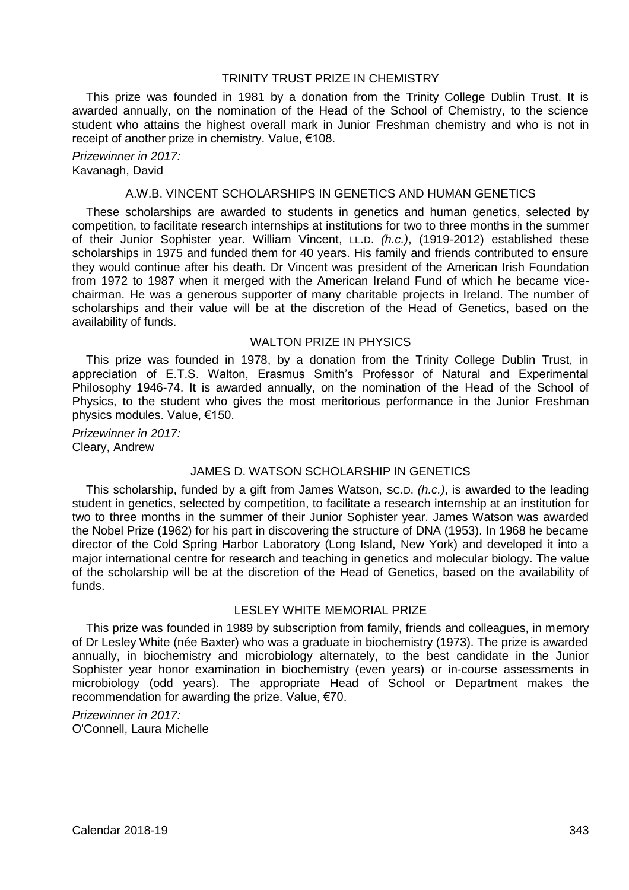# TRINITY TRUST PRIZE IN CHEMISTRY

This prize was founded in 1981 by a donation from the Trinity College Dublin Trust. It is awarded annually, on the nomination of the Head of the School of Chemistry, to the science student who attains the highest overall mark in Junior Freshman chemistry and who is not in receipt of another prize in chemistry. Value, €108.

*Prizewinner in 2017:* Kavanagh, David

#### A.W.B. VINCENT SCHOLARSHIPS IN GENETICS AND HUMAN GENETICS

These scholarships are awarded to students in genetics and human genetics, selected by competition, to facilitate research internships at institutions for two to three months in the summer of their Junior Sophister year. William Vincent, LL.D. *(h.c.)*, (1919-2012) established these scholarships in 1975 and funded them for 40 years. His family and friends contributed to ensure they would continue after his death. Dr Vincent was president of the American Irish Foundation from 1972 to 1987 when it merged with the American Ireland Fund of which he became vicechairman. He was a generous supporter of many charitable projects in Ireland. The number of scholarships and their value will be at the discretion of the Head of Genetics, based on the availability of funds.

#### WAI TON PRIZE IN PHYSICS

This prize was founded in 1978, by a donation from the Trinity College Dublin Trust, in appreciation of E.T.S. Walton, Erasmus Smith's Professor of Natural and Experimental Philosophy 1946-74. It is awarded annually, on the nomination of the Head of the School of Physics, to the student who gives the most meritorious performance in the Junior Freshman physics modules. Value, €150.

*Prizewinner in 2017:* Cleary, Andrew

# JAMES D. WATSON SCHOLARSHIP IN GENETICS

This scholarship, funded by a gift from James Watson, SC.D. *(h.c.)*, is awarded to the leading student in genetics, selected by competition, to facilitate a research internship at an institution for two to three months in the summer of their Junior Sophister year. James Watson was awarded the Nobel Prize (1962) for his part in discovering the structure of DNA (1953). In 1968 he became director of the Cold Spring Harbor Laboratory (Long Island, New York) and developed it into a major international centre for research and teaching in genetics and molecular biology. The value of the scholarship will be at the discretion of the Head of Genetics, based on the availability of funds.

#### LESLEY WHITE MEMORIAL PRIZE

This prize was founded in 1989 by subscription from family, friends and colleagues, in memory of Dr Lesley White (née Baxter) who was a graduate in biochemistry (1973). The prize is awarded annually, in biochemistry and microbiology alternately, to the best candidate in the Junior Sophister year honor examination in biochemistry (even years) or in-course assessments in microbiology (odd years). The appropriate Head of School or Department makes the recommendation for awarding the prize. Value, €70.

*Prizewinner in 2017:* O'Connell, Laura Michelle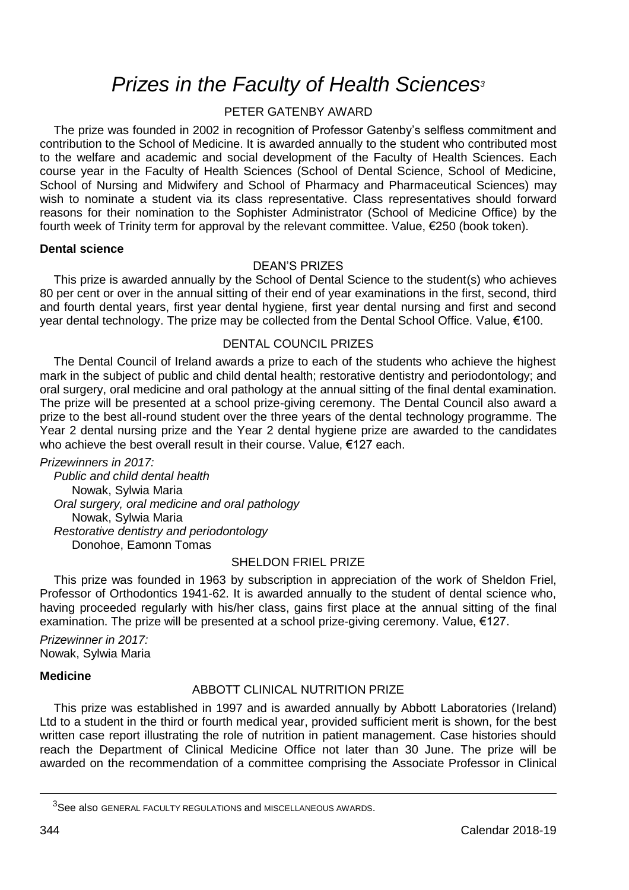# *Prizes in the Faculty of Health Sciences<sup>3</sup>*

# PETER GATENBY AWARD

The prize was founded in 2002 in recognition of Professor Gatenby's selfless commitment and contribution to the School of Medicine. It is awarded annually to the student who contributed most to the welfare and academic and social development of the Faculty of Health Sciences. Each course year in the Faculty of Health Sciences (School of Dental Science, School of Medicine, School of Nursing and Midwifery and School of Pharmacy and Pharmaceutical Sciences) may wish to nominate a student via its class representative. Class representatives should forward reasons for their nomination to the Sophister Administrator (School of Medicine Office) by the fourth week of Trinity term for approval by the relevant committee. Value, €250 (book token).

#### **Dental science**

## DEAN'S PRIZES

This prize is awarded annually by the School of Dental Science to the student(s) who achieves 80 per cent or over in the annual sitting of their end of year examinations in the first, second, third and fourth dental years, first year dental hygiene, first year dental nursing and first and second year dental technology. The prize may be collected from the Dental School Office. Value, €100.

## DENTAL COUNCIL PRIZES

The Dental Council of Ireland awards a prize to each of the students who achieve the highest mark in the subject of public and child dental health; restorative dentistry and periodontology; and oral surgery, oral medicine and oral pathology at the annual sitting of the final dental examination. The prize will be presented at a school prize-giving ceremony. The Dental Council also award a prize to the best all-round student over the three years of the dental technology programme. The Year 2 dental nursing prize and the Year 2 dental hygiene prize are awarded to the candidates who achieve the best overall result in their course. Value, €127 each.

*Prizewinners in 2017: Public and child dental health*

Nowak, Sylwia Maria *Oral surgery, oral medicine and oral pathology* Nowak, Sylwia Maria *Restorative dentistry and periodontology* Donohoe, Eamonn Tomas

## SHELDON FRIEL PRIZE

This prize was founded in 1963 by subscription in appreciation of the work of Sheldon Friel, Professor of Orthodontics 1941-62. It is awarded annually to the student of dental science who, having proceeded regularly with his/her class, gains first place at the annual sitting of the final examination. The prize will be presented at a school prize-giving ceremony. Value, €127.

*Prizewinner in 2017:* Nowak, Sylwia Maria

## **Medicine**

## ABBOTT CLINICAL NUTRITION PRIZE

This prize was established in 1997 and is awarded annually by Abbott Laboratories (Ireland) Ltd to a student in the third or fourth medical year, provided sufficient merit is shown, for the best written case report illustrating the role of nutrition in patient management. Case histories should reach the Department of Clinical Medicine Office not later than 30 June. The prize will be awarded on the recommendation of a committee comprising the Associate Professor in Clinical

<u>.</u>

<sup>3</sup>See also GENERAL FACULTY REGULATIONS and MISCELLANEOUS AWARDS.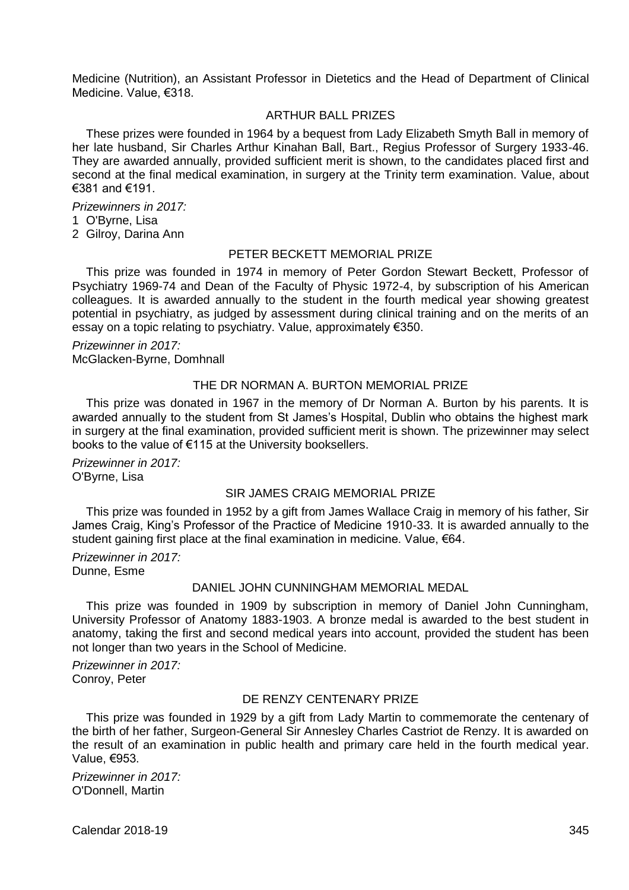Medicine (Nutrition), an Assistant Professor in Dietetics and the Head of Department of Clinical Medicine. Value, €318.

# ARTHUR BALL PRIZES

These prizes were founded in 1964 by a bequest from Lady Elizabeth Smyth Ball in memory of her late husband, Sir Charles Arthur Kinahan Ball, Bart., Regius Professor of Surgery 1933-46. They are awarded annually, provided sufficient merit is shown, to the candidates placed first and second at the final medical examination, in surgery at the Trinity term examination. Value, about €381 and €191.

*Prizewinners in 2017:*

- 1 O'Byrne, Lisa
- 2 Gilroy, Darina Ann

# PETER BECKETT MEMORIAL PRIZE

This prize was founded in 1974 in memory of Peter Gordon Stewart Beckett, Professor of Psychiatry 1969-74 and Dean of the Faculty of Physic 1972-4, by subscription of his American colleagues. It is awarded annually to the student in the fourth medical year showing greatest potential in psychiatry, as judged by assessment during clinical training and on the merits of an essay on a topic relating to psychiatry. Value, approximately €350.

*Prizewinner in 2017:* McGlacken-Byrne, Domhnall

## THE DR NORMAN A. BURTON MEMORIAL PRIZE

This prize was donated in 1967 in the memory of Dr Norman A. Burton by his parents. It is awarded annually to the student from St James's Hospital, Dublin who obtains the highest mark in surgery at the final examination, provided sufficient merit is shown. The prizewinner may select books to the value of €115 at the University booksellers.

*Prizewinner in 2017:* O'Byrne, Lisa

## SIR JAMES CRAIG MEMORIAL PRIZE

This prize was founded in 1952 by a gift from James Wallace Craig in memory of his father, Sir James Craig, King's Professor of the Practice of Medicine 1910-33. It is awarded annually to the student gaining first place at the final examination in medicine. Value, €64.

*Prizewinner in 2017:* Dunne, Esme

## DANIEL JOHN CUNNINGHAM MEMORIAL MEDAL

This prize was founded in 1909 by subscription in memory of Daniel John Cunningham, University Professor of Anatomy 1883-1903. A bronze medal is awarded to the best student in anatomy, taking the first and second medical years into account, provided the student has been not longer than two years in the School of Medicine.

*Prizewinner in 2017:* Conroy, Peter

# DE RENZY CENTENARY PRIZE

This prize was founded in 1929 by a gift from Lady Martin to commemorate the centenary of the birth of her father, Surgeon-General Sir Annesley Charles Castriot de Renzy. It is awarded on the result of an examination in public health and primary care held in the fourth medical year. Value, €953.

*Prizewinner in 2017:* O'Donnell, Martin

Calendar 2018-19 345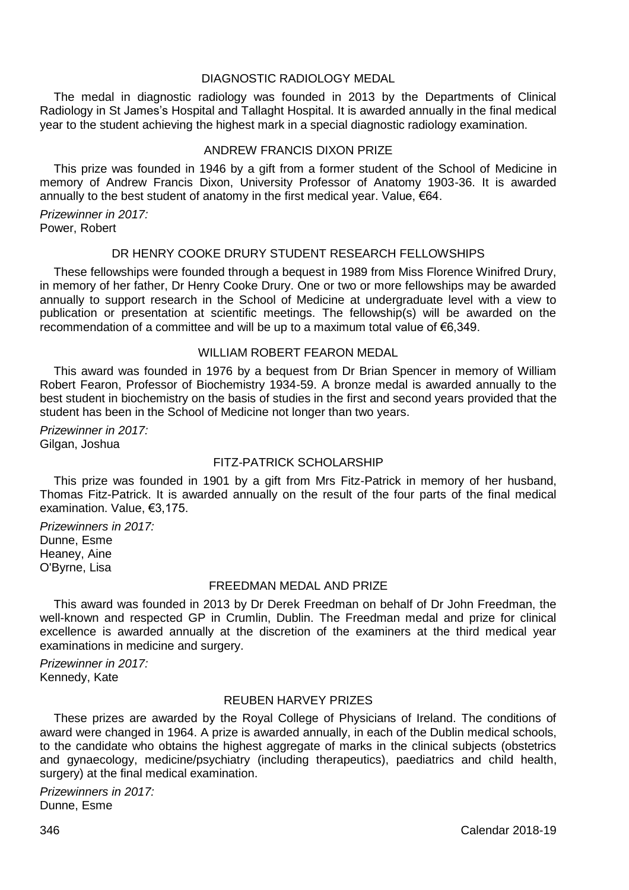### DIAGNOSTIC RADIOLOGY MEDAL

The medal in diagnostic radiology was founded in 2013 by the Departments of Clinical Radiology in St James's Hospital and Tallaght Hospital. It is awarded annually in the final medical year to the student achieving the highest mark in a special diagnostic radiology examination.

#### ANDREW FRANCIS DIXON PRIZE

This prize was founded in 1946 by a gift from a former student of the School of Medicine in memory of Andrew Francis Dixon, University Professor of Anatomy 1903-36. It is awarded annually to the best student of anatomy in the first medical year. Value,  $\epsilon$ 64.

*Prizewinner in 2017:* Power, Robert

# DR HENRY COOKE DRURY STUDENT RESEARCH FELLOWSHIPS

These fellowships were founded through a bequest in 1989 from Miss Florence Winifred Drury, in memory of her father, Dr Henry Cooke Drury. One or two or more fellowships may be awarded annually to support research in the School of Medicine at undergraduate level with a view to publication or presentation at scientific meetings. The fellowship(s) will be awarded on the recommendation of a committee and will be up to a maximum total value of €6,349.

## WILLIAM ROBERT FEARON MEDAL

This award was founded in 1976 by a bequest from Dr Brian Spencer in memory of William Robert Fearon, Professor of Biochemistry 1934-59. A bronze medal is awarded annually to the best student in biochemistry on the basis of studies in the first and second years provided that the student has been in the School of Medicine not longer than two years.

*Prizewinner in 2017:* Gilgan, Joshua

# FITZ-PATRICK SCHOLARSHIP

This prize was founded in 1901 by a gift from Mrs Fitz-Patrick in memory of her husband, Thomas Fitz-Patrick. It is awarded annually on the result of the four parts of the final medical examination. Value, €3,175.

*Prizewinners in 2017:* Dunne, Esme Heaney, Aine O'Byrne, Lisa

## FREEDMAN MEDAL AND PRIZE

This award was founded in 2013 by Dr Derek Freedman on behalf of Dr John Freedman, the well-known and respected GP in Crumlin, Dublin. The Freedman medal and prize for clinical excellence is awarded annually at the discretion of the examiners at the third medical year examinations in medicine and surgery.

*Prizewinner in 2017:* Kennedy, Kate

# REUBEN HARVEY PRIZES

These prizes are awarded by the Royal College of Physicians of Ireland. The conditions of award were changed in 1964. A prize is awarded annually, in each of the Dublin medical schools, to the candidate who obtains the highest aggregate of marks in the clinical subjects (obstetrics and gynaecology, medicine/psychiatry (including therapeutics), paediatrics and child health, surgery) at the final medical examination.

*Prizewinners in 2017:* Dunne, Esme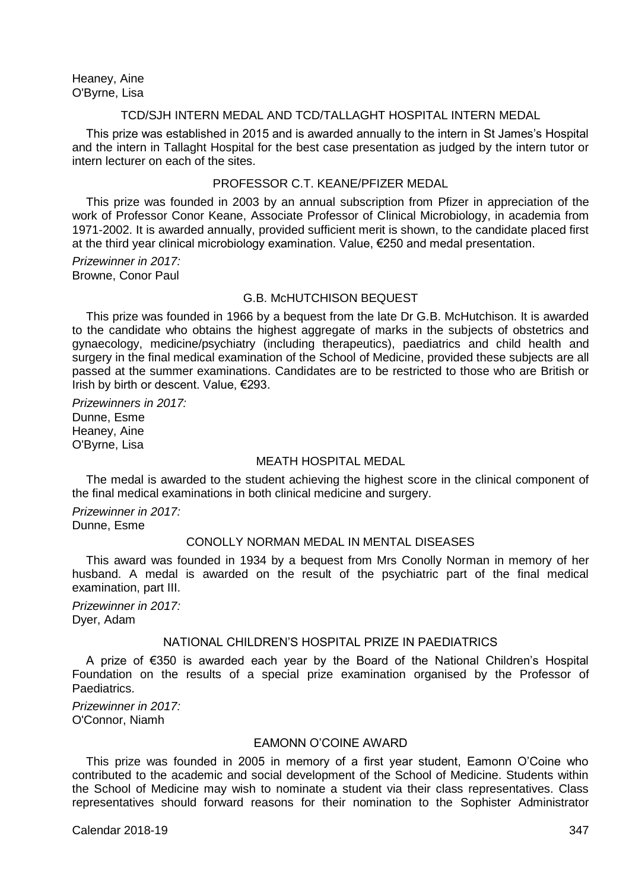Heaney, Aine O'Byrne, Lisa

## TCD/SJH INTERN MEDAL AND TCD/TALLAGHT HOSPITAL INTERN MEDAL

This prize was established in 2015 and is awarded annually to the intern in St James's Hospital and the intern in Tallaght Hospital for the best case presentation as judged by the intern tutor or intern lecturer on each of the sites.

## PROFESSOR C.T. KEANE/PFIZER MEDAL

This prize was founded in 2003 by an annual subscription from Pfizer in appreciation of the work of Professor Conor Keane, Associate Professor of Clinical Microbiology, in academia from 1971-2002. It is awarded annually, provided sufficient merit is shown, to the candidate placed first at the third year clinical microbiology examination. Value, €250 and medal presentation.

*Prizewinner in 2017:* Browne, Conor Paul

### G.B. McHUTCHISON BEQUEST

This prize was founded in 1966 by a bequest from the late Dr G.B. McHutchison. It is awarded to the candidate who obtains the highest aggregate of marks in the subjects of obstetrics and gynaecology, medicine/psychiatry (including therapeutics), paediatrics and child health and surgery in the final medical examination of the School of Medicine, provided these subjects are all passed at the summer examinations. Candidates are to be restricted to those who are British or Irish by birth or descent. Value, €293.

*Prizewinners in 2017:* Dunne, Esme Heaney, Aine O'Byrne, Lisa

### MEATH HOSPITAL MEDAL

The medal is awarded to the student achieving the highest score in the clinical component of the final medical examinations in both clinical medicine and surgery.

*Prizewinner in 2017:* Dunne, Esme

## CONOLLY NORMAN MEDAL IN MENTAL DISEASES

This award was founded in 1934 by a bequest from Mrs Conolly Norman in memory of her husband. A medal is awarded on the result of the psychiatric part of the final medical examination, part III.

*Prizewinner in 2017:* Dyer, Adam

# NATIONAL CHILDREN'S HOSPITAL PRIZE IN PAEDIATRICS

A prize of €350 is awarded each year by the Board of the National Children's Hospital Foundation on the results of a special prize examination organised by the Professor of Paediatrics.

*Prizewinner in 2017:* O'Connor, Niamh

# EAMONN O'COINE AWARD

This prize was founded in 2005 in memory of a first year student, Eamonn O'Coine who contributed to the academic and social development of the School of Medicine. Students within the School of Medicine may wish to nominate a student via their class representatives. Class representatives should forward reasons for their nomination to the Sophister Administrator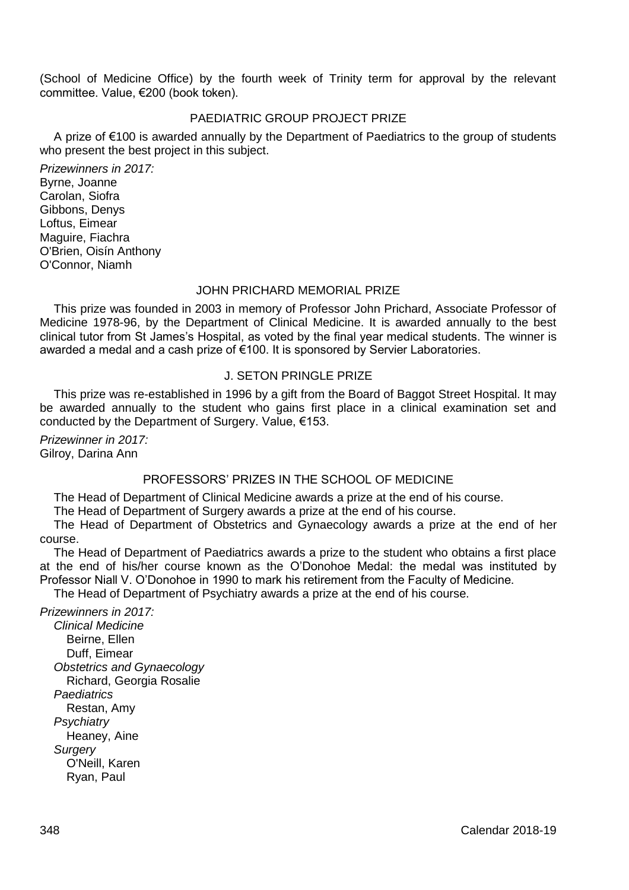(School of Medicine Office) by the fourth week of Trinity term for approval by the relevant committee. Value, €200 (book token).

# PAEDIATRIC GROUP PROJECT PRIZE

A prize of €100 is awarded annually by the Department of Paediatrics to the group of students who present the best project in this subject.

*Prizewinners in 2017:* Byrne, Joanne Carolan, Siofra Gibbons, Denys Loftus, Eimear Maguire, Fiachra O'Brien, Oisín Anthony O'Connor, Niamh

## JOHN PRICHARD MEMORIAL PRIZE

This prize was founded in 2003 in memory of Professor John Prichard, Associate Professor of Medicine 1978-96, by the Department of Clinical Medicine. It is awarded annually to the best clinical tutor from St James's Hospital, as voted by the final year medical students. The winner is awarded a medal and a cash prize of €100. It is sponsored by Servier Laboratories.

## J. SETON PRINGLE PRIZE

This prize was re-established in 1996 by a gift from the Board of Baggot Street Hospital. It may be awarded annually to the student who gains first place in a clinical examination set and conducted by the Department of Surgery. Value, €153.

*Prizewinner in 2017:* Gilroy, Darina Ann

## PROFESSORS' PRIZES IN THE SCHOOL OF MEDICINE

The Head of Department of Clinical Medicine awards a prize at the end of his course.

The Head of Department of Surgery awards a prize at the end of his course.

The Head of Department of Obstetrics and Gynaecology awards a prize at the end of her course.

The Head of Department of Paediatrics awards a prize to the student who obtains a first place at the end of his/her course known as the O'Donohoe Medal: the medal was instituted by Professor Niall V. O'Donohoe in 1990 to mark his retirement from the Faculty of Medicine.

The Head of Department of Psychiatry awards a prize at the end of his course.

# *Prizewinners in 2017:*

*Clinical Medicine* Beirne, Ellen Duff, Eimear *Obstetrics and Gynaecology* Richard, Georgia Rosalie *Paediatrics* Restan, Amy *Psychiatry* Heaney, Aine *Surgery* O'Neill, Karen Ryan, Paul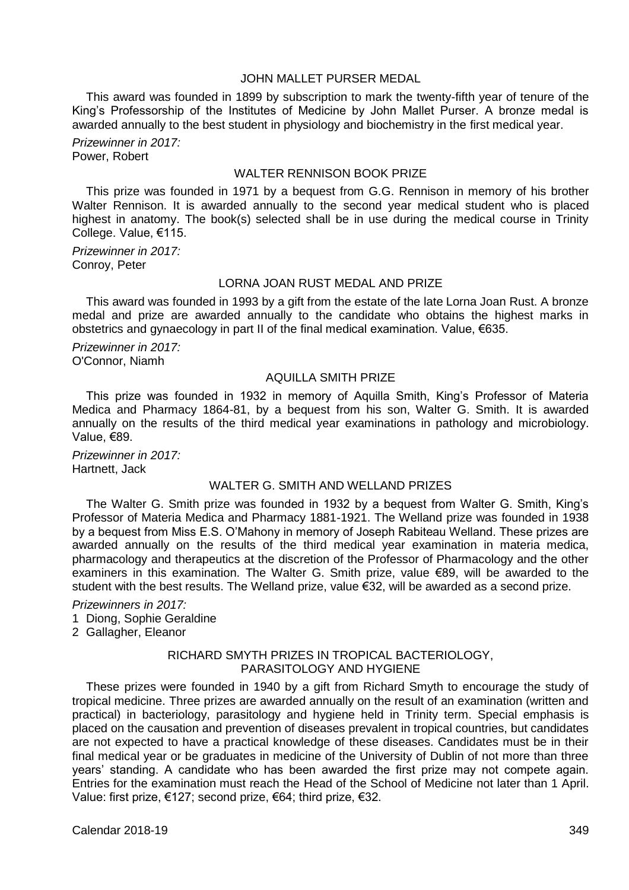# JOHN MALLET PURSER MEDAL

This award was founded in 1899 by subscription to mark the twenty-fifth year of tenure of the King's Professorship of the Institutes of Medicine by John Mallet Purser. A bronze medal is awarded annually to the best student in physiology and biochemistry in the first medical year.

*Prizewinner in 2017:* Power, Robert

#### WALTER RENNISON BOOK PRIZE

This prize was founded in 1971 by a bequest from G.G. Rennison in memory of his brother Walter Rennison. It is awarded annually to the second year medical student who is placed highest in anatomy. The book(s) selected shall be in use during the medical course in Trinity College. Value, €115.

*Prizewinner in 2017:* Conroy, Peter

## LORNA JOAN RUST MEDAL AND PRIZE

This award was founded in 1993 by a gift from the estate of the late Lorna Joan Rust. A bronze medal and prize are awarded annually to the candidate who obtains the highest marks in obstetrics and gynaecology in part II of the final medical examination. Value, €635.

*Prizewinner in 2017:* O'Connor, Niamh

## AQUILLA SMITH PRIZE

This prize was founded in 1932 in memory of Aquilla Smith, King's Professor of Materia Medica and Pharmacy 1864-81, by a bequest from his son, Walter G. Smith. It is awarded annually on the results of the third medical year examinations in pathology and microbiology. Value, €89.

*Prizewinner in 2017:* Hartnett, Jack

## WALTER G. SMITH AND WELLAND PRIZES

The Walter G. Smith prize was founded in 1932 by a bequest from Walter G. Smith, King's Professor of Materia Medica and Pharmacy 1881-1921. The Welland prize was founded in 1938 by a bequest from Miss E.S. O'Mahony in memory of Joseph Rabiteau Welland. These prizes are awarded annually on the results of the third medical year examination in materia medica, pharmacology and therapeutics at the discretion of the Professor of Pharmacology and the other examiners in this examination. The Walter G. Smith prize, value €89, will be awarded to the student with the best results. The Welland prize, value €32, will be awarded as a second prize.

*Prizewinners in 2017:*

- 1 Diong, Sophie Geraldine
- 2 Gallagher, Eleanor

## RICHARD SMYTH PRIZES IN TROPICAL BACTERIOLOGY, PARASITOLOGY AND HYGIENE

These prizes were founded in 1940 by a gift from Richard Smyth to encourage the study of tropical medicine. Three prizes are awarded annually on the result of an examination (written and practical) in bacteriology, parasitology and hygiene held in Trinity term. Special emphasis is placed on the causation and prevention of diseases prevalent in tropical countries, but candidates are not expected to have a practical knowledge of these diseases. Candidates must be in their final medical year or be graduates in medicine of the University of Dublin of not more than three years' standing. A candidate who has been awarded the first prize may not compete again. Entries for the examination must reach the Head of the School of Medicine not later than 1 April. Value: first prize, €127; second prize, €64; third prize, €32.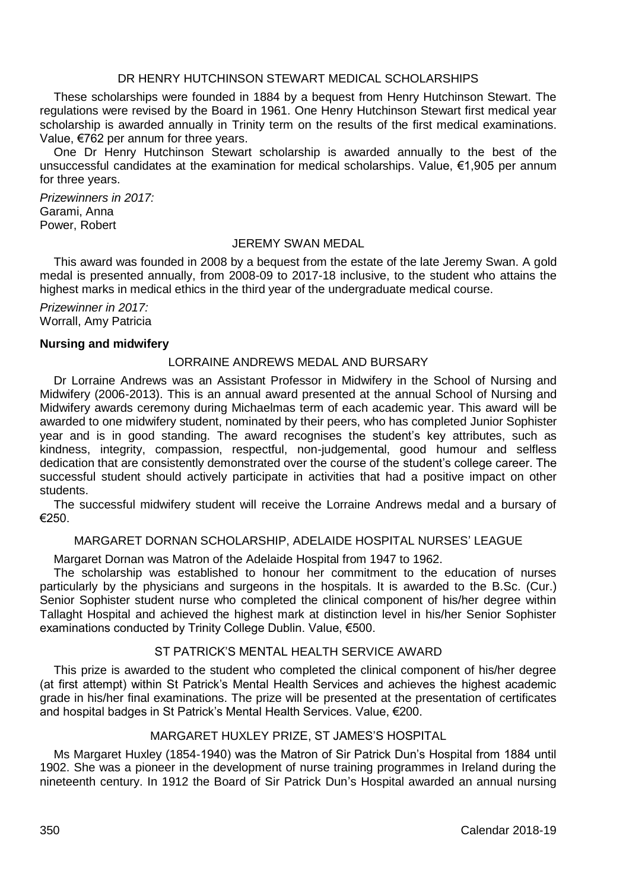## DR HENRY HUTCHINSON STEWART MEDICAL SCHOLARSHIPS

These scholarships were founded in 1884 by a bequest from Henry Hutchinson Stewart. The regulations were revised by the Board in 1961. One Henry Hutchinson Stewart first medical year scholarship is awarded annually in Trinity term on the results of the first medical examinations. Value, €762 per annum for three years.

One Dr Henry Hutchinson Stewart scholarship is awarded annually to the best of the unsuccessful candidates at the examination for medical scholarships. Value, €1,905 per annum for three years.

*Prizewinners in 2017:* Garami, Anna Power, Robert

#### JEREMY SWAN MEDAL

This award was founded in 2008 by a bequest from the estate of the late Jeremy Swan. A gold medal is presented annually, from 2008-09 to 2017-18 inclusive, to the student who attains the highest marks in medical ethics in the third year of the undergraduate medical course.

*Prizewinner in 2017:* Worrall, Amy Patricia

#### **Nursing and midwifery**

#### LORRAINE ANDREWS MEDAL AND BURSARY

Dr Lorraine Andrews was an Assistant Professor in Midwifery in the School of Nursing and Midwifery (2006-2013). This is an annual award presented at the annual School of Nursing and Midwifery awards ceremony during Michaelmas term of each academic year. This award will be awarded to one midwifery student, nominated by their peers, who has completed Junior Sophister year and is in good standing. The award recognises the student's key attributes, such as kindness, integrity, compassion, respectful, non-judgemental, good humour and selfless dedication that are consistently demonstrated over the course of the student's college career. The successful student should actively participate in activities that had a positive impact on other students.

The successful midwifery student will receive the Lorraine Andrews medal and a bursary of €250.

## MARGARET DORNAN SCHOLARSHIP, ADELAIDE HOSPITAL NURSES' LEAGUE

Margaret Dornan was Matron of the Adelaide Hospital from 1947 to 1962.

The scholarship was established to honour her commitment to the education of nurses particularly by the physicians and surgeons in the hospitals. It is awarded to the B.Sc. (Cur.) Senior Sophister student nurse who completed the clinical component of his/her degree within Tallaght Hospital and achieved the highest mark at distinction level in his/her Senior Sophister examinations conducted by Trinity College Dublin. Value, €500.

## ST PATRICK'S MENTAL HEALTH SERVICE AWARD

This prize is awarded to the student who completed the clinical component of his/her degree (at first attempt) within St Patrick's Mental Health Services and achieves the highest academic grade in his/her final examinations. The prize will be presented at the presentation of certificates and hospital badges in St Patrick's Mental Health Services. Value, €200.

### MARGARET HUXLEY PRIZE, ST JAMES'S HOSPITAL

Ms Margaret Huxley (1854-1940) was the Matron of Sir Patrick Dun's Hospital from 1884 until 1902. She was a pioneer in the development of nurse training programmes in Ireland during the nineteenth century. In 1912 the Board of Sir Patrick Dun's Hospital awarded an annual nursing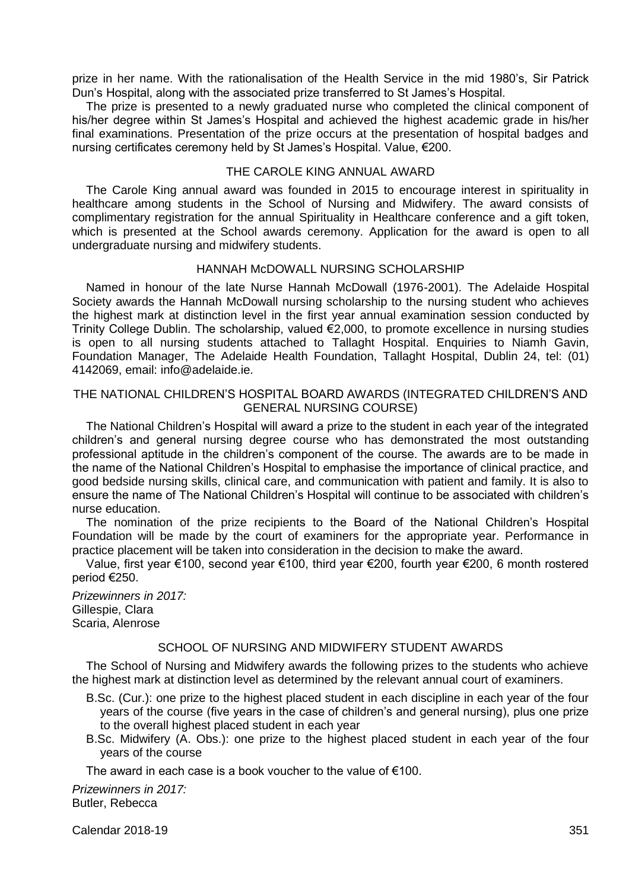prize in her name. With the rationalisation of the Health Service in the mid 1980's, Sir Patrick Dun's Hospital, along with the associated prize transferred to St James's Hospital.

The prize is presented to a newly graduated nurse who completed the clinical component of his/her degree within St James's Hospital and achieved the highest academic grade in his/her final examinations. Presentation of the prize occurs at the presentation of hospital badges and nursing certificates ceremony held by St James's Hospital. Value, €200.

## THE CAROLE KING ANNUAL AWARD

The Carole King annual award was founded in 2015 to encourage interest in spirituality in healthcare among students in the School of Nursing and Midwifery. The award consists of complimentary registration for the annual Spirituality in Healthcare conference and a gift token, which is presented at the School awards ceremony. Application for the award is open to all undergraduate nursing and midwifery students.

# HANNAH McDOWALL NURSING SCHOLARSHIP

Named in honour of the late Nurse Hannah McDowall (1976-2001). The Adelaide Hospital Society awards the Hannah McDowall nursing scholarship to the nursing student who achieves the highest mark at distinction level in the first year annual examination session conducted by Trinity College Dublin. The scholarship, valued €2,000, to promote excellence in nursing studies is open to all nursing students attached to Tallaght Hospital. Enquiries to Niamh Gavin, Foundation Manager, The Adelaide Health Foundation, Tallaght Hospital, Dublin 24, tel: (01) 4142069, email: info@adelaide.ie.

## THE NATIONAL CHILDREN'S HOSPITAL BOARD AWARDS (INTEGRATED CHILDREN'S AND GENERAL NURSING COURSE)

The National Children's Hospital will award a prize to the student in each year of the integrated children's and general nursing degree course who has demonstrated the most outstanding professional aptitude in the children's component of the course. The awards are to be made in the name of the National Children's Hospital to emphasise the importance of clinical practice, and good bedside nursing skills, clinical care, and communication with patient and family. It is also to ensure the name of The National Children's Hospital will continue to be associated with children's nurse education.

The nomination of the prize recipients to the Board of the National Children's Hospital Foundation will be made by the court of examiners for the appropriate year. Performance in practice placement will be taken into consideration in the decision to make the award.

Value, first year €100, second year €100, third year €200, fourth year €200, 6 month rostered period €250.

*Prizewinners in 2017:* Gillespie, Clara Scaria, Alenrose

#### SCHOOL OF NURSING AND MIDWIFERY STUDENT AWARDS

The School of Nursing and Midwifery awards the following prizes to the students who achieve the highest mark at distinction level as determined by the relevant annual court of examiners.

- B.Sc. (Cur.): one prize to the highest placed student in each discipline in each year of the four years of the course (five years in the case of children's and general nursing), plus one prize to the overall highest placed student in each year
- B.Sc. Midwifery (A. Obs.): one prize to the highest placed student in each year of the four years of the course

The award in each case is a book voucher to the value of €100.

*Prizewinners in 2017:* Butler, Rebecca

Calendar 2018-19 351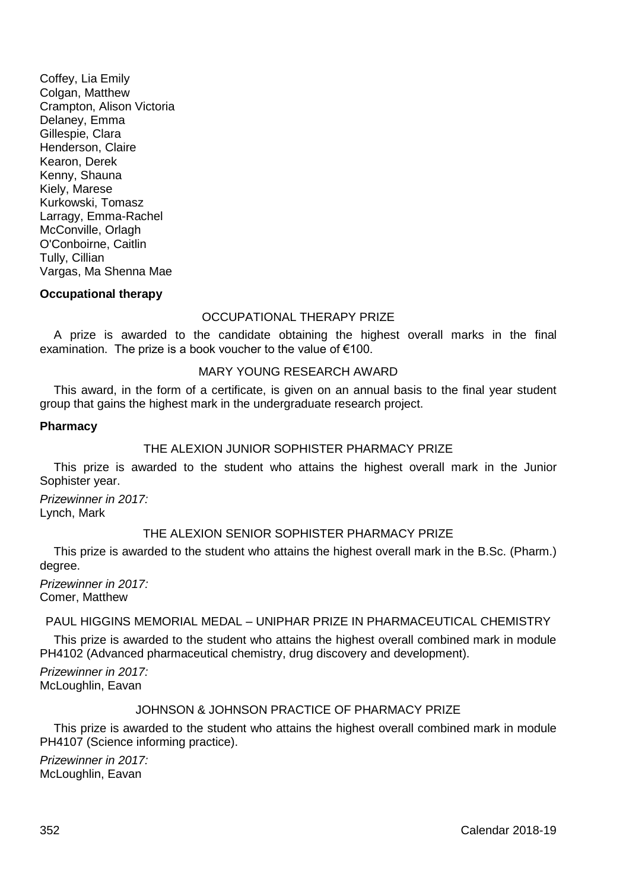Coffey, Lia Emily Colgan, Matthew Crampton, Alison Victoria Delaney, Emma Gillespie, Clara Henderson, Claire Kearon, Derek Kenny, Shauna Kiely, Marese Kurkowski, Tomasz Larragy, Emma-Rachel McConville, Orlagh O'Conboirne, Caitlin Tully, Cillian Vargas, Ma Shenna Mae

## **Occupational therapy**

#### OCCUPATIONAL THERAPY PRIZE

A prize is awarded to the candidate obtaining the highest overall marks in the final examination. The prize is a book voucher to the value of €100.

#### MARY YOUNG RESEARCH AWARD

This award, in the form of a certificate, is given on an annual basis to the final year student group that gains the highest mark in the undergraduate research project.

#### **Pharmacy**

## THE ALEXION JUNIOR SOPHISTER PHARMACY PRIZE

This prize is awarded to the student who attains the highest overall mark in the Junior Sophister year.

*Prizewinner in 2017:* Lynch, Mark

## THE ALEXION SENIOR SOPHISTER PHARMACY PRIZE

This prize is awarded to the student who attains the highest overall mark in the B.Sc. (Pharm.) degree.

*Prizewinner in 2017:* Comer, Matthew

## PAUL HIGGINS MEMORIAL MEDAL – UNIPHAR PRIZE IN PHARMACEUTICAL CHEMISTRY

This prize is awarded to the student who attains the highest overall combined mark in module PH4102 (Advanced pharmaceutical chemistry, drug discovery and development).

*Prizewinner in 2017:* McLoughlin, Eavan

## JOHNSON & JOHNSON PRACTICE OF PHARMACY PRIZE

This prize is awarded to the student who attains the highest overall combined mark in module PH4107 (Science informing practice).

*Prizewinner in 2017:* McLoughlin, Eavan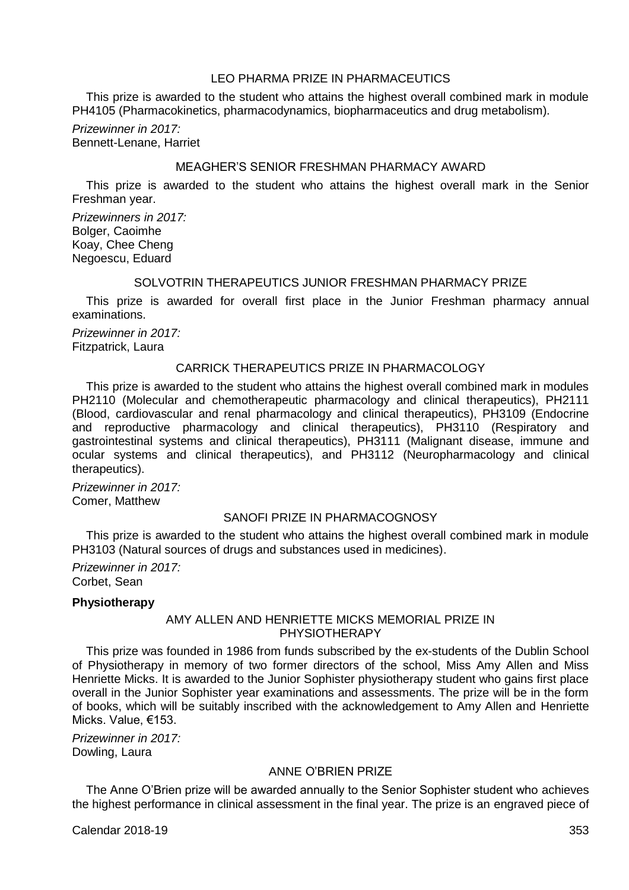## LEO PHARMA PRIZE IN PHARMACEUTICS

This prize is awarded to the student who attains the highest overall combined mark in module PH4105 (Pharmacokinetics, pharmacodynamics, biopharmaceutics and drug metabolism).

*Prizewinner in 2017:* Bennett-Lenane, Harriet

## MEAGHER'S SENIOR FRESHMAN PHARMACY AWARD

This prize is awarded to the student who attains the highest overall mark in the Senior Freshman year.

*Prizewinners in 2017:* Bolger, Caoimhe Koay, Chee Cheng Negoescu, Eduard

#### SOLVOTRIN THERAPEUTICS JUNIOR FRESHMAN PHARMACY PRIZE

This prize is awarded for overall first place in the Junior Freshman pharmacy annual examinations.

*Prizewinner in 2017:* Fitzpatrick, Laura

## CARRICK THERAPEUTICS PRIZE IN PHARMACOLOGY

This prize is awarded to the student who attains the highest overall combined mark in modules PH2110 (Molecular and chemotherapeutic pharmacology and clinical therapeutics), PH2111 (Blood, cardiovascular and renal pharmacology and clinical therapeutics), PH3109 (Endocrine and reproductive pharmacology and clinical therapeutics), PH3110 (Respiratory and gastrointestinal systems and clinical therapeutics), PH3111 (Malignant disease, immune and ocular systems and clinical therapeutics), and PH3112 (Neuropharmacology and clinical therapeutics).

*Prizewinner in 2017:* Comer, Matthew

## SANOFI PRIZE IN PHARMACOGNOSY

This prize is awarded to the student who attains the highest overall combined mark in module PH3103 (Natural sources of drugs and substances used in medicines).

*Prizewinner in 2017:* Corbet, Sean

#### **Physiotherapy**

## AMY ALLEN AND HENRIETTE MICKS MEMORIAL PRIZE IN PHYSIOTHERAPY

This prize was founded in 1986 from funds subscribed by the ex-students of the Dublin School of Physiotherapy in memory of two former directors of the school, Miss Amy Allen and Miss Henriette Micks. It is awarded to the Junior Sophister physiotherapy student who gains first place overall in the Junior Sophister year examinations and assessments. The prize will be in the form of books, which will be suitably inscribed with the acknowledgement to Amy Allen and Henriette Micks. Value, €153.

*Prizewinner in 2017:* Dowling, Laura

# ANNE O'BRIEN PRIZE

The Anne O'Brien prize will be awarded annually to the Senior Sophister student who achieves the highest performance in clinical assessment in the final year. The prize is an engraved piece of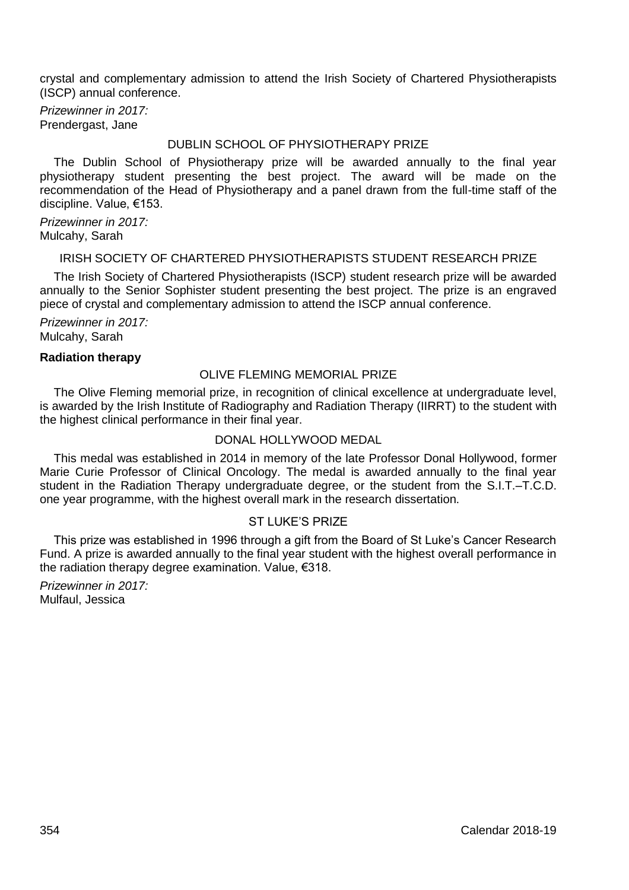crystal and complementary admission to attend the Irish Society of Chartered Physiotherapists (ISCP) annual conference.

*Prizewinner in 2017:* Prendergast, Jane

## DUBLIN SCHOOL OF PHYSIOTHERAPY PRIZE

The Dublin School of Physiotherapy prize will be awarded annually to the final year physiotherapy student presenting the best project. The award will be made on the recommendation of the Head of Physiotherapy and a panel drawn from the full-time staff of the discipline. Value, €153.

*Prizewinner in 2017:* Mulcahy, Sarah

# IRISH SOCIETY OF CHARTERED PHYSIOTHERAPISTS STUDENT RESEARCH PRIZE

The Irish Society of Chartered Physiotherapists (ISCP) student research prize will be awarded annually to the Senior Sophister student presenting the best project. The prize is an engraved piece of crystal and complementary admission to attend the ISCP annual conference.

*Prizewinner in 2017:* Mulcahy, Sarah

#### **Radiation therapy**

## OLIVE FLEMING MEMORIAL PRIZE

The Olive Fleming memorial prize, in recognition of clinical excellence at undergraduate level, is awarded by the Irish Institute of Radiography and Radiation Therapy (IIRRT) to the student with the highest clinical performance in their final year.

### DONAL HOLLYWOOD MEDAL

This medal was established in 2014 in memory of the late Professor Donal Hollywood, former Marie Curie Professor of Clinical Oncology. The medal is awarded annually to the final year student in the Radiation Therapy undergraduate degree, or the student from the S.I.T.–T.C.D. one year programme, with the highest overall mark in the research dissertation.

## ST LUKE'S PRIZE

This prize was established in 1996 through a gift from the Board of St Luke's Cancer Research Fund. A prize is awarded annually to the final year student with the highest overall performance in the radiation therapy degree examination. Value, €318.

*Prizewinner in 2017:* Mulfaul, Jessica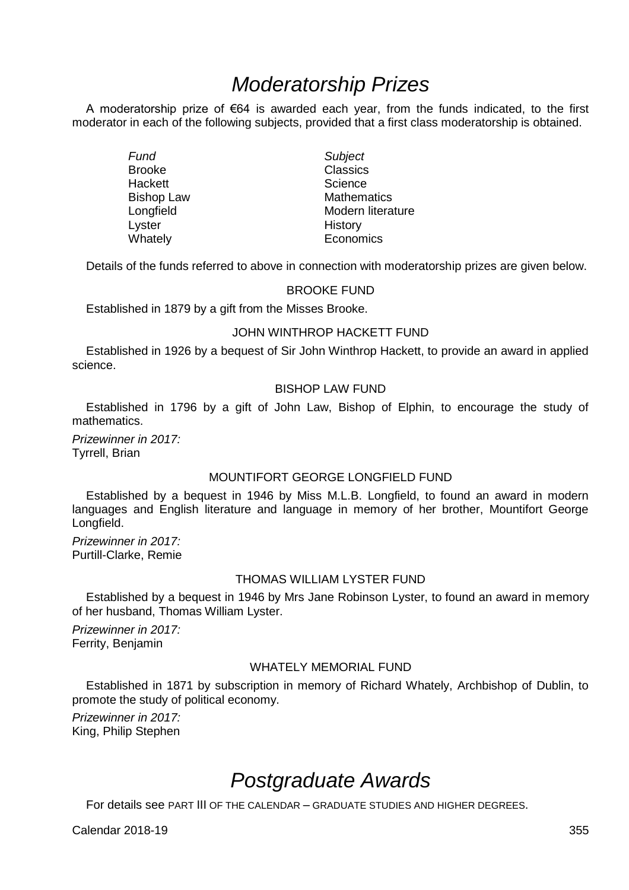# *Moderatorship Prizes*

A moderatorship prize of  $\epsilon$ 64 is awarded each year, from the funds indicated, to the first moderator in each of the following subjects, provided that a first class moderatorship is obtained.

> *Fund Subject*  Brooke Classics<br>
> Hackett Science Hackett **Science**<br>Bishop Law **Science Bishop Law** Lyster **History**<br>
> Whately **Microsoft Communist Communist Communist Communist Communist Communist Communist Communist Communist Communist Communist Communist Communist Communist Communist Communist Communist Communist Commu**

Bishop Law **Mathematics**<br> **Example Longfield** Modern litera Longfield Modern literature<br>
Lyster Modern History Economics

Details of the funds referred to above in connection with moderatorship prizes are given below.

#### BROOKE FUND

Established in 1879 by a gift from the Misses Brooke.

#### JOHN WINTHROP HACKETT FUND

Established in 1926 by a bequest of Sir John Winthrop Hackett, to provide an award in applied science.

## BISHOP LAW FUND

Established in 1796 by a gift of John Law, Bishop of Elphin, to encourage the study of mathematics.

*Prizewinner in 2017:* Tyrrell, Brian

# MOUNTIFORT GEORGE LONGFIELD FUND

Established by a bequest in 1946 by Miss M.L.B. Longfield, to found an award in modern languages and English literature and language in memory of her brother, Mountifort George Longfield.

*Prizewinner in 2017:* Purtill-Clarke, Remie

#### THOMAS WILLIAM LYSTER FUND

Established by a bequest in 1946 by Mrs Jane Robinson Lyster, to found an award in memory of her husband, Thomas William Lyster.

*Prizewinner in 2017:* Ferrity, Benjamin

#### WHATELY MEMORIAL FUND

Established in 1871 by subscription in memory of Richard Whately, Archbishop of Dublin, to promote the study of political economy.

*Prizewinner in 2017:* King, Philip Stephen

# *Postgraduate Awards*

For details see PART III OF THE CALENDAR – GRADUATE STUDIES AND HIGHER DEGREES.

Calendar 2018-19 355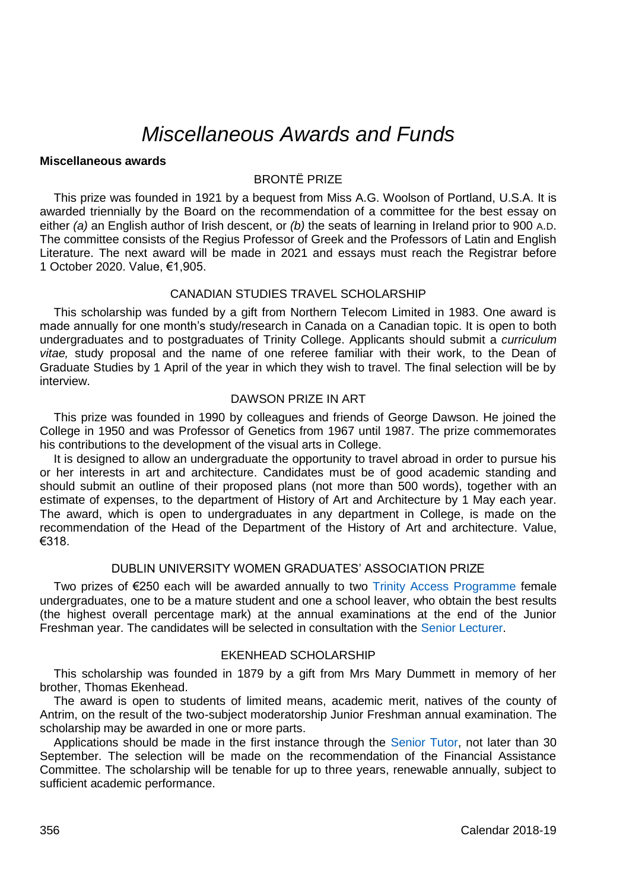# *Miscellaneous Awards and Funds*

## **Miscellaneous awards**

# BRONTË PRIZE

This prize was founded in 1921 by a bequest from Miss A.G. Woolson of Portland, U.S.A. It is awarded triennially by the Board on the recommendation of a committee for the best essay on either *(a)* an English author of Irish descent, or *(b)* the seats of learning in Ireland prior to 900 A.D. The committee consists of the Regius Professor of Greek and the Professors of Latin and English Literature. The next award will be made in 2021 and essays must reach the Registrar before 1 October 2020. Value, €1,905.

## CANADIAN STUDIES TRAVEL SCHOLARSHIP

This scholarship was funded by a gift from Northern Telecom Limited in 1983. One award is made annually for one month's study/research in Canada on a Canadian topic. It is open to both undergraduates and to postgraduates of Trinity College. Applicants should submit a *curriculum vitae,* study proposal and the name of one referee familiar with their work, to the Dean of Graduate Studies by 1 April of the year in which they wish to travel. The final selection will be by interview.

#### DAWSON PRIZE IN ART

This prize was founded in 1990 by colleagues and friends of George Dawson. He joined the College in 1950 and was Professor of Genetics from 1967 until 1987. The prize commemorates his contributions to the development of the visual arts in College.

It is designed to allow an undergraduate the opportunity to travel abroad in order to pursue his or her interests in art and architecture. Candidates must be of good academic standing and should submit an outline of their proposed plans (not more than 500 words), together with an estimate of expenses, to the department of History of Art and Architecture by 1 May each year. The award, which is open to undergraduates in any department in College, is made on the recommendation of the Head of the Department of the History of Art and architecture. Value, €318.

## DUBLIN UNIVERSITY WOMEN GRADUATES' ASSOCIATION PRIZE

Two prizes of €250 each will be awarded annually to two [Trinity Access Programme](https://www.tcd.ie/Trinity_Access/) female undergraduates, one to be a mature student and one a school leaver, who obtain the best results (the highest overall percentage mark) at the annual examinations at the end of the Junior Freshman year. The candidates will be selected in consultation with th[e Senior Lecturer.](http://www.tcd.ie/undergraduate-studies/contact/)

## EKENHEAD SCHOLARSHIP

This scholarship was founded in 1879 by a gift from Mrs Mary Dummett in memory of her brother, Thomas Ekenhead.

The award is open to students of limited means, academic merit, natives of the county of Antrim, on the result of the two-subject moderatorship Junior Freshman annual examination. The scholarship may be awarded in one or more parts.

Applications should be made in the first instance through the [Senior Tutor,](https://www.tcd.ie/Senior_Tutor/) not later than 30 September. The selection will be made on the recommendation of the Financial Assistance Committee. The scholarship will be tenable for up to three years, renewable annually, subject to sufficient academic performance.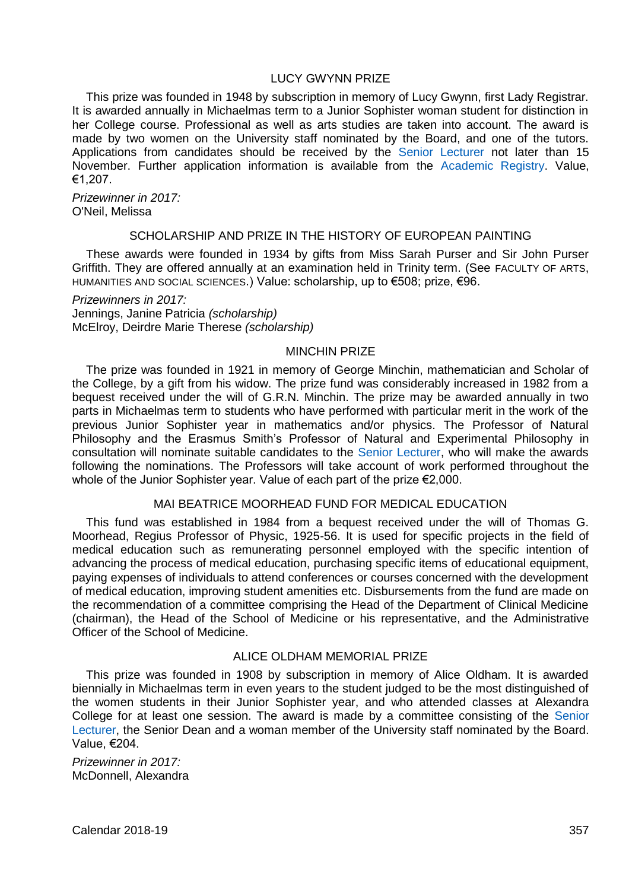# LUCY GWYNN PRIZE

This prize was founded in 1948 by subscription in memory of Lucy Gwynn, first Lady Registrar. It is awarded annually in Michaelmas term to a Junior Sophister woman student for distinction in her College course. Professional as well as arts studies are taken into account. The award is made by two women on the University staff nominated by the Board, and one of the tutors. Applications from candidates should be received by the [Senior Lecturer](http://www.tcd.ie/undergraduate-studies/contact/) not later than 15 November. Further application information is available from the [Academic Registry.](https://www.tcd.ie/academicregistry/index.php) Value, €1,207.

*Prizewinner in 2017:* O'Neil, Melissa

#### SCHOLARSHIP AND PRIZE IN THE HISTORY OF EUROPEAN PAINTING

These awards were founded in 1934 by gifts from Miss Sarah Purser and Sir John Purser Griffith. They are offered annually at an examination held in Trinity term. (See FACULTY OF ARTS, HUMANITIES AND SOCIAL SCIENCES.) Value: scholarship, up to €508; prize, €96.

*Prizewinners in 2017:* Jennings, Janine Patricia *(scholarship)* McElroy, Deirdre Marie Therese *(scholarship)*

#### MINCHIN PRIZE

The prize was founded in 1921 in memory of George Minchin, mathematician and Scholar of the College, by a gift from his widow. The prize fund was considerably increased in 1982 from a bequest received under the will of G.R.N. Minchin. The prize may be awarded annually in two parts in Michaelmas term to students who have performed with particular merit in the work of the previous Junior Sophister year in mathematics and/or physics. The Professor of Natural Philosophy and the Erasmus Smith's Professor of Natural and Experimental Philosophy in consultation will nominate suitable candidates to the [Senior Lecturer,](http://www.tcd.ie/undergraduate-studies/contact/) who will make the awards following the nominations. The Professors will take account of work performed throughout the whole of the Junior Sophister year. Value of each part of the prize €2,000.

# MAI BEATRICE MOORHEAD FUND FOR MEDICAL EDUCATION

This fund was established in 1984 from a bequest received under the will of Thomas G. Moorhead, Regius Professor of Physic, 1925-56. It is used for specific projects in the field of medical education such as remunerating personnel employed with the specific intention of advancing the process of medical education, purchasing specific items of educational equipment. paying expenses of individuals to attend conferences or courses concerned with the development of medical education, improving student amenities etc. Disbursements from the fund are made on the recommendation of a committee comprising the Head of the Department of Clinical Medicine (chairman), the Head of the School of Medicine or his representative, and the Administrative Officer of the School of Medicine.

## ALICE OLDHAM MEMORIAL PRIZE

This prize was founded in 1908 by subscription in memory of Alice Oldham. It is awarded biennially in Michaelmas term in even years to the student judged to be the most distinguished of the women students in their Junior Sophister year, and who attended classes at Alexandra College for at least one session. The award is made by a committee consisting of the [Senior](http://www.tcd.ie/undergraduate-studies/contact/)  [Lecturer,](http://www.tcd.ie/undergraduate-studies/contact/) the Senior Dean and a woman member of the University staff nominated by the Board. Value, €204.

*Prizewinner in 2017:* McDonnell, Alexandra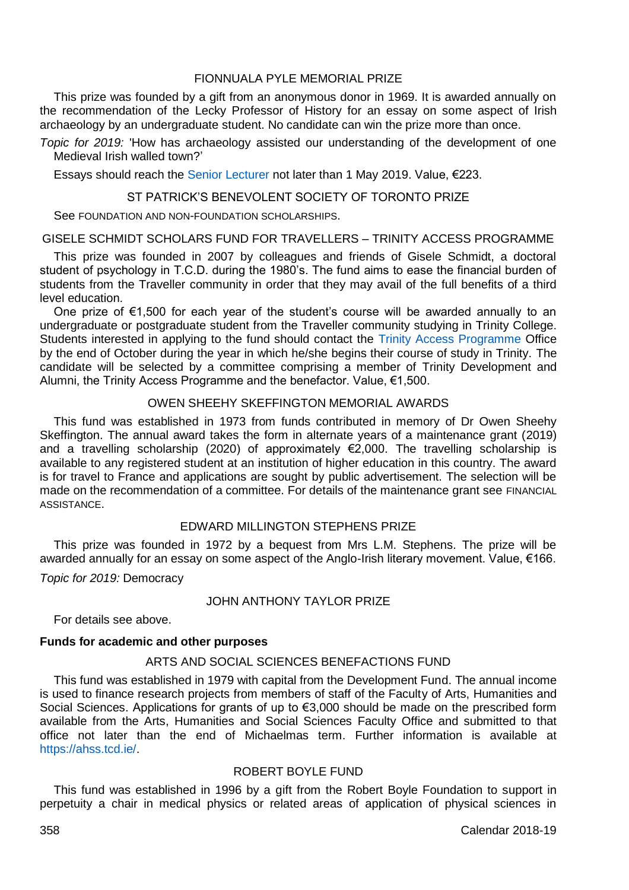# FIONNUALA PYLE MEMORIAL PRIZE

This prize was founded by a gift from an anonymous donor in 1969. It is awarded annually on the recommendation of the Lecky Professor of History for an essay on some aspect of Irish archaeology by an undergraduate student. No candidate can win the prize more than once.

*Topic for 2019:* 'How has archaeology assisted our understanding of the development of one Medieval Irish walled town?'

Essays should reach th[e Senior Lecturer](http://www.tcd.ie/undergraduate-studies/contact/) not later than 1 May 2019. Value, €223.

## ST PATRICK'S BENEVOLENT SOCIETY OF TORONTO PRIZE

See FOUNDATION AND NON-FOUNDATION SCHOLARSHIPS.

#### GISELE SCHMIDT SCHOLARS FUND FOR TRAVELLERS – TRINITY ACCESS PROGRAMME

This prize was founded in 2007 by colleagues and friends of Gisele Schmidt, a doctoral student of psychology in T.C.D. during the 1980's. The fund aims to ease the financial burden of students from the Traveller community in order that they may avail of the full benefits of a third level education.

One prize of €1,500 for each year of the student's course will be awarded annually to an undergraduate or postgraduate student from the Traveller community studying in Trinity College. Students interested in applying to the fund should contact the [Trinity Access Programme](https://www.tcd.ie/Trinity_Access/) Office by the end of October during the year in which he/she begins their course of study in Trinity. The candidate will be selected by a committee comprising a member of Trinity Development and Alumni, the Trinity Access Programme and the benefactor. Value, €1,500.

### OWEN SHEEHY SKEFFINGTON MEMORIAL AWARDS

This fund was established in 1973 from funds contributed in memory of Dr Owen Sheehy Skeffington. The annual award takes the form in alternate years of a maintenance grant (2019) and a travelling scholarship (2020) of approximately €2,000. The travelling scholarship is available to any registered student at an institution of higher education in this country. The award is for travel to France and applications are sought by public advertisement. The selection will be made on the recommendation of a committee. For details of the maintenance grant see FINANCIAL **ASSISTANCE** 

## EDWARD MILLINGTON STEPHENS PRIZE

This prize was founded in 1972 by a bequest from Mrs L.M. Stephens. The prize will be awarded annually for an essay on some aspect of the Anglo-Irish literary movement. Value, €166.

*Topic for 2019:* Democracy

## JOHN ANTHONY TAYLOR PRIZE

For details see above.

## **Funds for academic and other purposes**

# ARTS AND SOCIAL SCIENCES BENEFACTIONS FUND

This fund was established in 1979 with capital from the Development Fund. The annual income is used to finance research projects from members of staff of the Faculty of Arts, Humanities and Social Sciences. Applications for grants of up to €3,000 should be made on the prescribed form available from the Arts, Humanities and Social Sciences Faculty Office and submitted to that office not later than the end of Michaelmas term. Further information is available at [https://ahss.tcd.ie/.](https://ahss.tcd.ie/)

# ROBERT BOYLE FUND

This fund was established in 1996 by a gift from the Robert Boyle Foundation to support in perpetuity a chair in medical physics or related areas of application of physical sciences in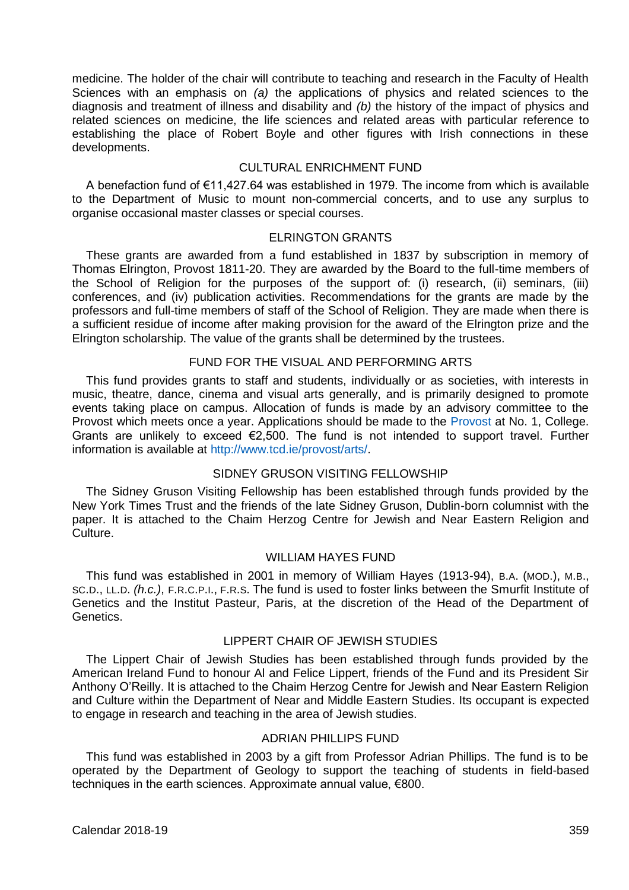medicine. The holder of the chair will contribute to teaching and research in the Faculty of Health Sciences with an emphasis on *(a)* the applications of physics and related sciences to the diagnosis and treatment of illness and disability and *(b)* the history of the impact of physics and related sciences on medicine, the life sciences and related areas with particular reference to establishing the place of Robert Boyle and other figures with Irish connections in these developments.

## CULTURAL ENRICHMENT FUND

A benefaction fund of €11,427.64 was established in 1979. The income from which is available to the Department of Music to mount non-commercial concerts, and to use any surplus to organise occasional master classes or special courses.

#### ELRINGTON GRANTS

These grants are awarded from a fund established in 1837 by subscription in memory of Thomas Elrington, Provost 1811-20. They are awarded by the Board to the full-time members of the School of Religion for the purposes of the support of: (i) research, (ii) seminars, (iii) conferences, and (iv) publication activities. Recommendations for the grants are made by the professors and full-time members of staff of the School of Religion. They are made when there is a sufficient residue of income after making provision for the award of the Elrington prize and the Elrington scholarship. The value of the grants shall be determined by the trustees.

#### FUND FOR THE VISUAL AND PERFORMING ARTS

This fund provides grants to staff and students, individually or as societies, with interests in music, theatre, dance, cinema and visual arts generally, and is primarily designed to promote events taking place on campus. Allocation of funds is made by an advisory committee to the Provost which meets once a year. Applications should be made to the [Provost](https://www.tcd.ie/provost/index.php) at No. 1, College. Grants are unlikely to exceed  $€2,500$ . The fund is not intended to support travel. Further information is available a[t http://www.tcd.ie/provost/arts/.](http://www.tcd.ie/provost/arts/)

#### SIDNEY GRUSON VISITING FELLOWSHIP

The Sidney Gruson Visiting Fellowship has been established through funds provided by the New York Times Trust and the friends of the late Sidney Gruson, Dublin-born columnist with the paper. It is attached to the Chaim Herzog Centre for Jewish and Near Eastern Religion and Culture.

## WILLIAM HAYES FUND

This fund was established in 2001 in memory of William Hayes (1913-94), B.A. (MOD.), M.B., SC.D., LL.D. *(h.c.)*, F.R.C.P.I., F.R.S. The fund is used to foster links between the Smurfit Institute of Genetics and the Institut Pasteur, Paris, at the discretion of the Head of the Department of Genetics.

## LIPPERT CHAIR OF JEWISH STUDIES

The Lippert Chair of Jewish Studies has been established through funds provided by the American Ireland Fund to honour Al and Felice Lippert, friends of the Fund and its President Sir Anthony O'Reilly. It is attached to the Chaim Herzog Centre for Jewish and Near Eastern Religion and Culture within the Department of Near and Middle Eastern Studies. Its occupant is expected to engage in research and teaching in the area of Jewish studies.

#### ADRIAN PHILLIPS FUND

This fund was established in 2003 by a gift from Professor Adrian Phillips. The fund is to be operated by the Department of Geology to support the teaching of students in field-based techniques in the earth sciences. Approximate annual value, €800.